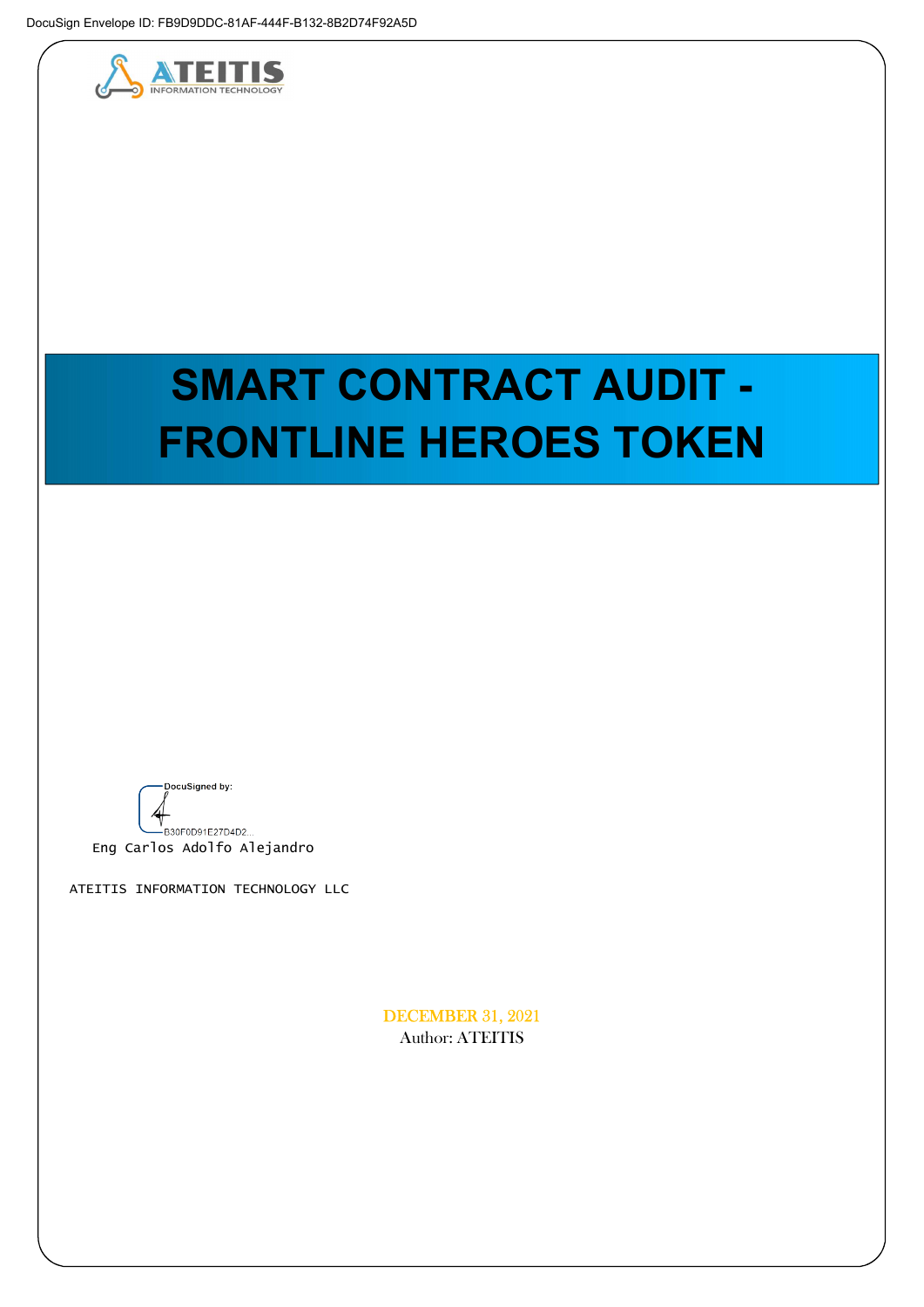

# SMART CONTRACT AUDIT - FRONTLINE HEROES TOKEN

DocuSigned by:

v<br>- B30F0D91E27D4D2... Eng Carlos Adolfo Alejandro

ATEITIS INFORMATION TECHNOLOGY LLC

DECEMBER 31, 2021 Author: ATEITIS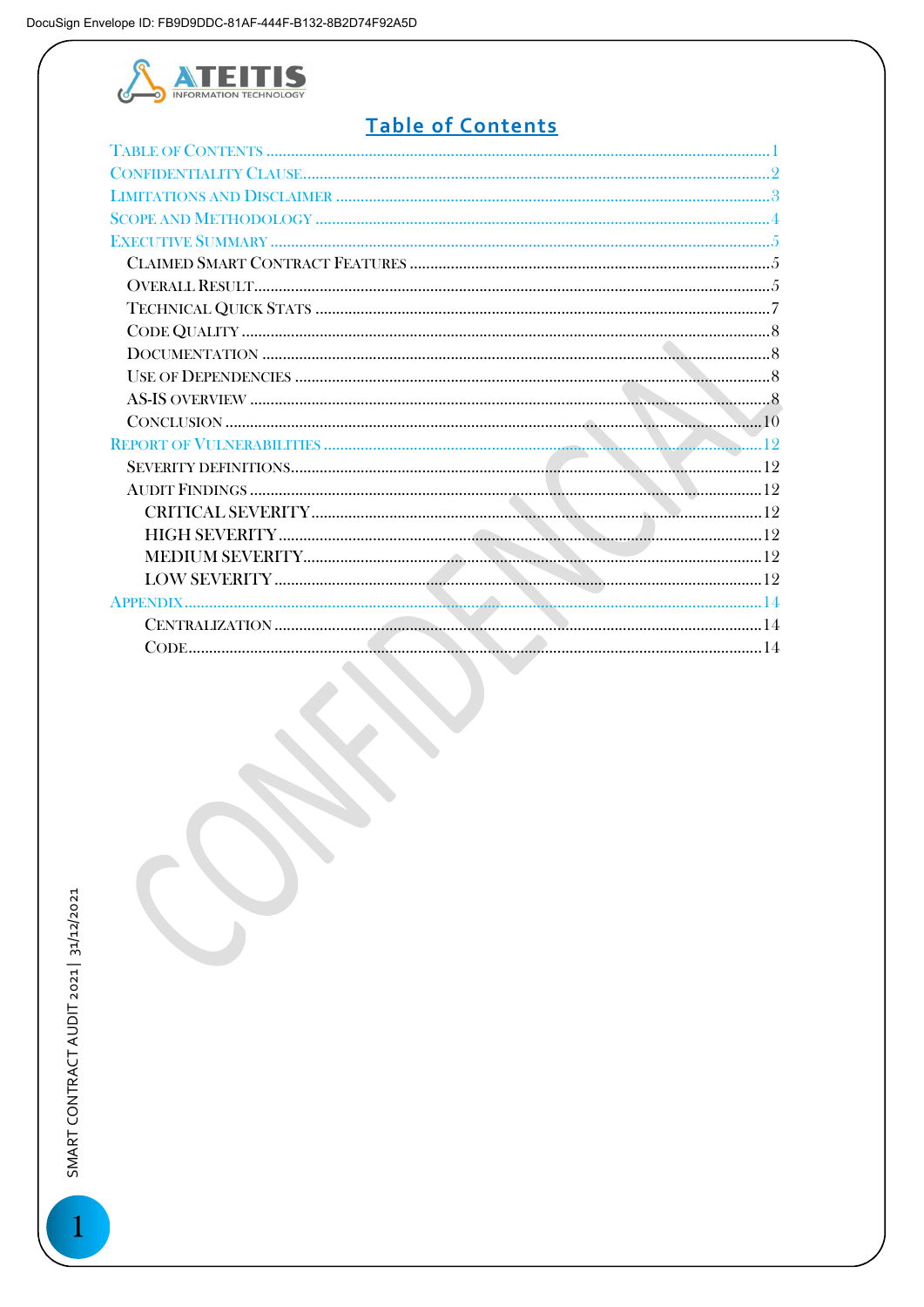

# Table of Contents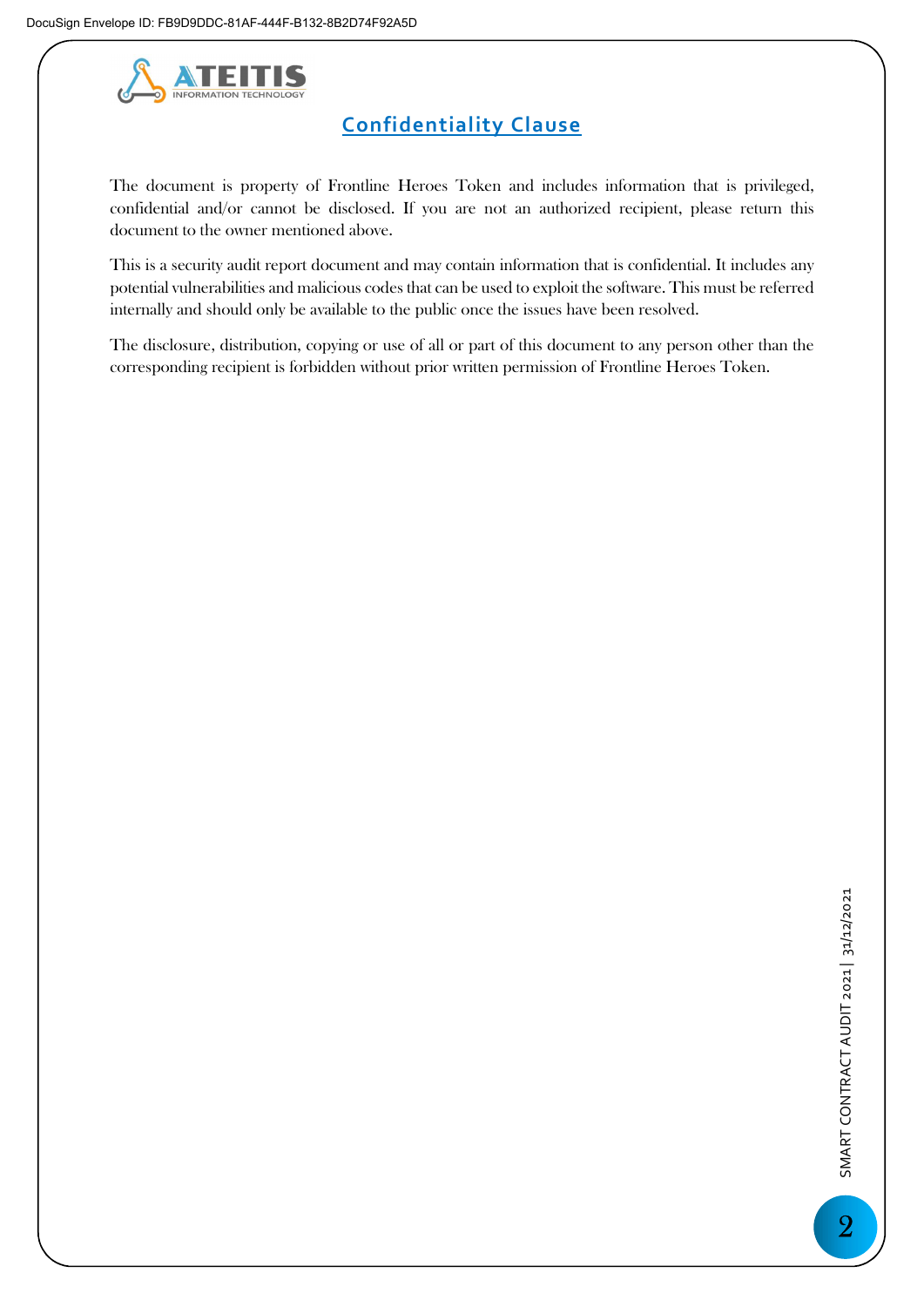

# Confidentiality Clause

The document is property of Frontline Heroes Token and includes information that is privileged, confidential and/or cannot be disclosed. If you are not an authorized recipient, please return this document to the owner mentioned above.

This is a security audit report document and may contain information that is confidential. It includes any potential vulnerabilities and malicious codes that can be used to exploit the software. This must be referred internally and should only be available to the public once the issues have been resolved.

The disclosure, distribution, copying or use of all or part of this document to any person other than the corresponding recipient is forbidden without prior written permission of Frontline Heroes Token.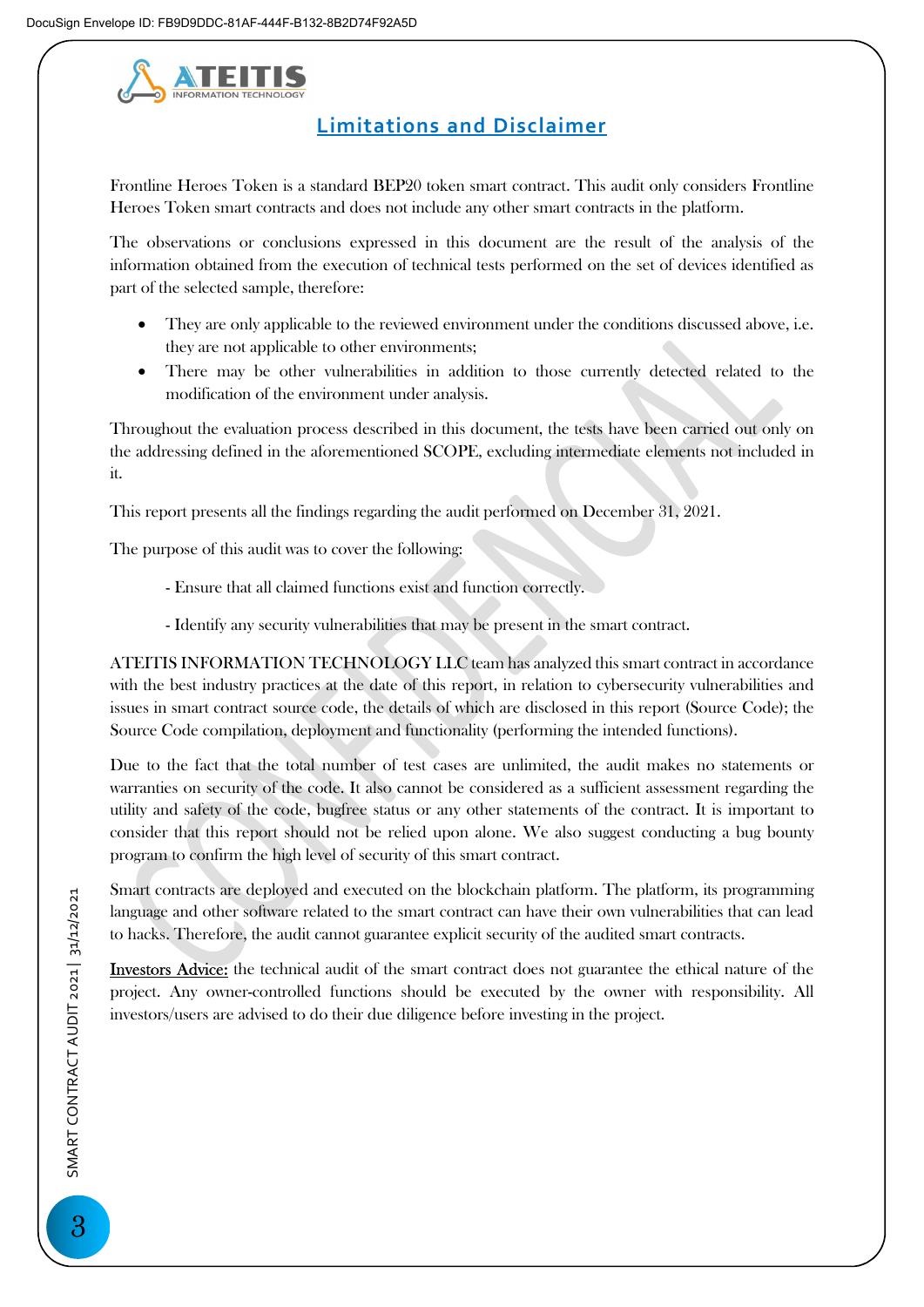

## Limitations and Disclaimer

Frontline Heroes Token is a standard BEP20 token smart contract. This audit only considers Frontline Heroes Token smart contracts and does not include any other smart contracts in the platform.

The observations or conclusions expressed in this document are the result of the analysis of the information obtained from the execution of technical tests performed on the set of devices identified as part of the selected sample, therefore:

- They are only applicable to the reviewed environment under the conditions discussed above, i.e. they are not applicable to other environments;
- There may be other vulnerabilities in addition to those currently detected related to the modification of the environment under analysis.

Throughout the evaluation process described in this document, the tests have been carried out only on the addressing defined in the aforementioned SCOPE, excluding intermediate elements not included in it.

This report presents all the findings regarding the audit performed on December 31, 2021.

The purpose of this audit was to cover the following:

- Ensure that all claimed functions exist and function correctly.
- Identify any security vulnerabilities that may be present in the smart contract.

ATEITIS INFORMATION TECHNOLOGY LLC team has analyzed this smart contract in accordance with the best industry practices at the date of this report, in relation to cybersecurity vulnerabilities and issues in smart contract source code, the details of which are disclosed in this report (Source Code); the Source Code compilation, deployment and functionality (performing the intended functions).

Due to the fact that the total number of test cases are unlimited, the audit makes no statements or warranties on security of the code. It also cannot be considered as a sufficient assessment regarding the utility and safety of the code, bugfree status or any other statements of the contract. It is important to consider that this report should not be relied upon alone. We also suggest conducting a bug bounty program to confirm the high level of security of this smart contract.

Smart contracts are deployed and executed on the blockchain platform. The platform, its programming language and other software related to the smart contract can have their own vulnerabilities that can lead to hacks. Therefore, the audit cannot guarantee explicit security of the audited smart contracts.

Investors Advice: the technical audit of the smart contract does not guarantee the ethical nature of the project. Any owner-controlled functions should be executed by the owner with responsibility. All investors/users are advised to do their due diligence before investing in the project.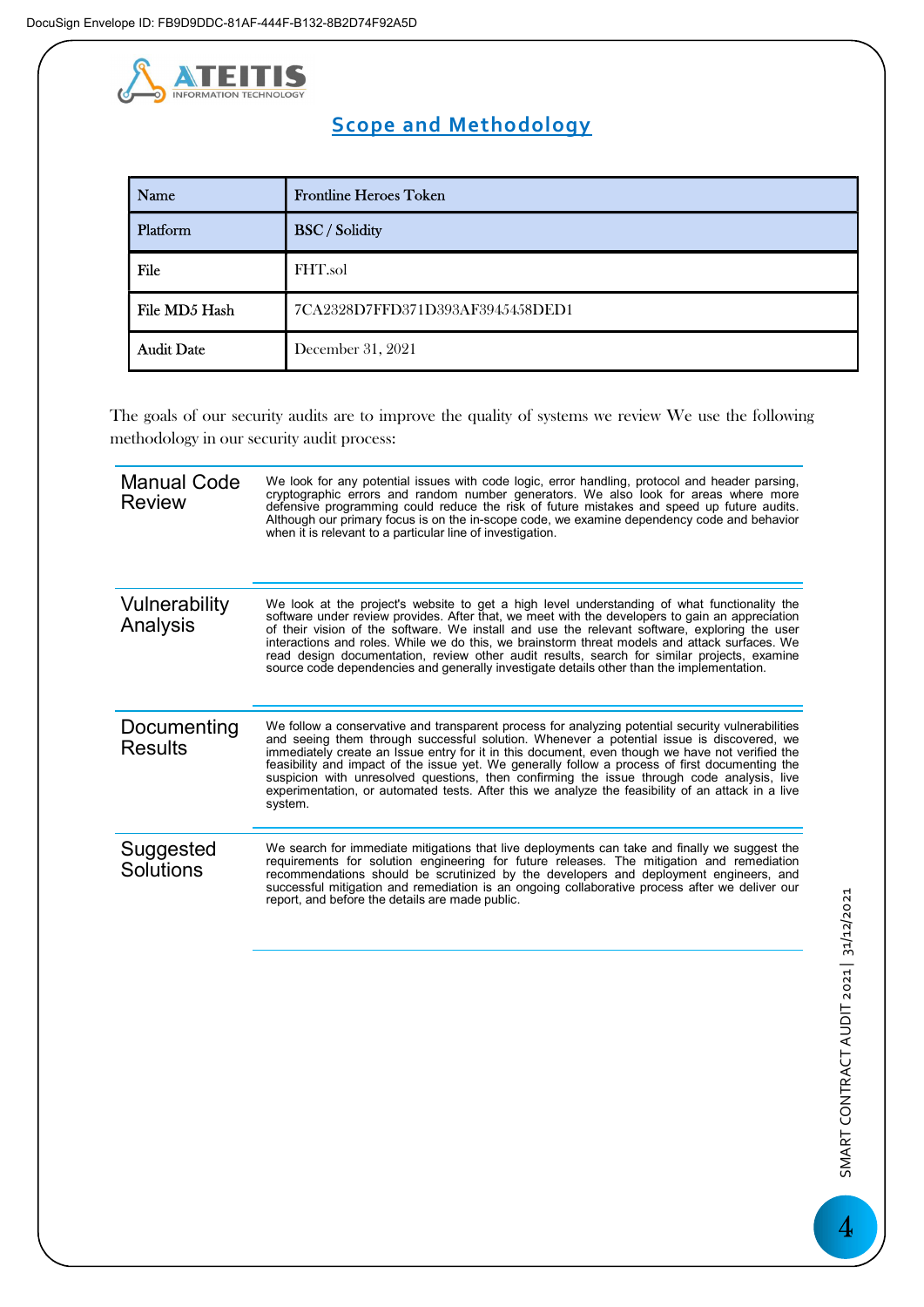

# Scope and Methodology

| <b>INFORMATION TECHNOL</b> |                                                                                                                                                                                                                                                                                                                                                                                                                                                                                                                                                                                                        |  |
|----------------------------|--------------------------------------------------------------------------------------------------------------------------------------------------------------------------------------------------------------------------------------------------------------------------------------------------------------------------------------------------------------------------------------------------------------------------------------------------------------------------------------------------------------------------------------------------------------------------------------------------------|--|
|                            | <b>Scope and Methodology</b>                                                                                                                                                                                                                                                                                                                                                                                                                                                                                                                                                                           |  |
| <b>Name</b>                | <b>Frontline Heroes Token</b>                                                                                                                                                                                                                                                                                                                                                                                                                                                                                                                                                                          |  |
| Platform                   | <b>BSC</b> / Solidity                                                                                                                                                                                                                                                                                                                                                                                                                                                                                                                                                                                  |  |
| File                       | FHT.sol                                                                                                                                                                                                                                                                                                                                                                                                                                                                                                                                                                                                |  |
| File MD5 Hash              | 7CA2328D7FFD371D393AF3945458DED1                                                                                                                                                                                                                                                                                                                                                                                                                                                                                                                                                                       |  |
| <b>Audit Date</b>          | December 31, 2021                                                                                                                                                                                                                                                                                                                                                                                                                                                                                                                                                                                      |  |
| Manual Code<br>Review      | he goals of our security audits are to improve the quality of systems we review We use the following<br>ethodology in our security audit process:<br>We look for any potential issues with code logic, error handling, protocol and header parsing,<br>cryptographic errors and random number generators. We also look for areas where more<br>defensive programming could reduce the risk of future mistakes and speed up future audits.<br>Although our primary focus is on the in-scope code, we examine dependency code and behavior<br>when it is relevant to a particular line of investigation. |  |
| Vulnerability<br>Analysis  | We look at the project's website to get a high level understanding of what functionality the<br>software under review provides. After that, we meet with the developers to gain an appreciation<br>of their vision of the software. We install and use the relevant software exploring the user                                                                                                                                                                                                                                                                                                        |  |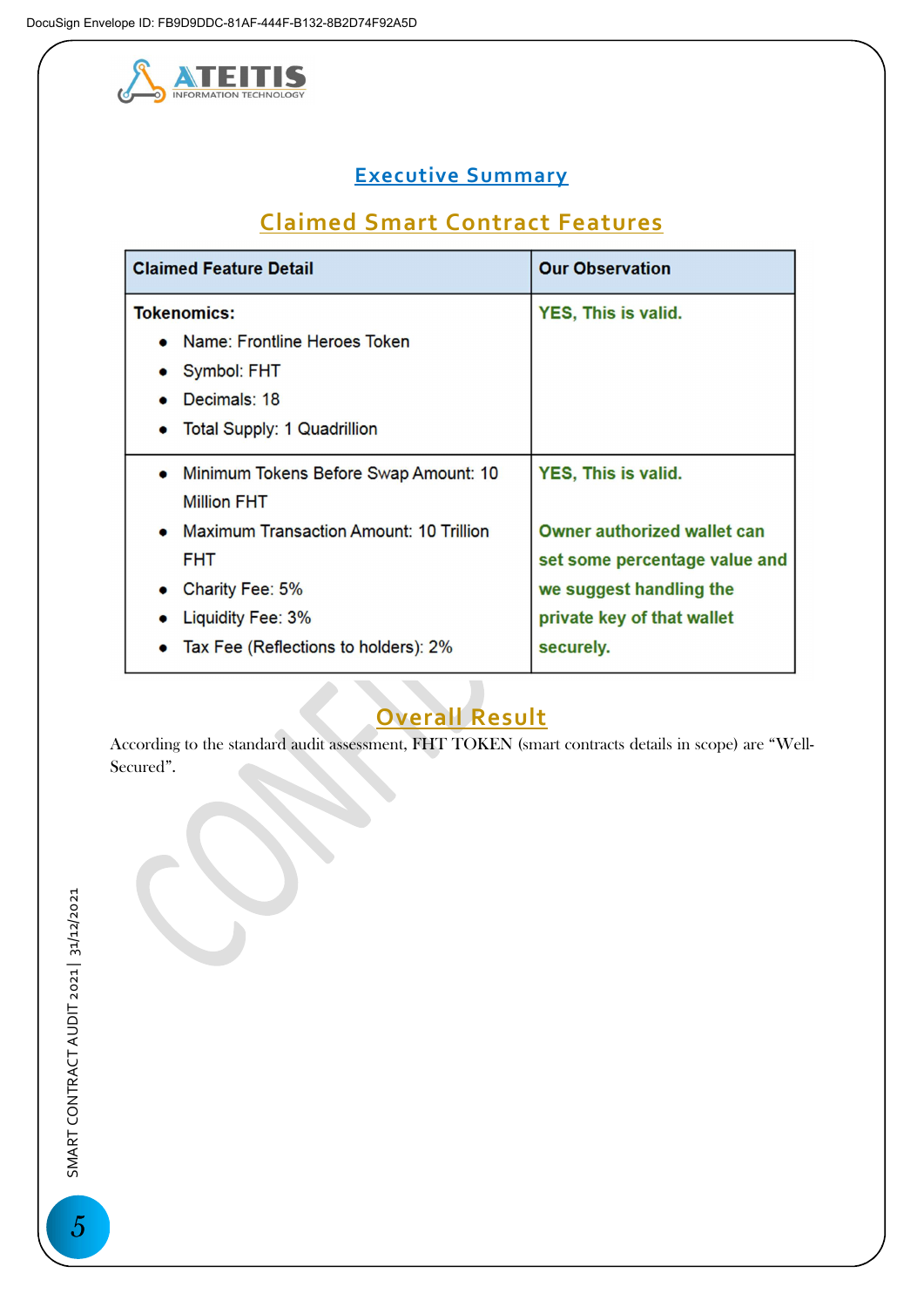

# Executive Summary

# Claimed Smart Contract Features

| <b>Claimed Feature Detail</b>                                                                                                                | <b>Our Observation</b>                                                                                                                    |
|----------------------------------------------------------------------------------------------------------------------------------------------|-------------------------------------------------------------------------------------------------------------------------------------------|
| <b>Tokenomics:</b><br>• Name: Frontline Heroes Token<br>Symbol: FHT<br>Decimals: 18<br><b>Total Supply: 1 Quadrillion</b><br>$\bullet$       | <b>YES, This is valid.</b>                                                                                                                |
| Minimum Tokens Before Swap Amount: 10<br><b>Million FHT</b>                                                                                  | YES, This is valid.                                                                                                                       |
| <b>Maximum Transaction Amount: 10 Trillion</b><br><b>FHT</b><br>Charity Fee: 5%<br>Liquidity Fee: 3%<br>Tax Fee (Reflections to holders): 2% | <b>Owner authorized wallet can</b><br>set some percentage value and<br>we suggest handling the<br>private key of that wallet<br>securely. |

# Overall Result

According to the standard audit assessment, FHT TOKEN (smart contracts details in scope) are "Well-Secured".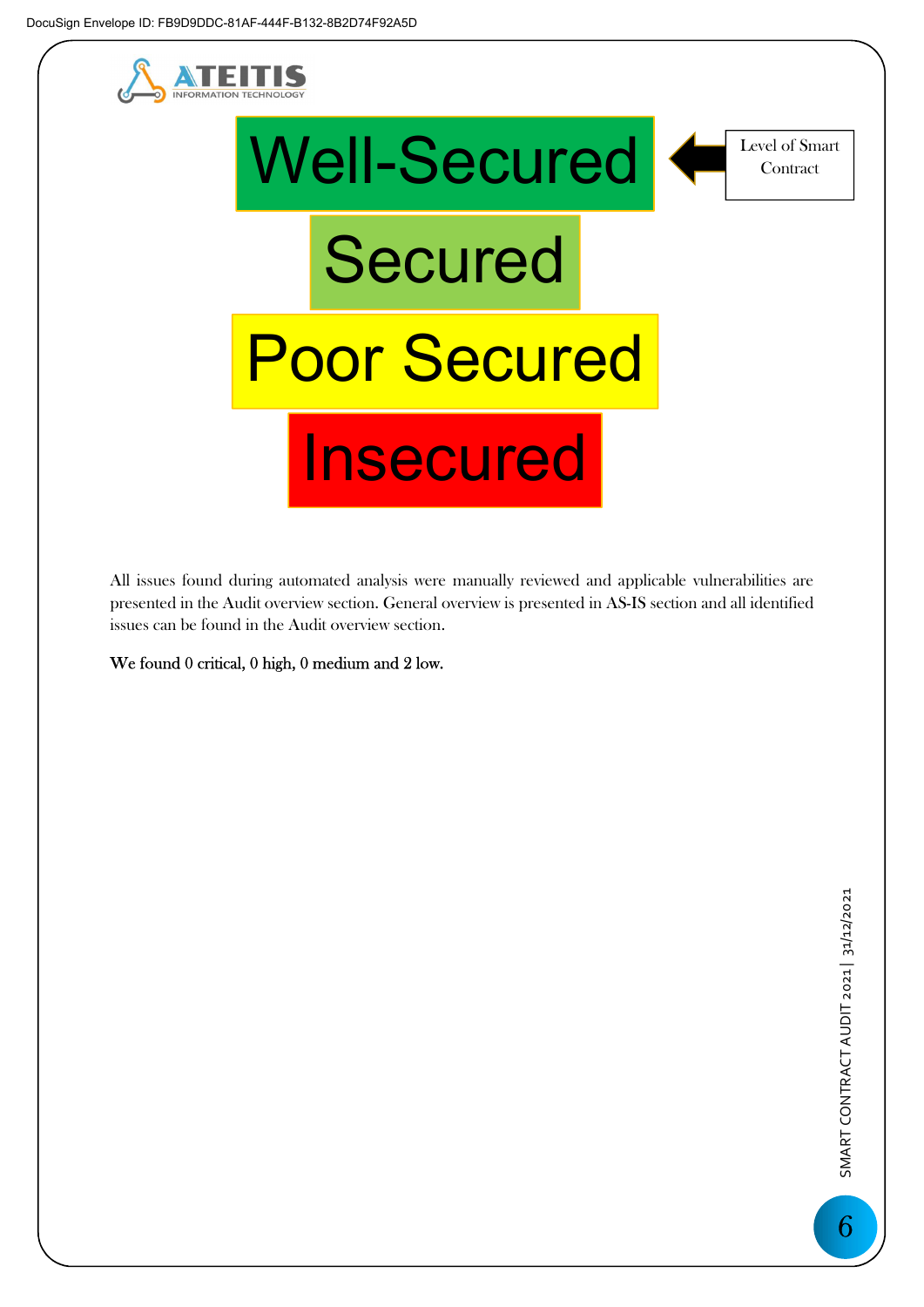



All issues found during automated analysis were manually reviewed and applicable vulnerabilities are presented in the Audit overview section. General overview is presented in AS-IS section and all identified issues can be found in the Audit overview section.

We found 0 critical, 0 high, 0 medium and 2 low.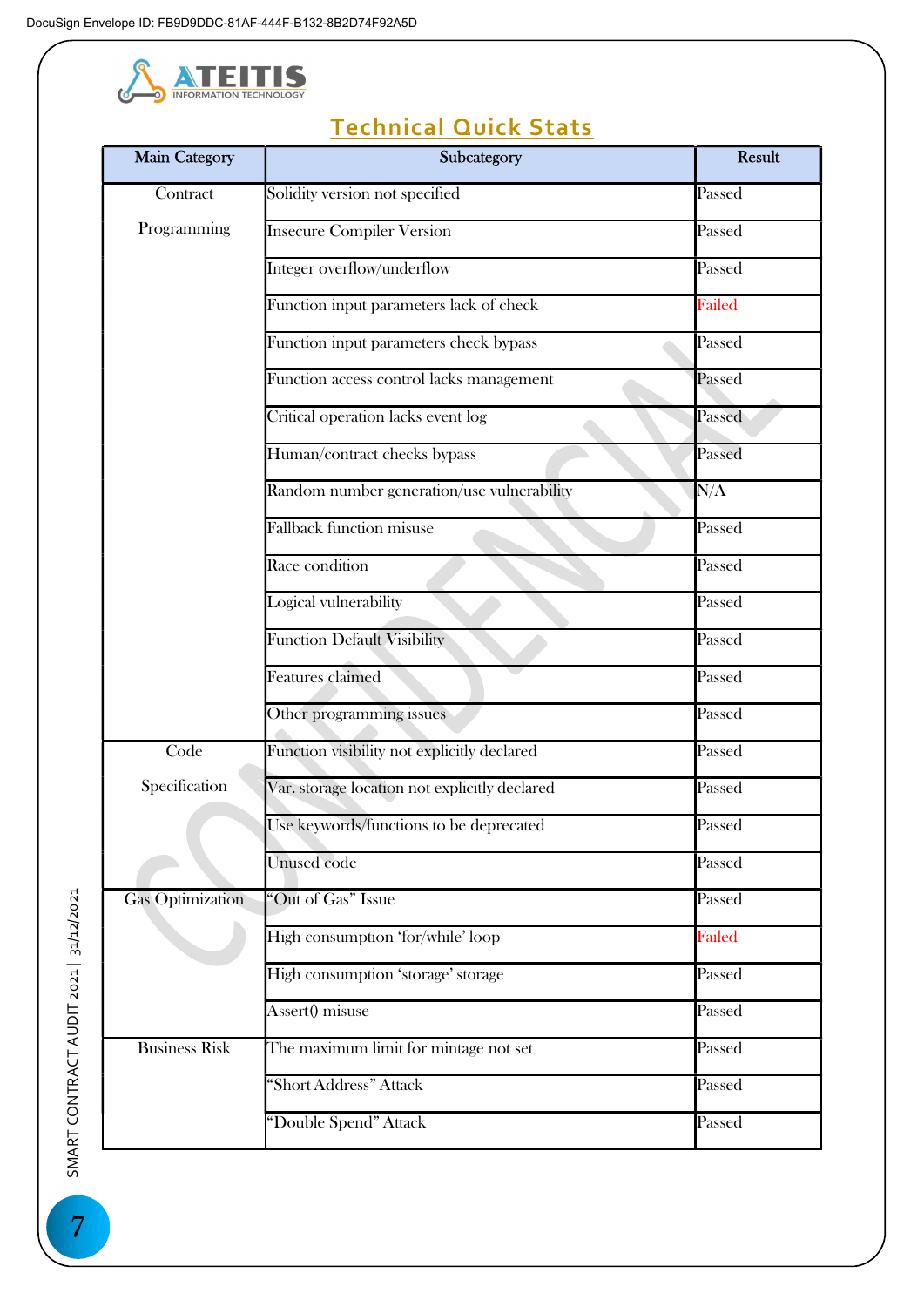

# Gas Optimization<br>
1 SMART AUDIT 2021<br>
Business Risk<br>
Business Risk<br>
SMART Main Category **National Category** Subcategory **Result Contract** Programming Solidity version not specified **Passed** Insecure Compiler Version Passed Integer overflow/underflow Passed Function input parameters lack of check Failed Function input parameters check bypass Passed Function access control lacks management Passed Critical operation lacks event log Passed Human/contract checks bypass Passed Random number generation/use vulnerability N/A Fallback function misuse Passed Race condition Passed **Logical vulnerability** Passed Function Default Visibility Passed Features claimed Passed Other programming issues Passed Code Specification Function visibility not explicitly declared Passed Var. storage location not explicitly declared Passed Use keywords/functions to be deprecated Passed Unused code Passed Gas Optimization "Out of Gas" Issue Passed High consumption 'for/while' loop Failed High consumption 'storage' storage Passed Assert() misuse Passed The maximum limit for mintage not set Passed "Short Address" Attack Passed "Double Spend" Attack Passed

# Technical Quick Stats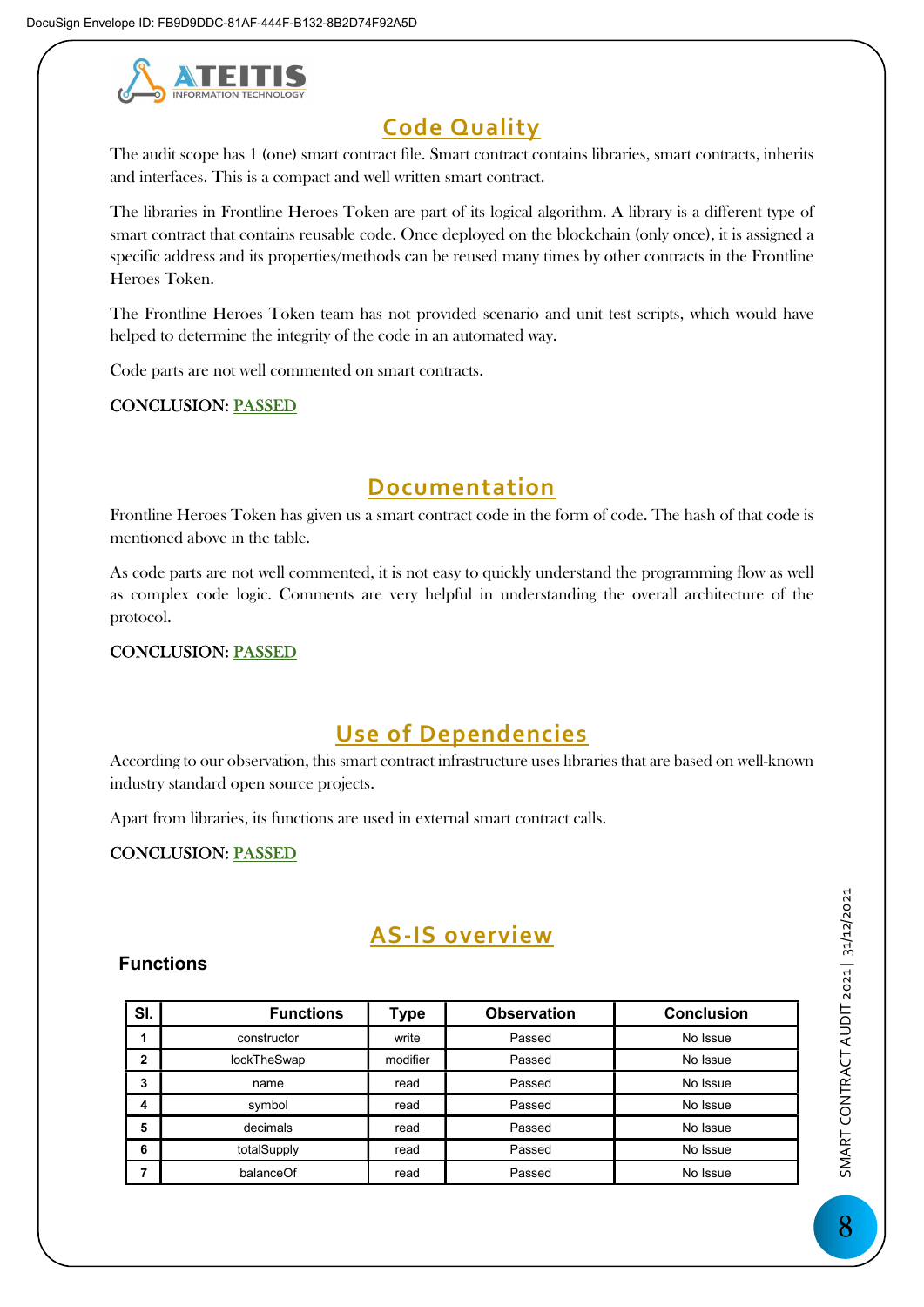

# Code Quality

The audit scope has 1 (one) smart contract file. Smart contract contains libraries, smart contracts, inherits and interfaces. This is a compact and well written smart contract.

The libraries in Frontline Heroes Token are part of its logical algorithm. A library is a different type of smart contract that contains reusable code. Once deployed on the blockchain (only once), it is assigned a specific address and its properties/methods can be reused many times by other contracts in the Frontline Heroes Token.

The Frontline Heroes Token team has not provided scenario and unit test scripts, which would have helped to determine the integrity of the code in an automated way.

Code parts are not well commented on smart contracts.

#### CONCLUSION: PASSED

## Documentation

Frontline Heroes Token has given us a smart contract code in the form of code. The hash of that code is mentioned above in the table.

As code parts are not well commented, it is not easy to quickly understand the programming flow as well as complex code logic. Comments are very helpful in understanding the overall architecture of the protocol.

CONCLUSION: PASSED

# Use of Dependencies

According to our observation, this smart contract infrastructure uses libraries that are based on well-known industry standard open source projects.

Apart from libraries, its functions are used in external smart contract calls.

#### CONCLUSION: PASSED

## AS-IS overview

#### Functions

| SI.            | <b>Functions</b> | Type     | <b>Observation</b> | <b>Conclusion</b> |
|----------------|------------------|----------|--------------------|-------------------|
|                | constructor      | write    | Passed             | No Issue          |
| $\overline{2}$ | lockTheSwap      | modifier | Passed             | No Issue          |
| 3              | name             | read     | Passed             | No Issue          |
| 4              | symbol           | read     | Passed             | No Issue          |
| 5              | decimals         | read     | Passed             | No Issue          |
| 6              | totalSupply      | read     | Passed             | No Issue          |
|                | balanceOf        | read     | Passed             | No Issue          |

SMART CONTRACT AUDIT 2021 | 31/12/2021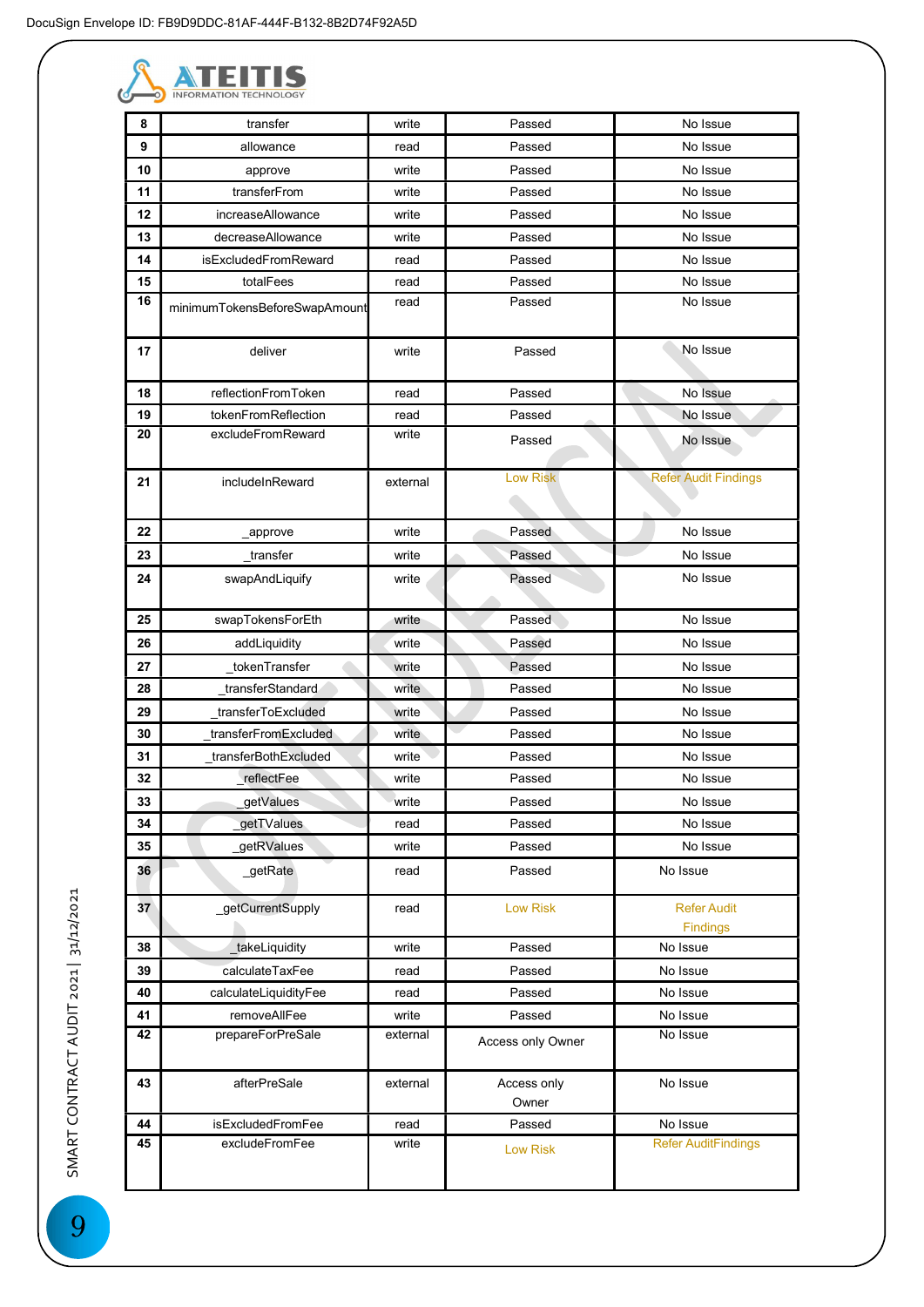

| 8        | transfer                      | write          | Passed               | No Issue                       |
|----------|-------------------------------|----------------|----------------------|--------------------------------|
| 9        | allowance                     | read           | Passed               | No Issue                       |
| 10<br>11 | approve<br>transferFrom       | write<br>write | Passed<br>Passed     | No Issue<br>No Issue           |
| 12       | increaseAllowance             | write          | Passed               | No Issue                       |
| 13       | decreaseAllowance             | write          | Passed               | No Issue                       |
| 14       | isExcludedFromReward          | read           | Passed               | No Issue                       |
| 15       | totalFees                     | read           | Passed               | No Issue                       |
| 16       |                               | read           | Passed               | No Issue                       |
|          | minimumTokensBeforeSwapAmount |                |                      |                                |
| 17       | deliver                       | write          | Passed               | No Issue                       |
| 18       | reflectionFromToken           | read           | Passed               | No Issue                       |
| 19       | tokenFromReflection           | read           | Passed               | No Issue                       |
| 20       | excludeFromReward             | write          | Passed               | No Issue                       |
| 21       | includeInReward               | external       | <b>Low Risk</b>      | <b>Refer Audit Findings</b>    |
| 22       | _approve                      | write          | Passed               | No Issue                       |
| 23       | transfer                      | write          | Passed               | No Issue                       |
| 24       | swapAndLiquify                | write          | Passed               | No Issue                       |
| 25       | swapTokensForEth              | write          | Passed               | No Issue                       |
| 26       | addLiquidity                  | write          | Passed               | No Issue                       |
| 27       | tokenTransfer                 | write          | Passed               | No Issue                       |
| 28       | transferStandard              | write          | Passed               | No Issue                       |
| 29       | transferToExcluded            | write          | Passed               | No Issue                       |
| 30       | _transferFromExcluded         | write          | Passed               | No Issue                       |
| 31       | transferBothExcluded          | write          | Passed               | No Issue                       |
| 32       | reflectFee                    | write          | Passed               | No Issue                       |
| 33       | getValues                     | write          | Passed               | No Issue                       |
| 34       | getTValues                    | read           | Passed               | No Issue                       |
| 35       | getRValues                    | write          | Passed               | No Issue                       |
| 36       | _getRate                      | read           | Passed               | No Issue                       |
| 37       | _getCurrentSupply             | read           | <b>Low Risk</b>      | <b>Refer Audit</b><br>Findings |
| 38       | _takeLiquidity                | write          | Passed               | No Issue                       |
| 39       | calculateTaxFee               | read           | Passed               | No Issue                       |
| 40       | calculateLiquidityFee         | read           | Passed               | No Issue                       |
| 41       | removeAllFee                  | write          | Passed               | No Issue                       |
| 42       | prepareForPreSale             | external       | Access only Owner    | No Issue                       |
| 43       | afterPreSale                  | external       | Access only<br>Owner | No Issue                       |
| 44       | isExcludedFromFee             | read           | Passed               | No Issue                       |
| 45       | excludeFromFee                | write          | <b>Low Risk</b>      | <b>Refer AuditFindings</b>     |
|          |                               |                |                      |                                |

SMART CONTRACT AUDIT 2021 | 31/12/2021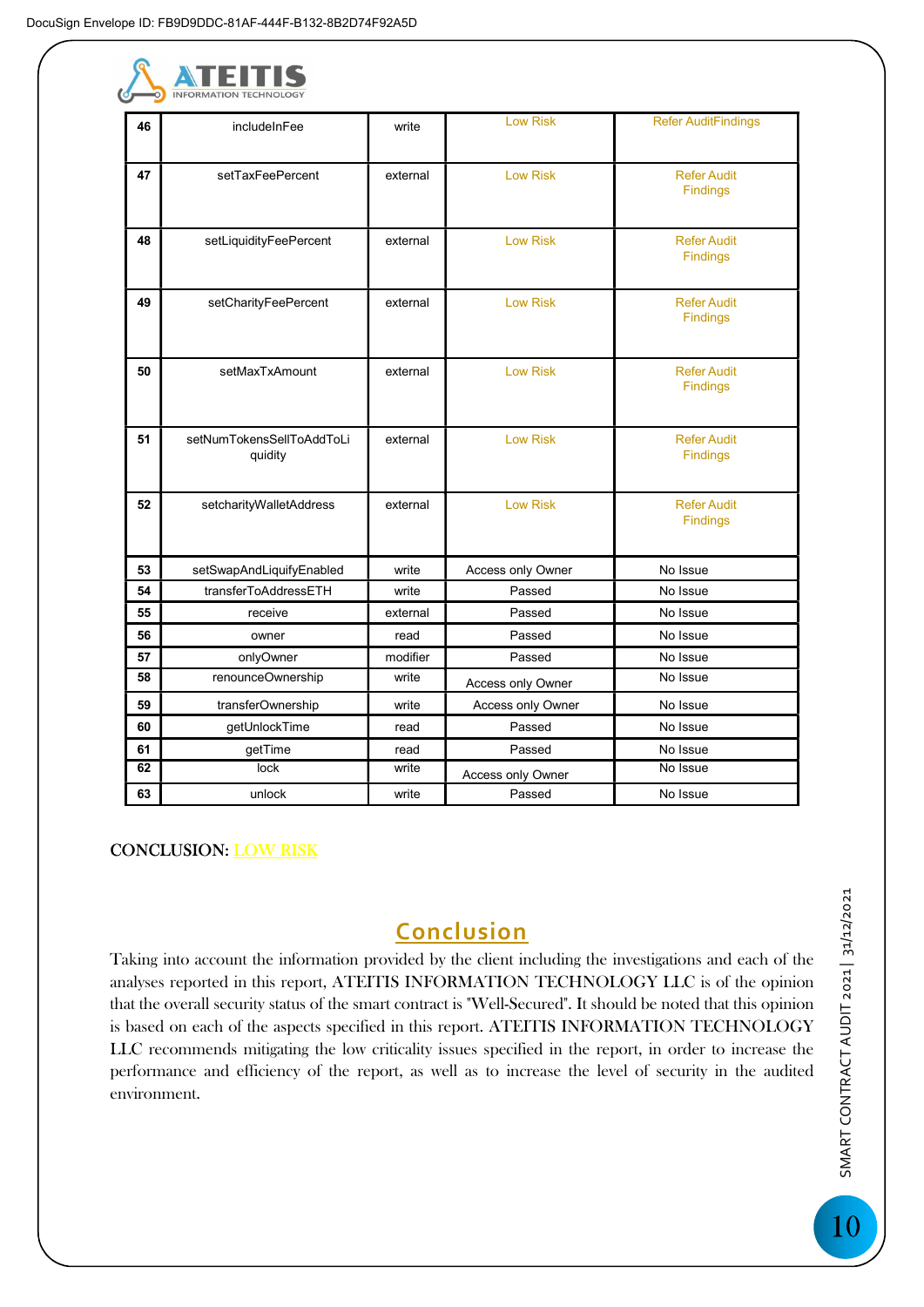| r 11<br>. .                   |
|-------------------------------|
| <b>INFORMATION TECHNOLOGY</b> |

| 46 | includeInFee              | write    | <b>Low Risk</b>   | <b>Refer AuditFindings</b> |
|----|---------------------------|----------|-------------------|----------------------------|
|    |                           |          |                   |                            |
| 47 | setTaxFeePercent          | external | <b>Low Risk</b>   | <b>Refer Audit</b>         |
|    |                           |          |                   | <b>Findings</b>            |
|    |                           |          |                   |                            |
| 48 | setLiquidityFeePercent    | external | <b>Low Risk</b>   | <b>Refer Audit</b>         |
|    |                           |          |                   | <b>Findings</b>            |
|    |                           |          |                   |                            |
| 49 | setCharityFeePercent      | external | <b>Low Risk</b>   | <b>Refer Audit</b>         |
|    |                           |          |                   | <b>Findings</b>            |
|    |                           |          |                   |                            |
| 50 | setMaxTxAmount            | external | <b>Low Risk</b>   | <b>Refer Audit</b>         |
|    |                           |          |                   | <b>Findings</b>            |
|    |                           |          |                   |                            |
| 51 | setNumTokensSellToAddToLi | external | <b>Low Risk</b>   | <b>Refer Audit</b>         |
|    | quidity                   |          |                   | <b>Findings</b>            |
|    |                           |          |                   |                            |
| 52 | setcharityWalletAddress   | external | <b>Low Risk</b>   | <b>Refer Audit</b>         |
|    |                           |          |                   | <b>Findings</b>            |
|    |                           |          |                   |                            |
| 53 | setSwapAndLiquifyEnabled  | write    | Access only Owner | No Issue                   |
| 54 | transferToAddressETH      | write    | Passed            | No Issue                   |
| 55 | receive                   | external | Passed            | No Issue                   |
| 56 | owner                     | read     | Passed            | No Issue                   |
| 57 | onlyOwner                 | modifier | Passed            | No Issue                   |
| 58 | renounceOwnership         | write    | Access only Owner | No Issue                   |
| 59 | transferOwnership         | write    | Access only Owner | No Issue                   |
| 60 | getUnlockTime             | read     | Passed            | No Issue                   |
| 61 | getTime                   | read     | Passed            | No Issue                   |
| 62 | lock                      | write    | Access only Owner | No Issue                   |
| 63 | unlock                    | write    | Passed            | No Issue                   |

CONCLUSION: LOW RISK

# Conclusion

Taking into account the information provided by the client including the investigations and each of the analyses reported in this report, ATEITIS INFORMATION TECHNOLOGY LLC is of the opinion that the overall security status of the smart contract is "Well-Secured". It should be noted that this opinion is based on each of the aspects specified in this report. ATEITIS INFORMATION TECHNOLOGY LLC recommends mitigating the low criticality issues specified in the report, in order to increase the performance and efficiency of the report, as well as to increase the level of security in the audited environment.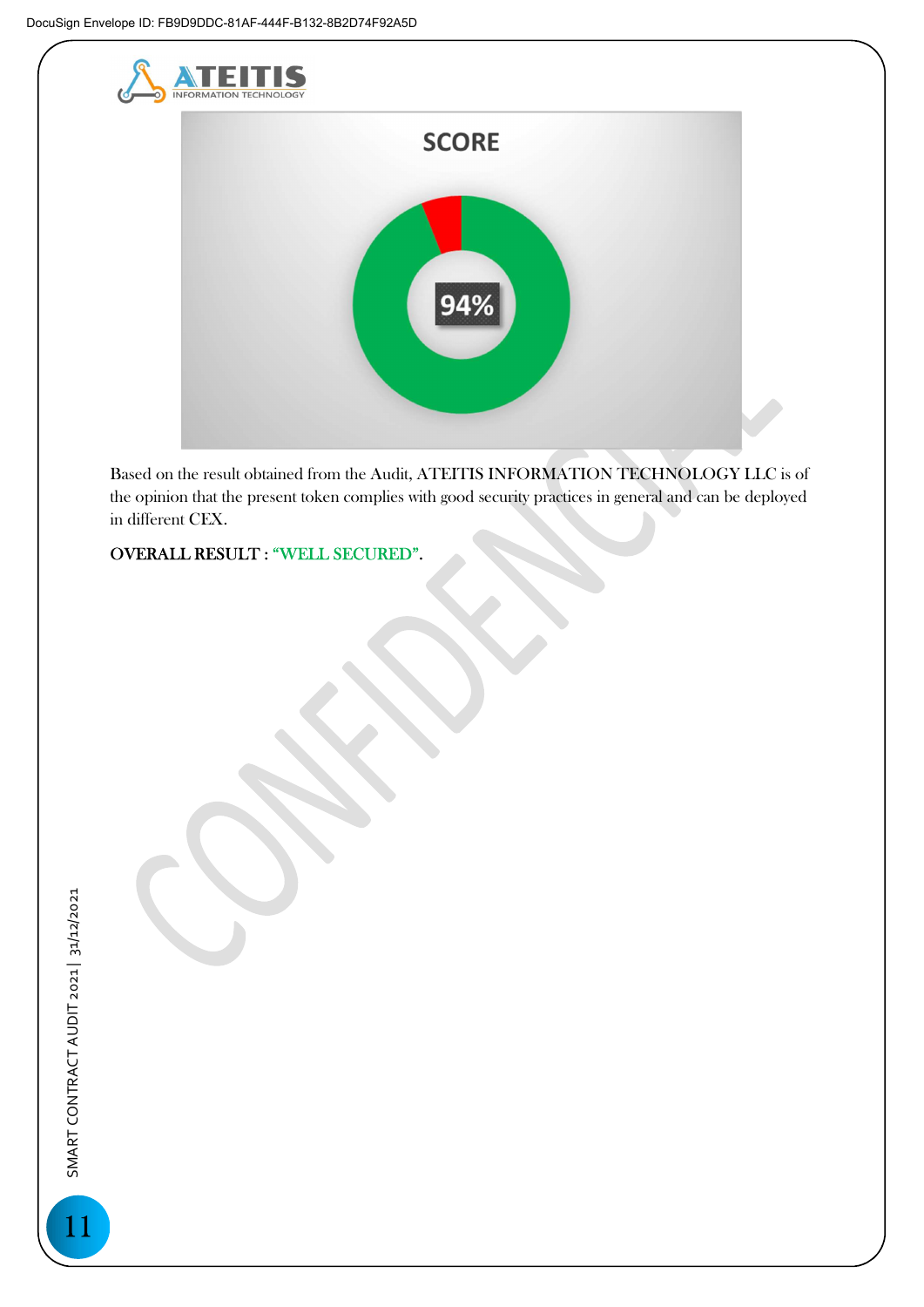

Based on the result obtained from the Audit, ATEITIS INFORMATION TECHNOLOGY LLC is of the opinion that the present token complies with good security practices in general and can be deployed in different CEX.

OVERALL RESULT : "WELL SECURED".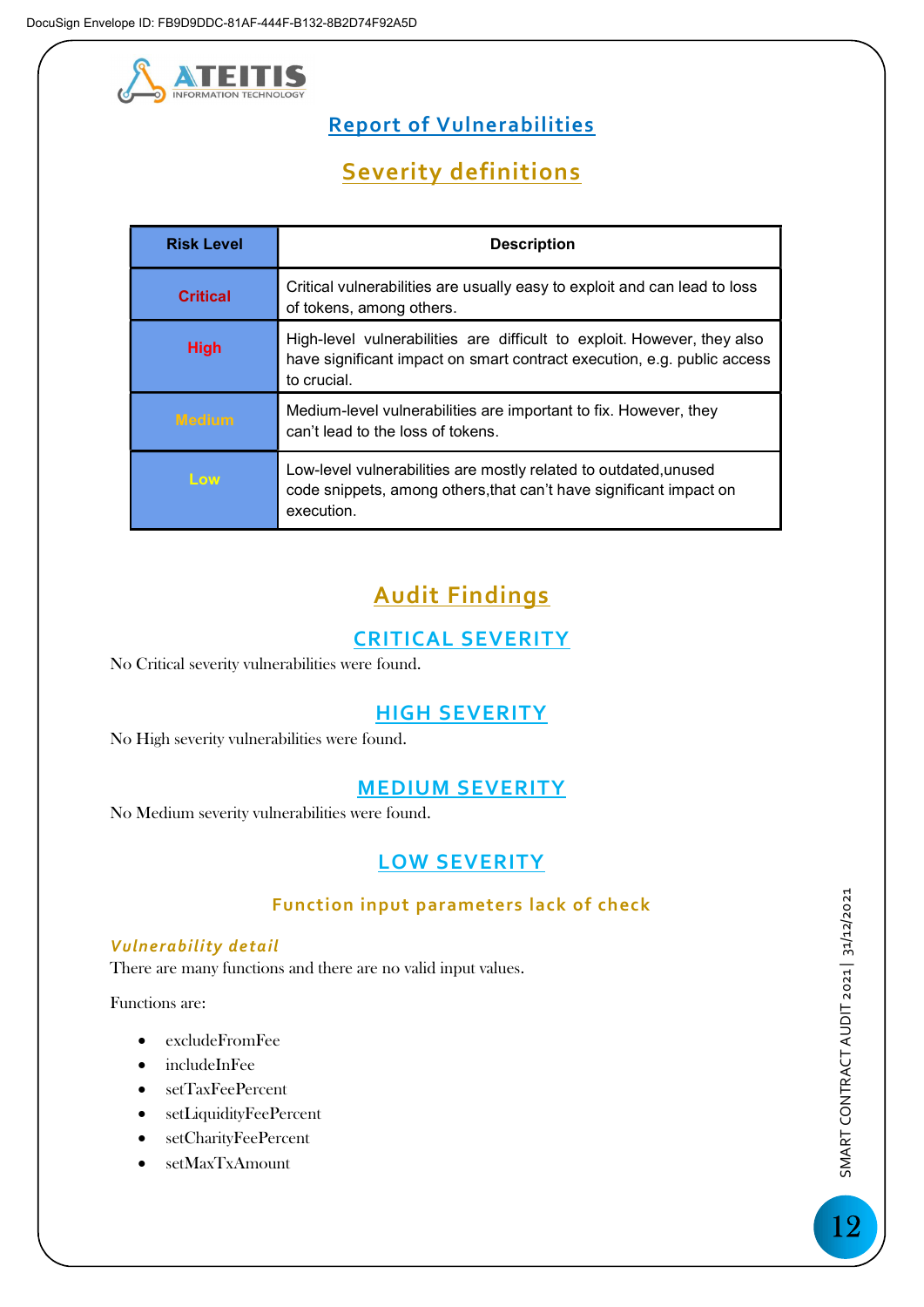

# Report of Vulnerabilities

# Severity definitions

| <b>Risk Level</b> | <b>Description</b>                                                                                                                                                |
|-------------------|-------------------------------------------------------------------------------------------------------------------------------------------------------------------|
| <b>Critical</b>   | Critical vulnerabilities are usually easy to exploit and can lead to loss<br>of tokens, among others.                                                             |
| <b>High</b>       | High-level vulnerabilities are difficult to exploit. However, they also<br>have significant impact on smart contract execution, e.g. public access<br>to crucial. |
| <b>Medium</b>     | Medium-level vulnerabilities are important to fix. However, they<br>can't lead to the loss of tokens.                                                             |
| Low               | Low-level vulnerabilities are mostly related to outdated, unused<br>code snippets, among others, that can't have significant impact on<br>execution.              |

# Audit Findings

# CRITICAL SEVERITY

No Critical severity vulnerabilities were found.

## HIGH SEVERITY

No High severity vulnerabilities were found.

## MEDIUM SEVERITY

No Medium severity vulnerabilities were found.

## LOW SEVERITY

### Function input parameters lack of check

### Vulnerability detail

There are many functions and there are no valid input values.

Functions are:

- excludeFromFee
- includeInFee
- setTaxFeePercent
- setLiquidityFeePercent
- setCharityFeePercent
- setMaxTxAmount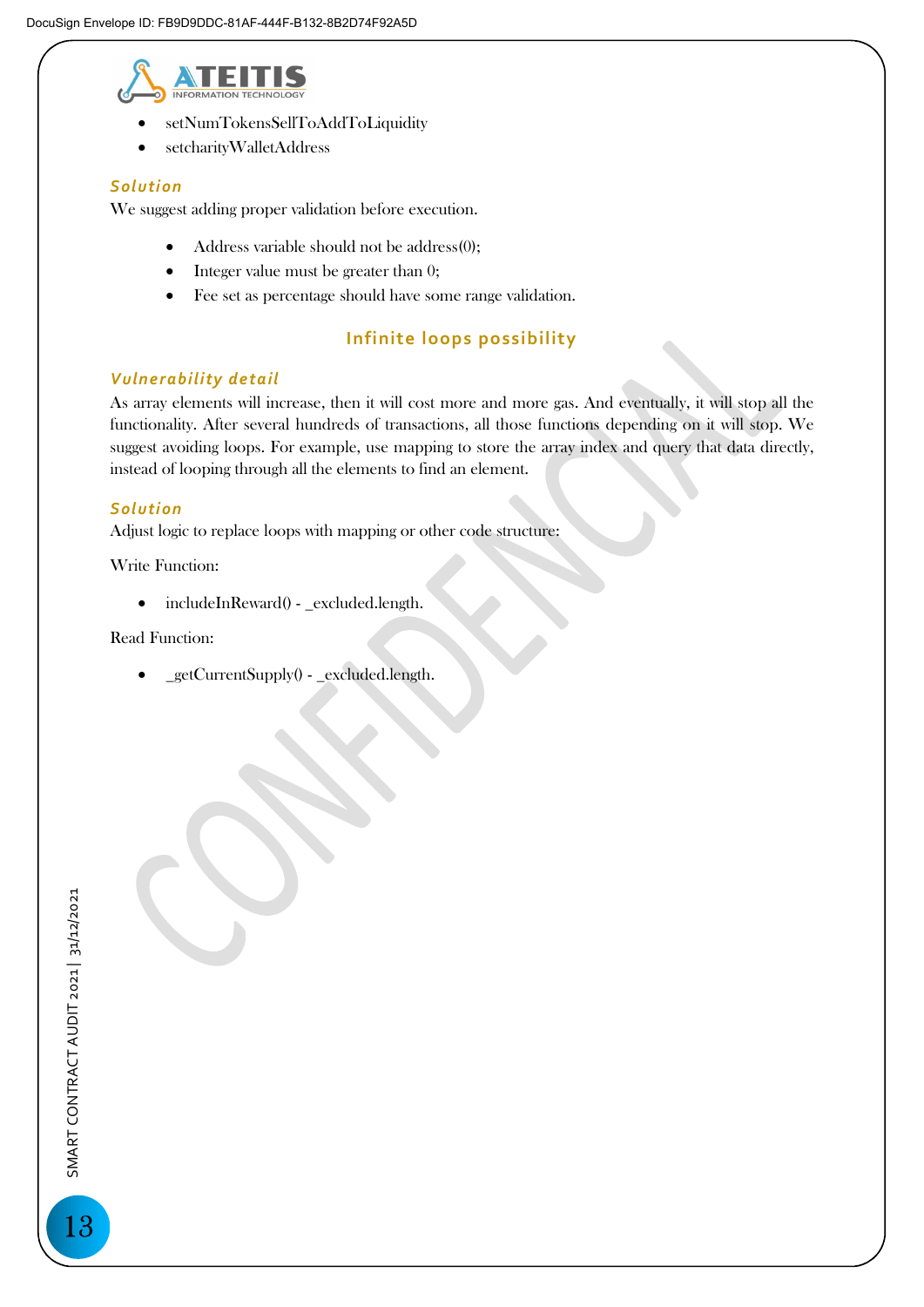

- setNumTokensSellToAddToLiquidity
- setcharityWalletAddress

#### **Solution**

We suggest adding proper validation before execution.

- Address variable should not be address(0);
- Integer value must be greater than 0;
- Fee set as percentage should have some range validation.

### Infinite loops possibility

#### Vulnerability detail

As array elements will increase, then it will cost more and more gas. And eventually, it will stop all the functionality. After several hundreds of transactions, all those functions depending on it will stop. We suggest avoiding loops. For example, use mapping to store the array index and query that data directly, instead of looping through all the elements to find an element.

#### **Solution**

Adjust logic to replace loops with mapping or other code structure:

Write Function:

• includeInReward() - \_excluded.length.

Read Function:

\_getCurrentSupply() - \_excluded.length.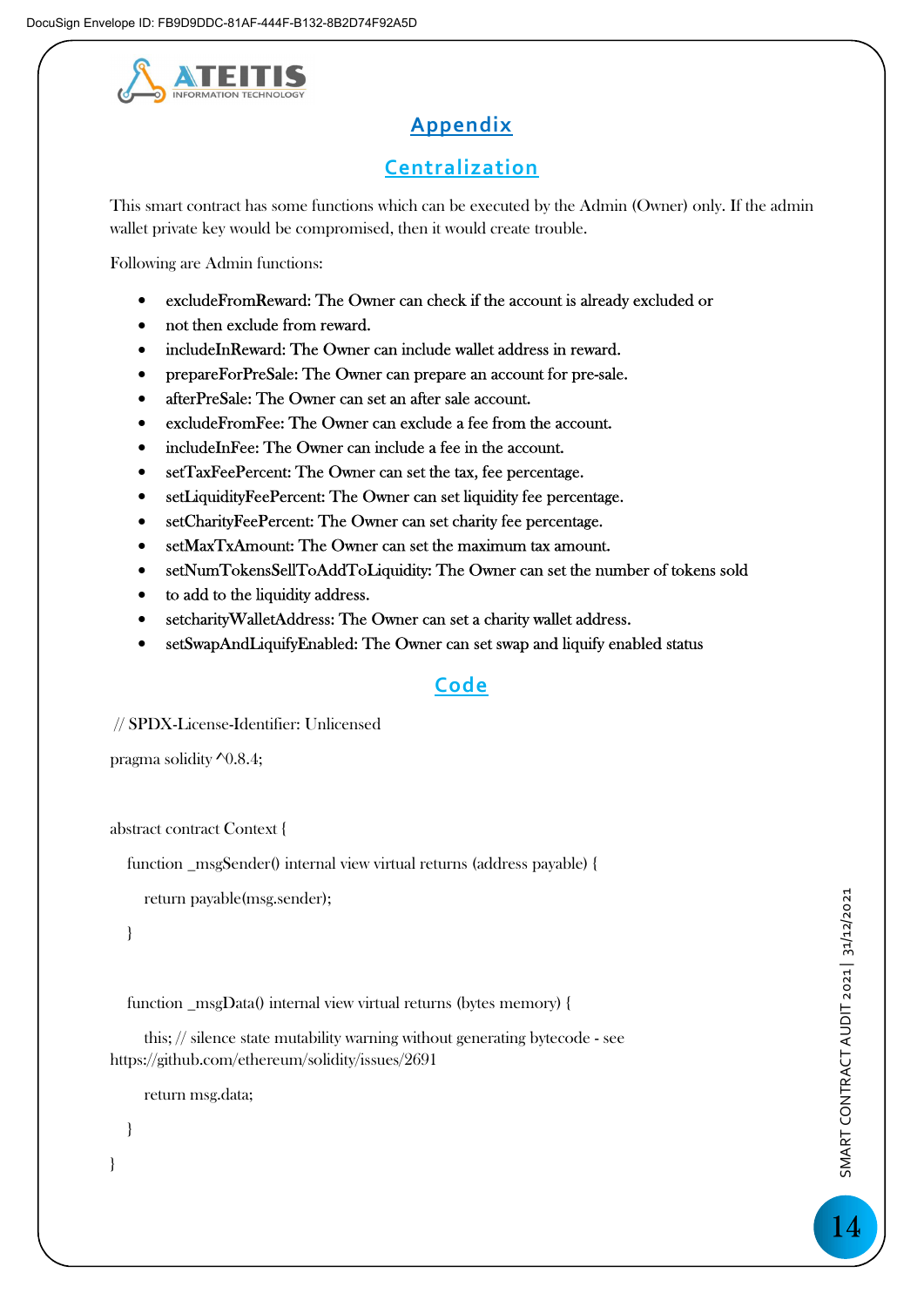

# **Appendix**

## Centralization

This smart contract has some functions which can be executed by the Admin (Owner) only. If the admin wallet private key would be compromised, then it would create trouble.

Following are Admin functions:

- excludeFromReward: The Owner can check if the account is already excluded or
- not then exclude from reward.
- includeInReward: The Owner can include wallet address in reward.
- prepareForPreSale: The Owner can prepare an account for pre-sale.
- afterPreSale: The Owner can set an after sale account.
- excludeFromFee: The Owner can exclude a fee from the account.
- includeInFee: The Owner can include a fee in the account.
- setTaxFeePercent: The Owner can set the tax, fee percentage.
- setLiquidityFeePercent: The Owner can set liquidity fee percentage.
- setCharityFeePercent: The Owner can set charity fee percentage.
- setMaxTxAmount: The Owner can set the maximum tax amount.
- setNumTokensSellToAddToLiquidity: The Owner can set the number of tokens sold
- to add to the liquidity address.
- setcharityWalletAddress: The Owner can set a charity wallet address.
- setSwapAndLiquifyEnabled: The Owner can set swap and liquify enabled status

## Code

// SPDX-License-Identifier: Unlicensed

```
pragma solidity \sqrt{0.8.4};
```
abstract contract Context {

function \_msgSender() internal view virtual returns (address payable) {

return payable(msg.sender);

}

function \_msgData() internal view virtual returns (bytes memory) {

 this; // silence state mutability warning without generating bytecode - see https://github.com/ethereum/solidity/issues/2691

return msg.data;

}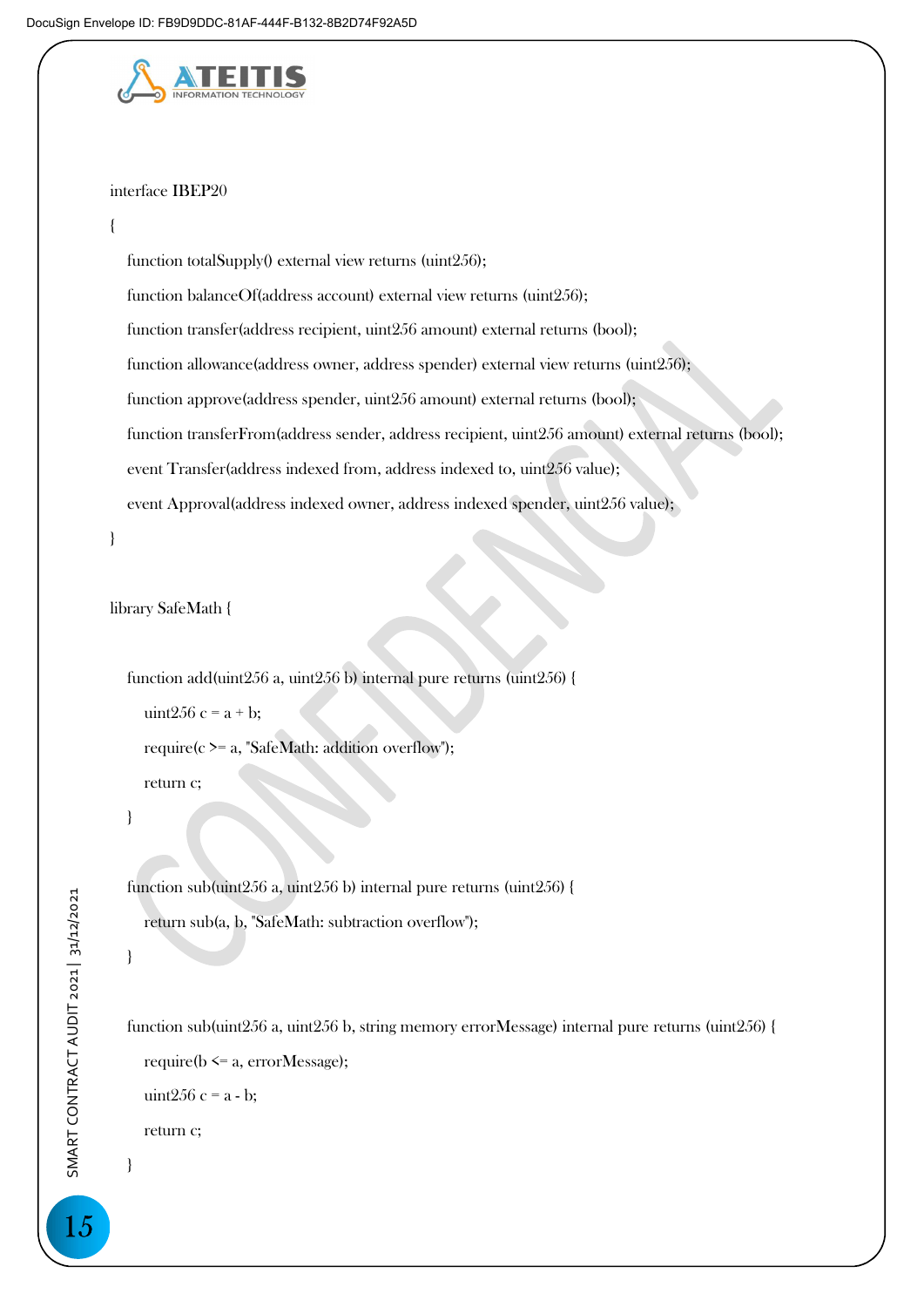

#### interface IBEP20

#### {

function totalSupply() external view returns (uint256); function balanceOf(address account) external view returns (uint256); function transfer(address recipient, uint256 amount) external returns (bool); function allowance(address owner, address spender) external view returns (uint256); function approve(address spender, uint256 amount) external returns (bool); function transferFrom(address sender, address recipient, uint256 amount) external returns (bool); event Transfer(address indexed from, address indexed to, uint256 value); event Approval(address indexed owner, address indexed spender, uint256 value);

```
}
```
library SafeMath {

 function add(uint256 a, uint256 b) internal pure returns (uint256) { uint $256 c = a + b$ ; require(c >= a, "SafeMath: addition overflow"); return c;

}

 function sub(uint256 a, uint256 b) internal pure returns (uint256) { return sub(a, b, "SafeMath: subtraction overflow");

### }

 function sub(uint256 a, uint256 b, string memory errorMessage) internal pure returns (uint256) { require( $b \le a$ , errorMessage); uint $256 c = a - b$ ; return c; }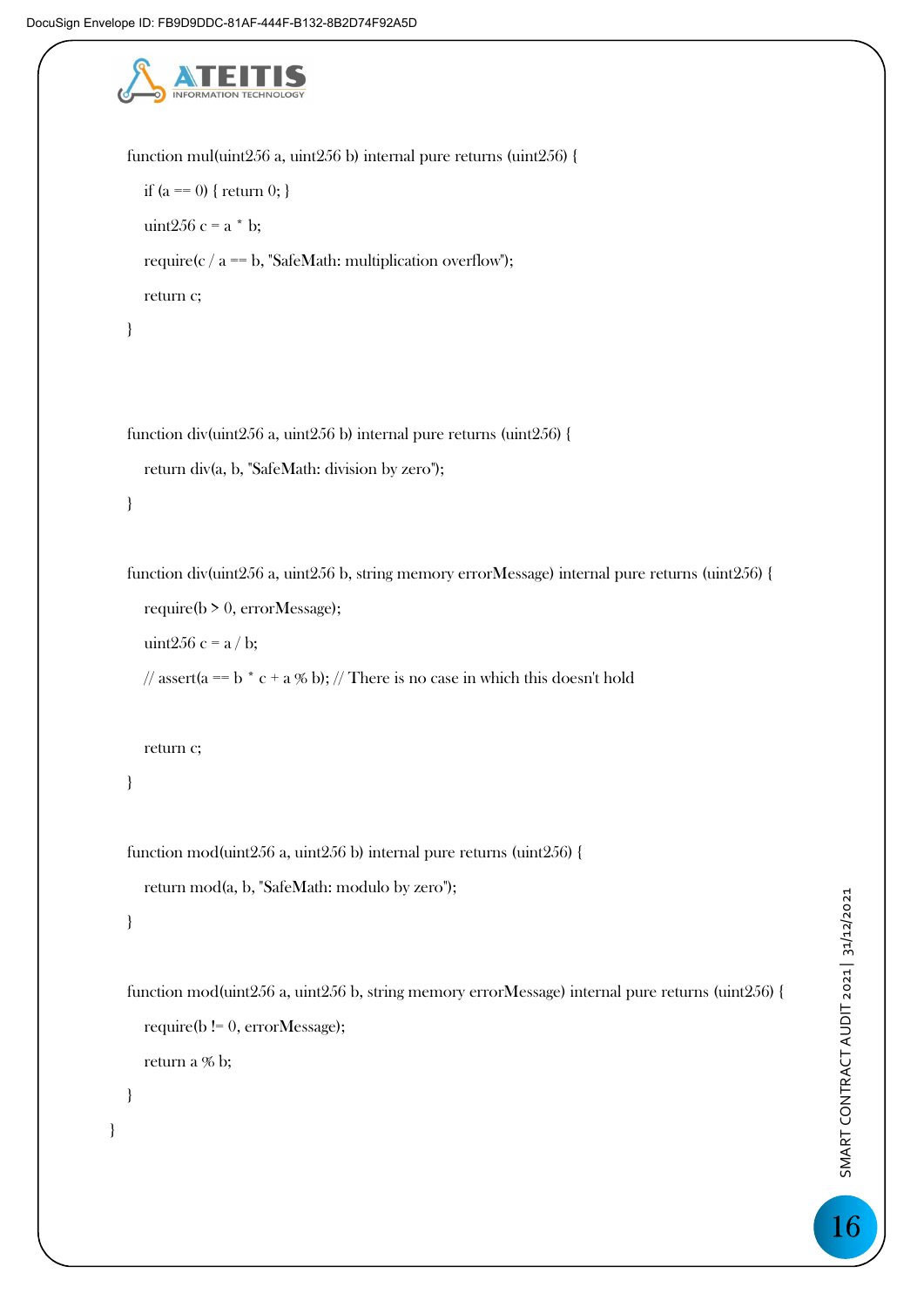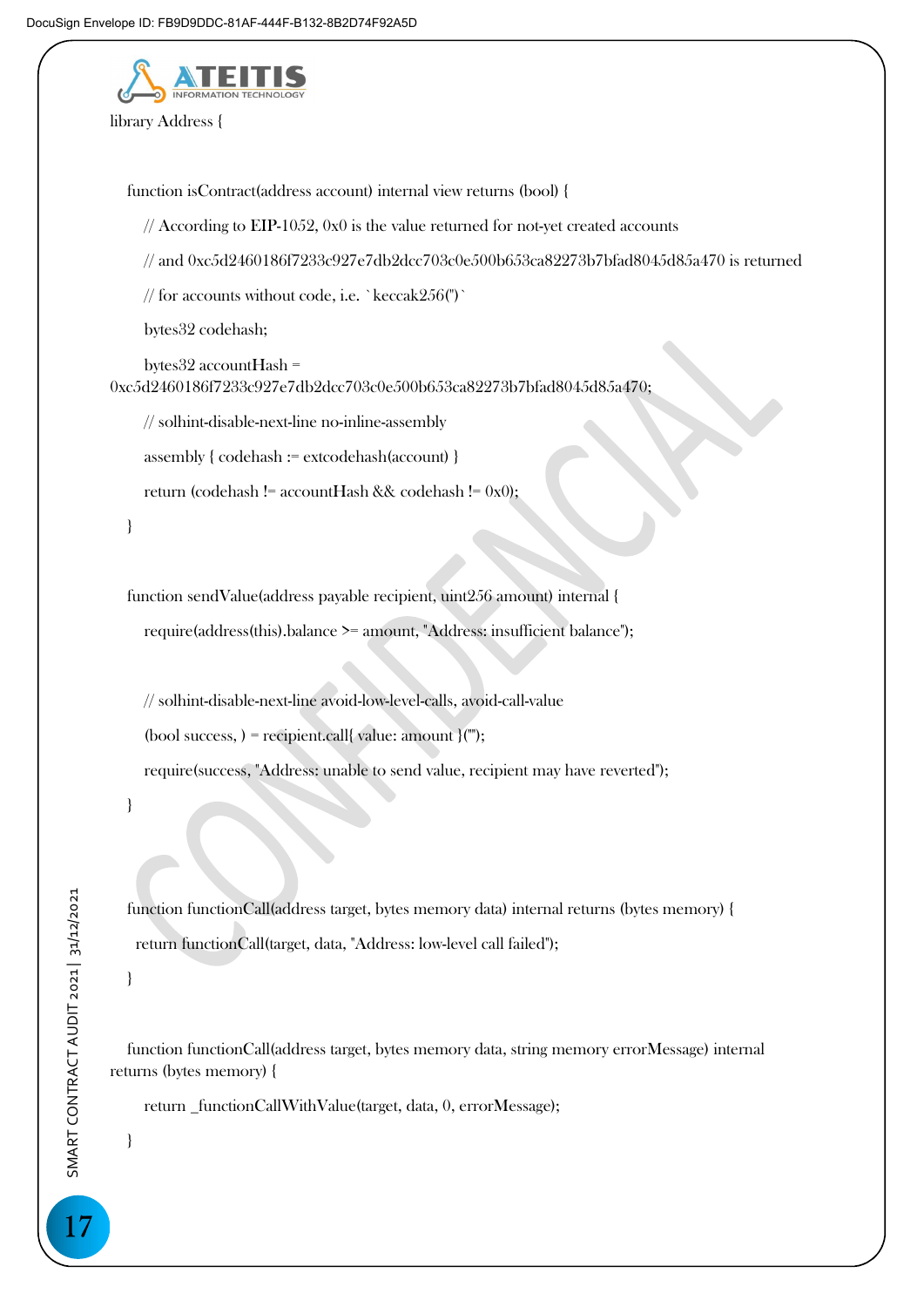

library Address {

function isContract(address account) internal view returns (bool) {

// According to EIP-1052, 0x0 is the value returned for not-yet created accounts

// and 0xc5d2460186f7233c927e7db2dcc703c0e500b653ca82273b7bfad8045d85a470 is returned

// for accounts without code, i.e. `keccak256(")`

bytes32 codehash;

 bytes32 accountHash = 0xc5d2460186f7233c927e7db2dcc703c0e500b653ca82273b7bfad8045d85a470;

// solhint-disable-next-line no-inline-assembly

assembly { codehash := extcodehash(account) }

return (codehash != accountHash && codehash !=  $0x0$ );

}

 function sendValue(address payable recipient, uint256 amount) internal { require(address(this).balance >= amount, "Address: insufficient balance");

 // solhint-disable-next-line avoid-low-level-calls, avoid-call-value (bool success, ) = recipient.call{ value: amount }("");

require(success, "Address: unable to send value, recipient may have reverted");

}

 function functionCall(address target, bytes memory data) internal returns (bytes memory) { return functionCall(target, data, "Address: low-level call failed");

}

 function functionCall(address target, bytes memory data, string memory errorMessage) internal returns (bytes memory) {

return \_functionCallWithValue(target, data, 0, errorMessage);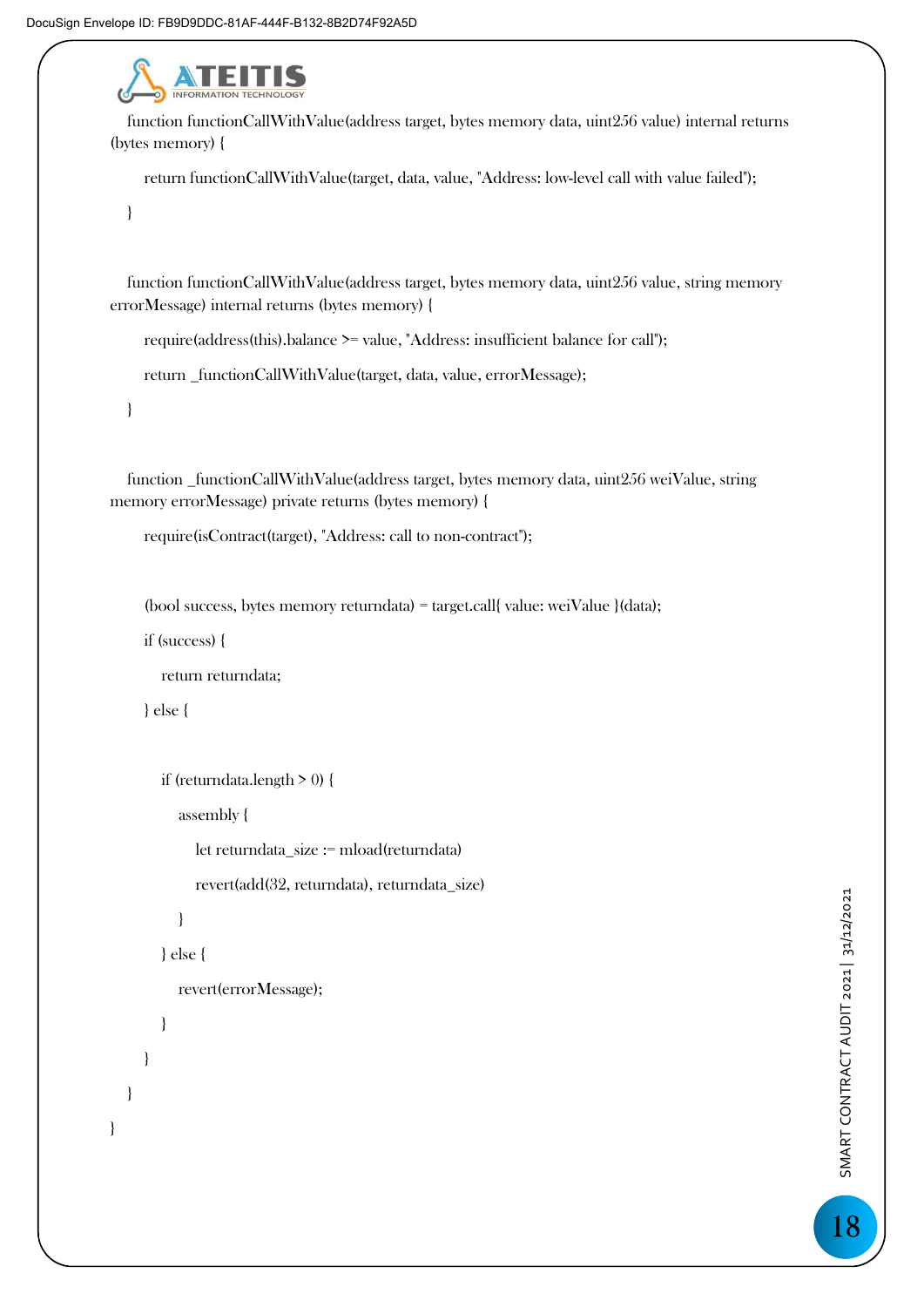

 function functionCallWithValue(address target, bytes memory data, uint256 value) internal returns (bytes memory) {

return functionCallWithValue(target, data, value, "Address: low-level call with value failed");

}

 function functionCallWithValue(address target, bytes memory data, uint256 value, string memory errorMessage) internal returns (bytes memory) {

require(address(this).balance >= value, "Address: insufficient balance for call");

return \_functionCallWithValue(target, data, value, errorMessage);

}

 function \_functionCallWithValue(address target, bytes memory data, uint256 weiValue, string memory errorMessage) private returns (bytes memory) {

require(isContract(target), "Address: call to non-contract");

(bool success, bytes memory returndata) = target.call{ value: weiValue }(data);

if (success) {

return returndata;

} else {

}

```
 if (returndata.length > 0) { 
            assembly { 
              let returndata_size := mload(returndata) 
              revert(add(32, returndata), returndata_size) 
            } 
         } else { 
            revert(errorMessage); 
         } 
 }
```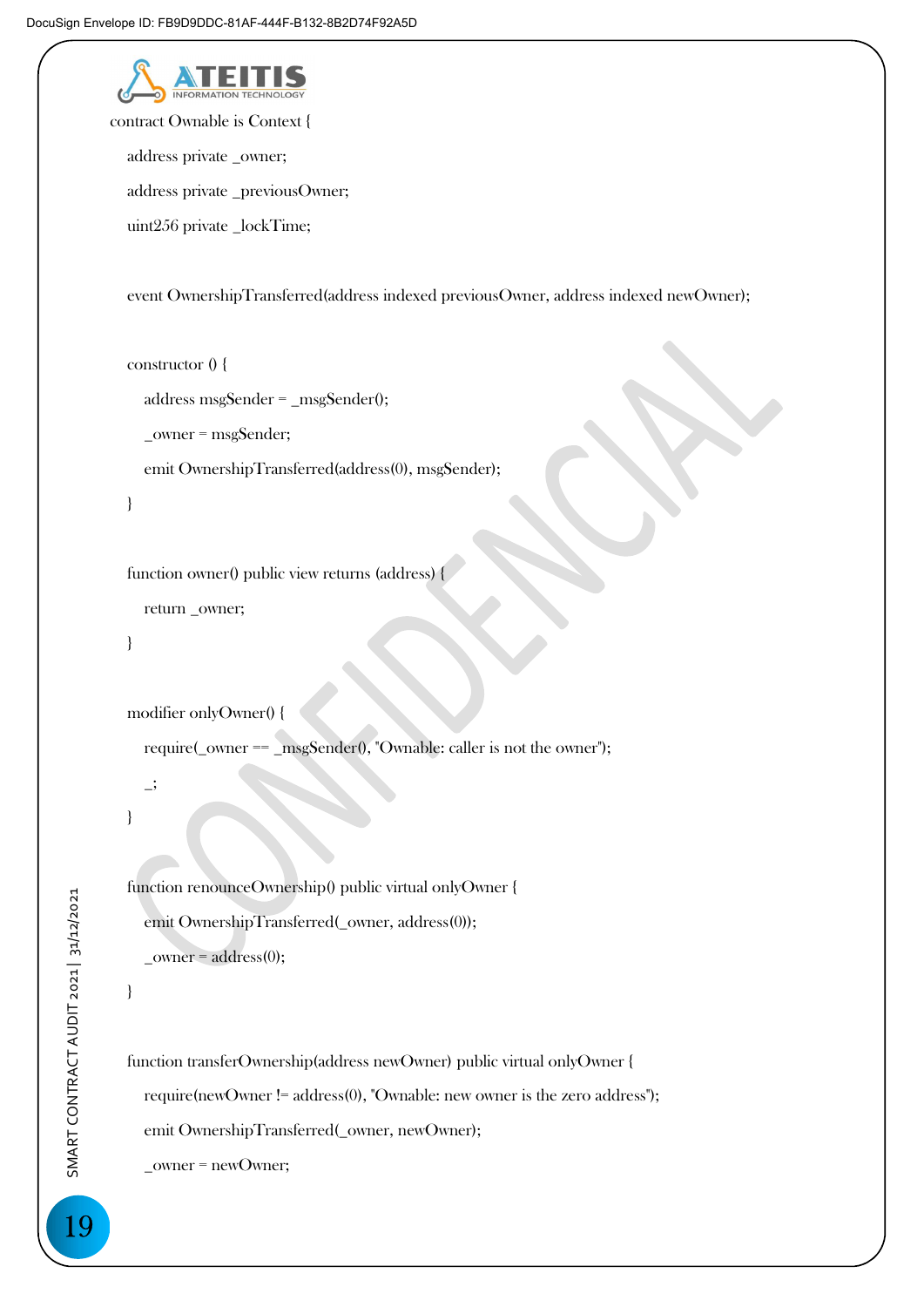

contract Ownable is Context {

address private \_owner;

address private \_previousOwner;

uint256 private \_lockTime;

event OwnershipTransferred(address indexed previousOwner, address indexed newOwner);

```
 constructor () {
```
address msgSender = \_msgSender();

\_owner = msgSender;

emit OwnershipTransferred(address(0), msgSender);

```
 }
```
function owner() public view returns (address) {

```
 return _owner;
```

```
 }
```

```
 modifier onlyOwner() {
```
require(\_owner == \_msgSender(), "Ownable: caller is not the owner");

 $\overline{\phantom{a}}$ 

}

}

 function renounceOwnership() public virtual onlyOwner { emit OwnershipTransferred(\_owner, address(0));  $_$  \_owner =  $address(0);$ 

 function transferOwnership(address newOwner) public virtual onlyOwner { require(newOwner != address(0), "Ownable: new owner is the zero address");

emit OwnershipTransferred(\_owner, newOwner);

\_owner = newOwner;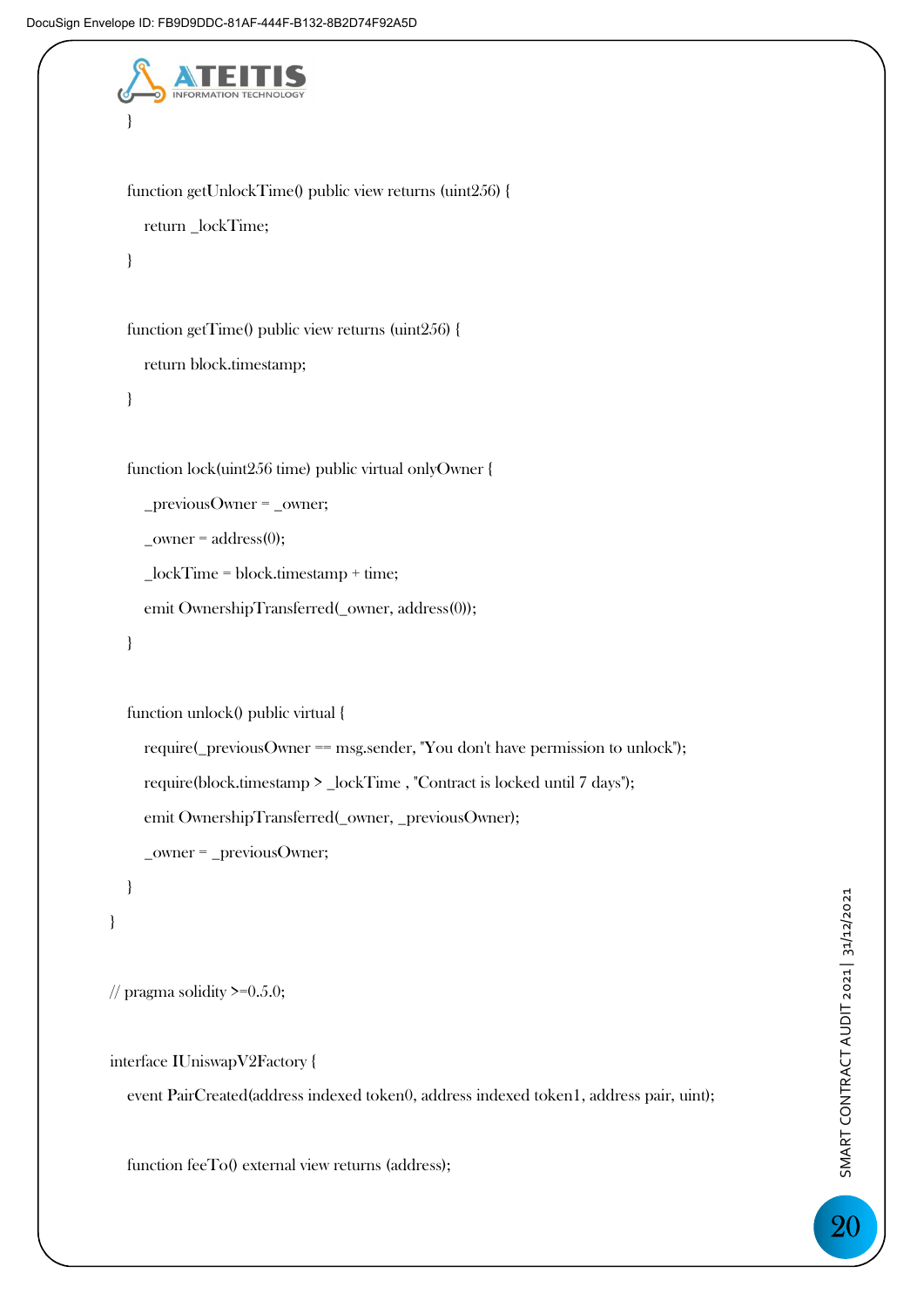```
 } 
   function getUnlockTime() public view returns (uint256) { 
      return _lockTime; 
   } 
   function getTime() public view returns (uint256) { 
      return block.timestamp; 
   } 
   function lock(uint256 time) public virtual onlyOwner { 
      _previousOwner = _owner; 
     _ _owner = address(0);
     \_lockTime = block.time emit OwnershipTransferred(_owner, address(0)); 
   } 
   function unlock() public virtual { 
      require(_previousOwner == msg.sender, "You don't have permission to unlock"); 
      require(block.timestamp > _lockTime , "Contract is locked until 7 days"); 
      emit OwnershipTransferred(_owner, _previousOwner); 
      _owner = _previousOwner; 
   } 
}
```

```
// pragma solidity \geq=0.5.0;
```

```
interface IUniswapV2Factory {
```
event PairCreated(address indexed token0, address indexed token1, address pair, uint);

function feeTo() external view returns (address);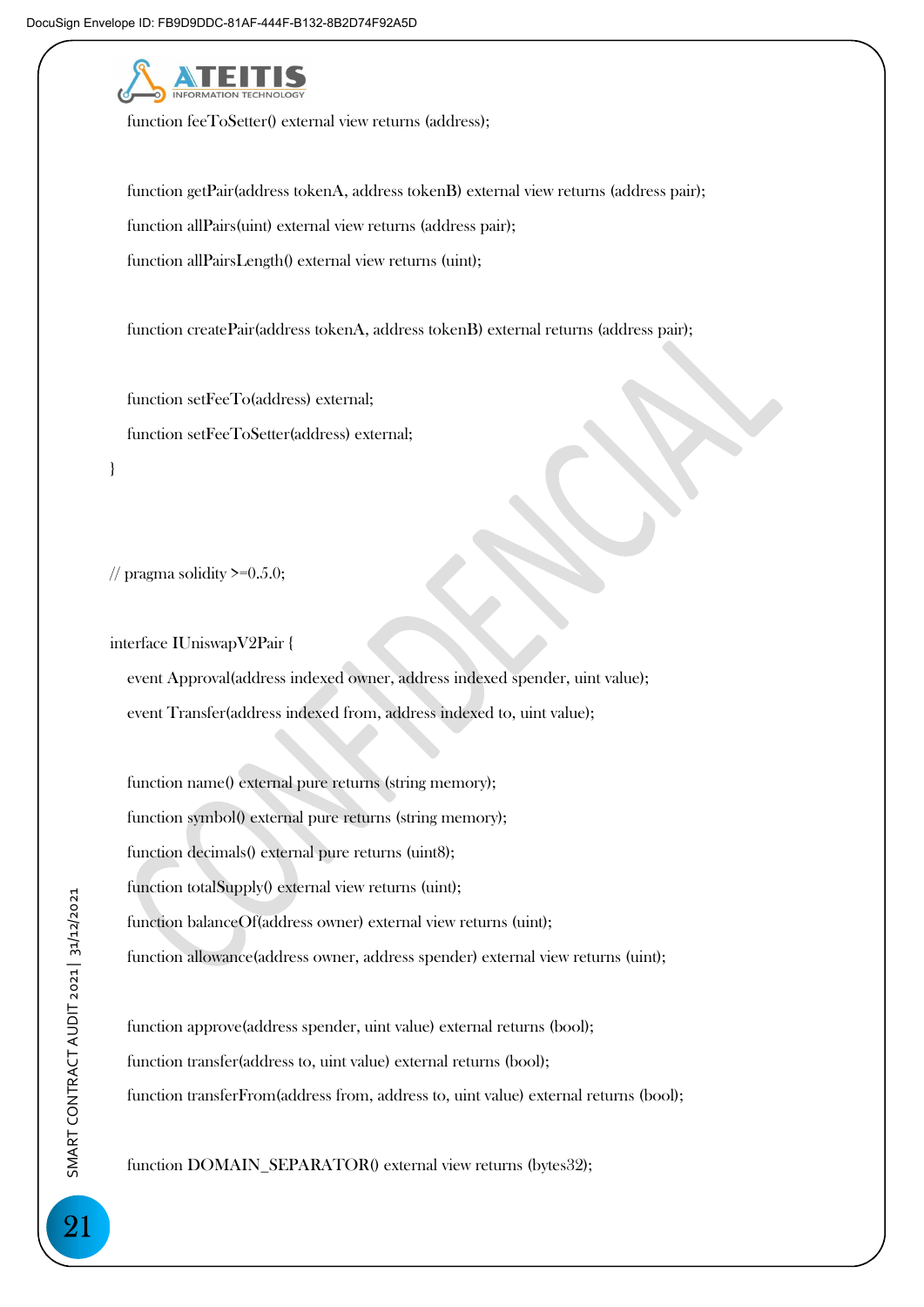

function feeToSetter() external view returns (address);

 function getPair(address tokenA, address tokenB) external view returns (address pair); function allPairs(uint) external view returns (address pair); function allPairsLength() external view returns (uint);

function createPair(address tokenA, address tokenB) external returns (address pair);

 function setFeeTo(address) external; function setFeeToSetter(address) external;

// pragma solidity  $\geq 0.5.0$ ;

}

interface IUniswapV2Pair {

 event Approval(address indexed owner, address indexed spender, uint value); event Transfer(address indexed from, address indexed to, uint value);

 function name() external pure returns (string memory); function symbol() external pure returns (string memory); function decimals() external pure returns (uint8); function totalSupply() external view returns (uint); function balanceOf(address owner) external view returns (uint); function allowance(address owner, address spender) external view returns (uint);

 function approve(address spender, uint value) external returns (bool); function transfer(address to, uint value) external returns (bool); function transferFrom(address from, address to, uint value) external returns (bool);

function DOMAIN\_SEPARATOR() external view returns (bytes32);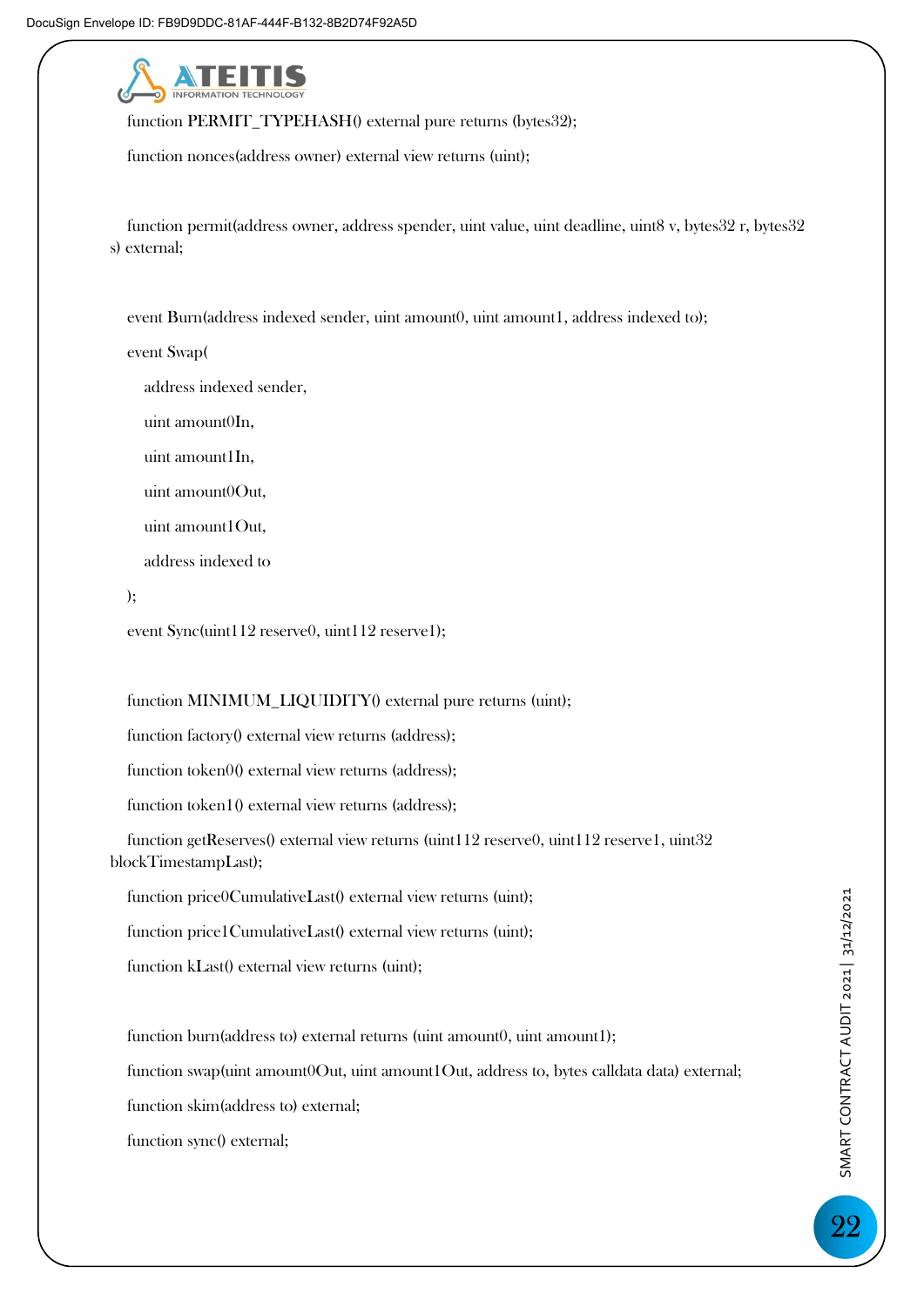

function PERMIT\_TYPEHASH() external pure returns (bytes32);

function nonces(address owner) external view returns (uint);

 function permit(address owner, address spender, uint value, uint deadline, uint8 v, bytes32 r, bytes32 s) external;

event Burn(address indexed sender, uint amount0, uint amount1, address indexed to);

event Swap(

address indexed sender,

uint amount0In,

uint amount1In,

uint amount0Out,

uint amount1Out,

address indexed to

);

event Sync(uint112 reserve0, uint112 reserve1);

#### function MINIMUM\_LIQUIDITY() external pure returns (uint);

function factory() external view returns (address);

function token0() external view returns (address);

function token1() external view returns (address);

function getReserves() external view returns (uint112 reserve0, uint112 reserve1, uint32 blockTimestampLast);

function price0CumulativeLast() external view returns (uint);

function price1CumulativeLast() external view returns (uint);

function kLast() external view returns (uint);

function burn(address to) external returns (uint amount0, uint amount1); function swap(uint amount0Out, uint amount1Out, address to, bytes calldata data) external; function skim(address to) external; function sync() external;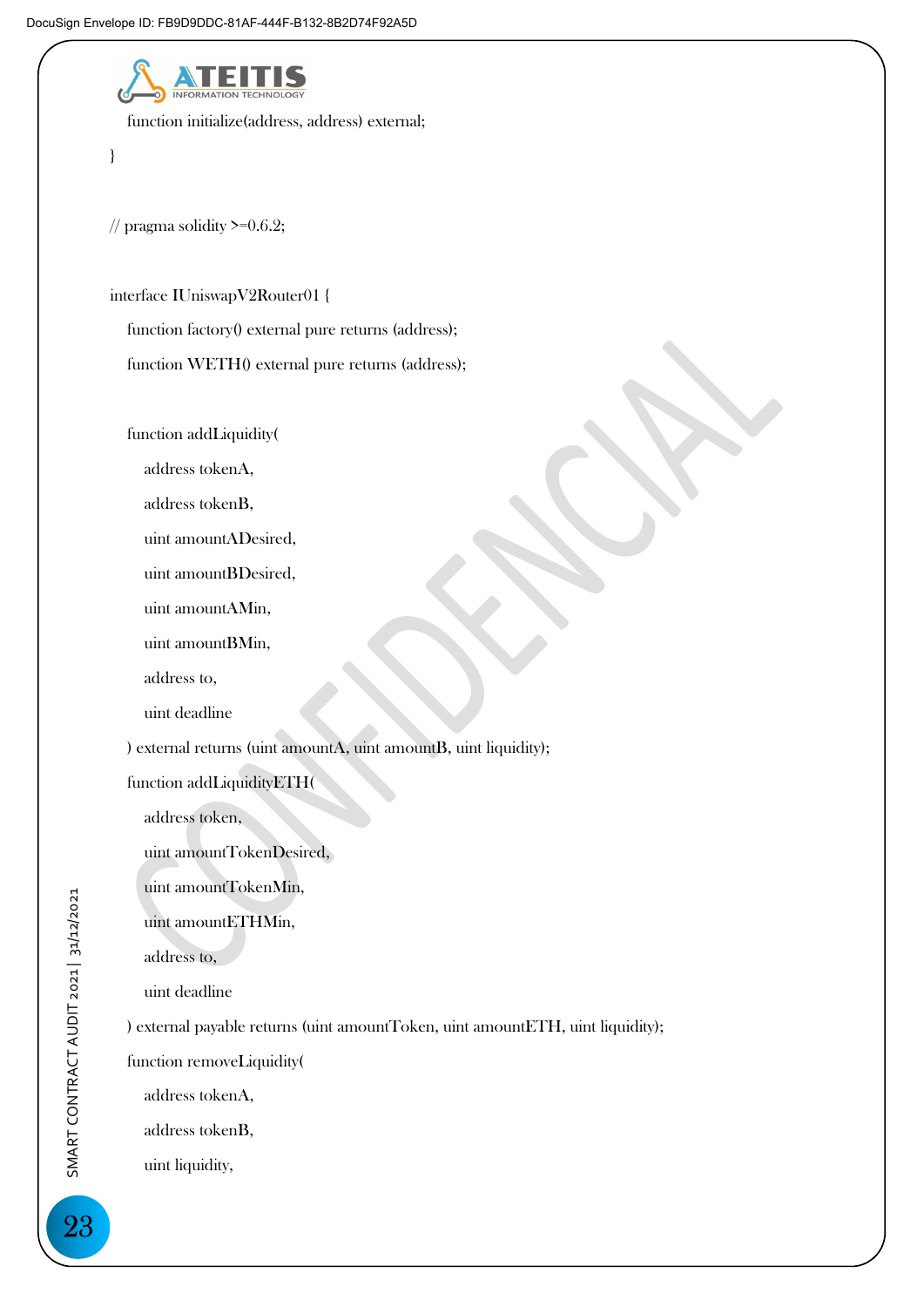

function initialize(address, address) external;

}

// pragma solidity  $\geq 0.6.2$ ;

interface IUniswapV2Router01 {

function factory() external pure returns (address);

function WETH() external pure returns (address);

function addLiquidity(

address tokenA,

address tokenB,

uint amountADesired,

uint amountBDesired,

uint amountAMin,

uint amountBMin,

address to,

uint deadline

) external returns (uint amountA, uint amountB, uint liquidity);

function addLiquidityETH(

address token,

uint amountTokenDesired,

uint amountTokenMin,

uint amountETHMin,

address to,

uint deadline

) external payable returns (uint amountToken, uint amountETH, uint liquidity);

function removeLiquidity(

address tokenA,

address tokenB,

uint liquidity,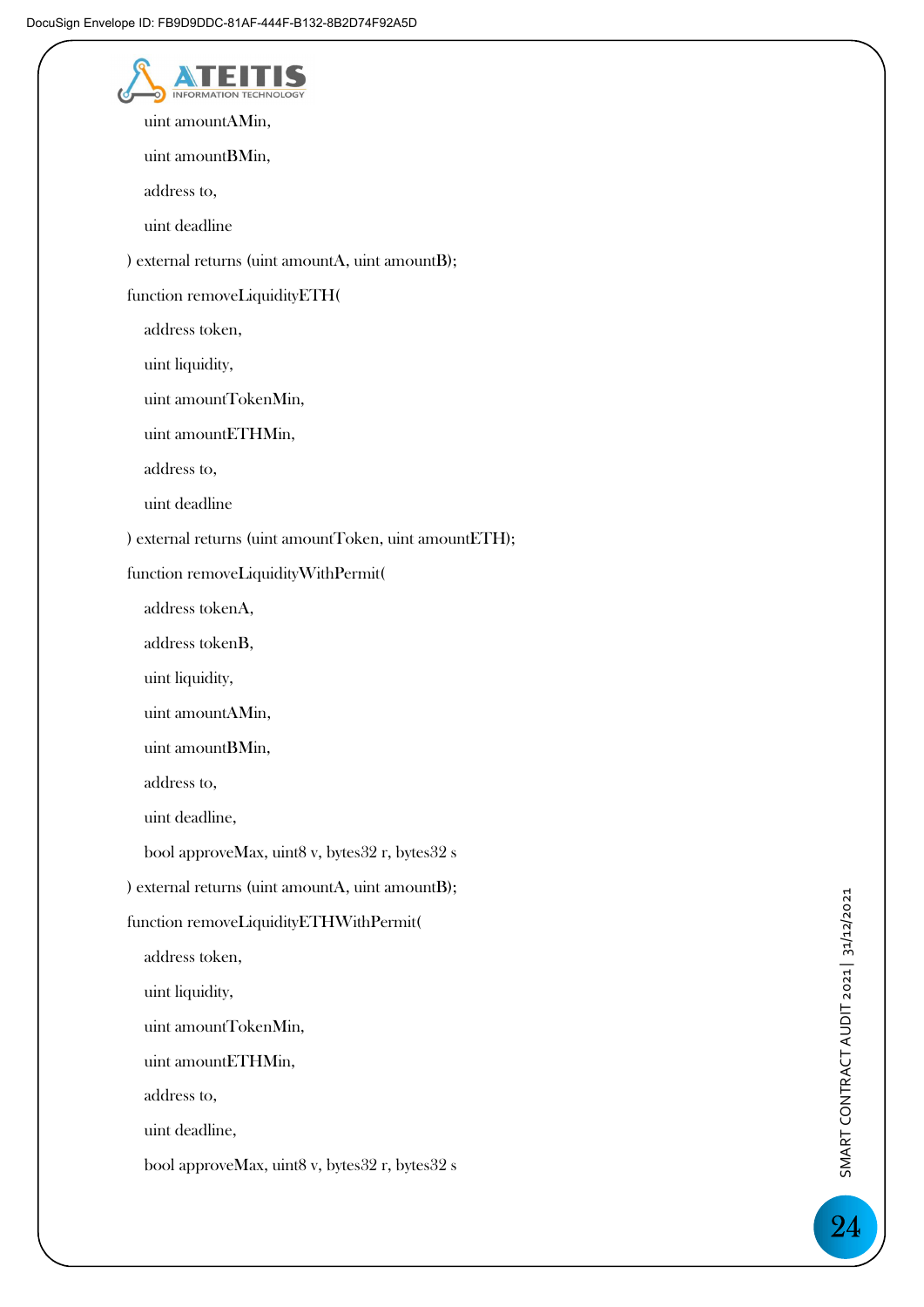| uint amountAMin,                                       |
|--------------------------------------------------------|
| uint amountBMin,                                       |
| address to,                                            |
| uint deadline                                          |
| ) external returns (uint amountA, uint amountB);       |
| function removeLiquidityETH(                           |
| address token,                                         |
| uint liquidity,                                        |
| uint amountTokenMin,                                   |
| uint amountETHMin,                                     |
| address to,                                            |
| uint deadline                                          |
| ) external returns (uint amountToken, uint amountETH); |
| function removeLiquidityWithPermit(                    |
| address tokenA,                                        |
| address tokenB,                                        |
| uint liquidity,                                        |
| uint amountAMin,                                       |
| uint amountBMin,                                       |
| address to,                                            |
| uint deadline,                                         |
| bool approveMax, uint8 v, bytes32 r, bytes32 s         |
| ) external returns (uint amountA, uint amountB);       |
| function removeLiquidityETHWithPermit(                 |
| address token,                                         |
| uint liquidity,                                        |
| uint amountTokenMin,                                   |
| uint amountETHMin,                                     |
| address to,                                            |
| uint deadline,                                         |
| bool approveMax, uint8 v, bytes32 r, bytes32 s         |
|                                                        |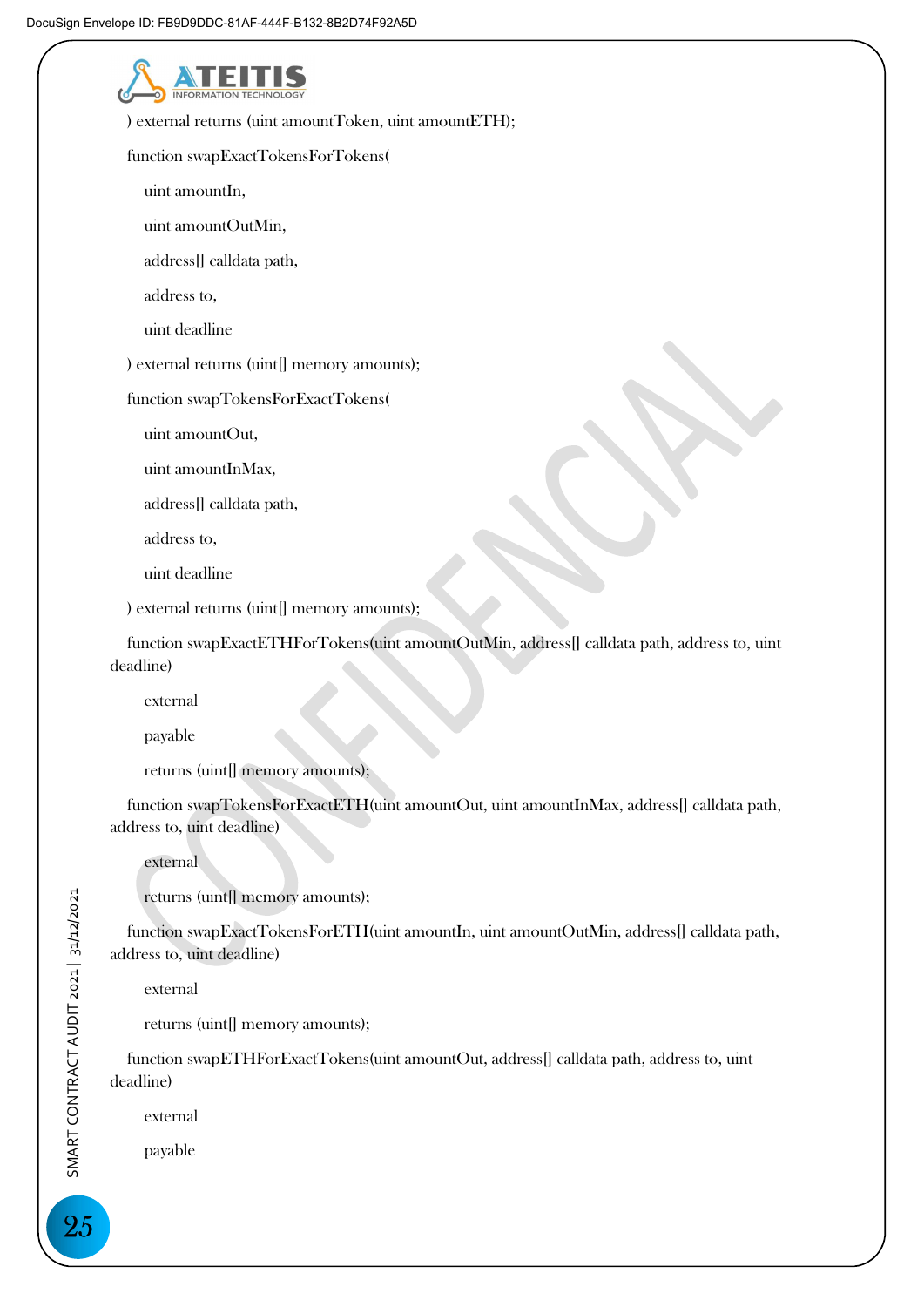**INFORMA**  ) external returns (uint amountToken, uint amountETH); function swapExactTokensForTokens( uint amountIn, uint amountOutMin, address[] calldata path, address to, uint deadline ) external returns (uint[] memory amounts); function swapTokensForExactTokens( uint amountOut, uint amountInMax, address[] calldata path, address to, uint deadline ) external returns (uint[] memory amounts); function swapExactETHForTokens(uint amountOutMin, address[] calldata path, address to, uint deadline) external payable returns (uint[] memory amounts); function swapTokensForExactETH(uint amountOut, uint amountInMax, address[] calldata path, address to, uint deadline) external returns (uint[] memory amounts); function swapExactTokensForETH(uint amountIn, uint amountOutMin, address[] calldata path, address to, uint deadline) external returns (uint[] memory amounts);

 function swapETHForExactTokens(uint amountOut, address[] calldata path, address to, uint deadline)

external

payable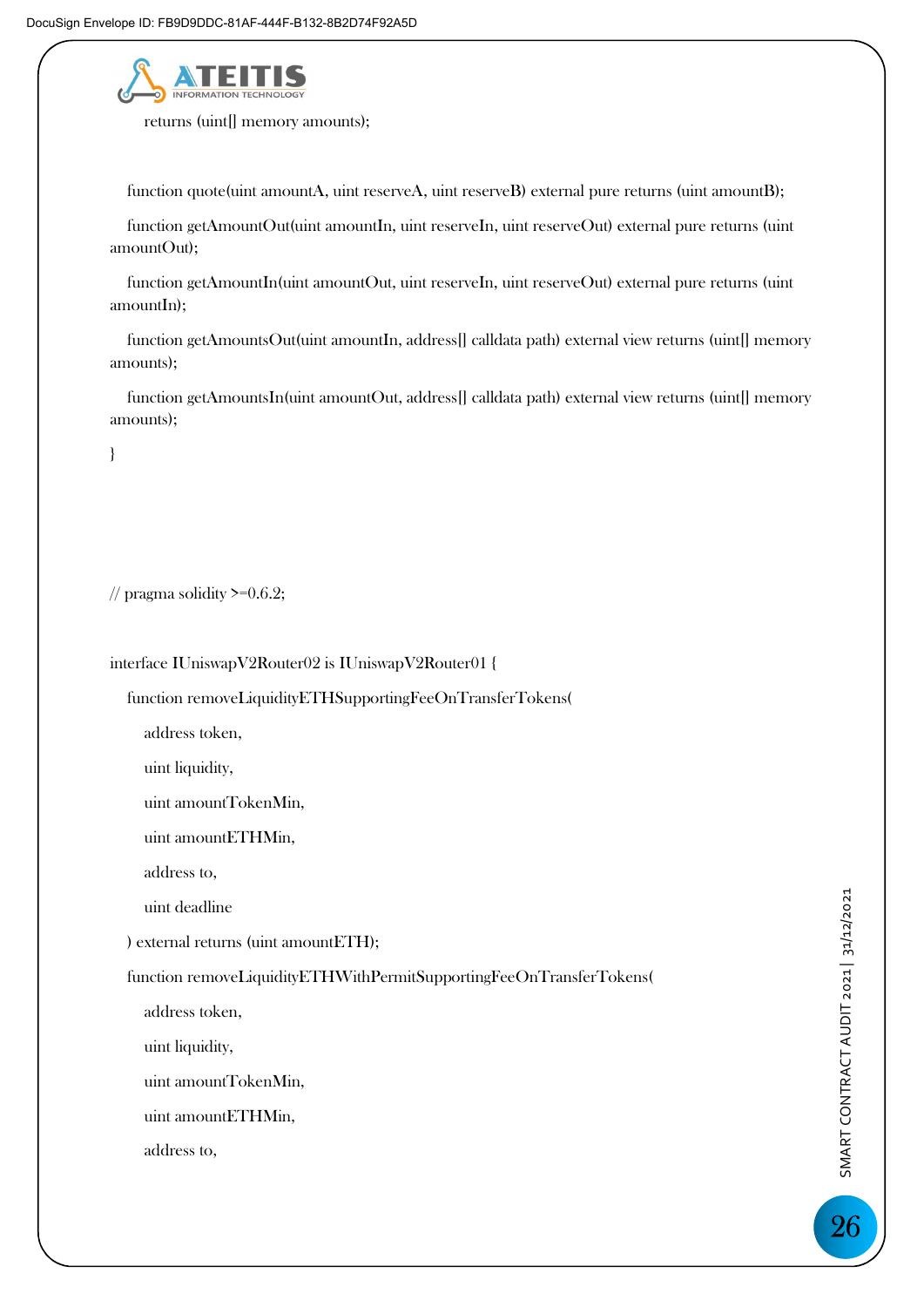

returns (uint[] memory amounts);

function quote(uint amountA, uint reserveA, uint reserveB) external pure returns (uint amountB);

function getAmountOut(uint amountIn, uint reserveIn, uint reserveOut) external pure returns (uint amountOut);

function getAmountIn(uint amountOut, uint reserveIn, uint reserveOut) external pure returns (uint amountIn);

function getAmountsOut(uint amountIn, address[] calldata path) external view returns (uint[] memory amounts);

 function getAmountsIn(uint amountOut, address[] calldata path) external view returns (uint[] memory amounts);

}

// pragma solidity  $\geq 0.6.2$ ;

interface IUniswapV2Router02 is IUniswapV2Router01 {

function removeLiquidityETHSupportingFeeOnTransferTokens(

address token,

uint liquidity,

uint amountTokenMin,

uint amountETHMin,

address to,

uint deadline

) external returns (uint amountETH);

function removeLiquidityETHWithPermitSupportingFeeOnTransferTokens(

address token,

uint liquidity,

uint amountTokenMin,

uint amountETHMin,

address to,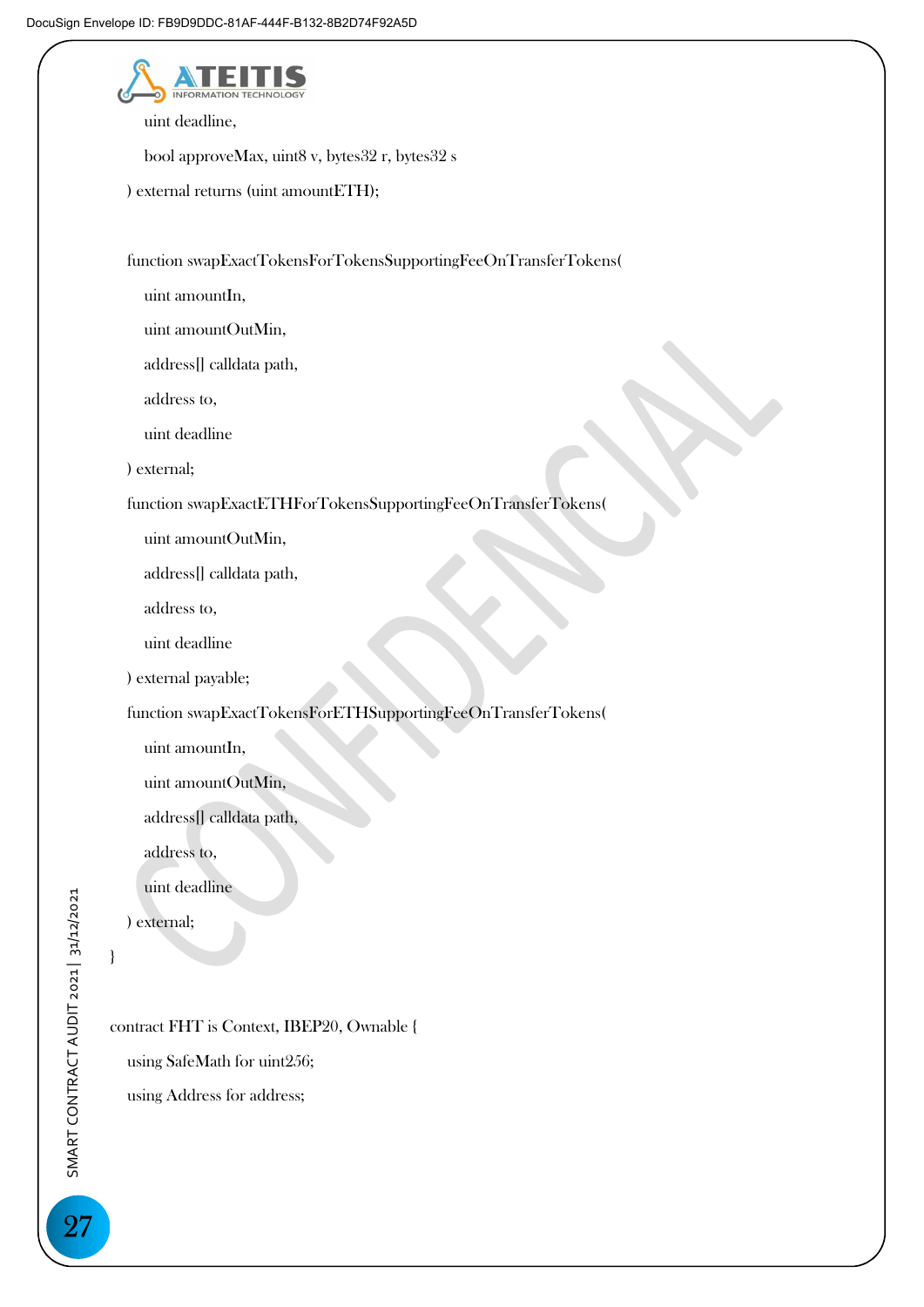

uint deadline,

bool approveMax, uint8 v, bytes32 r, bytes32 s

) external returns (uint amountETH);

function swapExactTokensForTokensSupportingFeeOnTransferTokens(

uint amountIn,

uint amountOutMin,

address[] calldata path,

address to,

uint deadline

) external;

function swapExactETHForTokensSupportingFeeOnTransferTokens(

uint amountOutMin,

address[] calldata path,

address to,

uint deadline

) external payable;

function swapExactTokensForETHSupportingFeeOnTransferTokens(

uint amountIn,

uint amountOutMin,

address[] calldata path,

address to,

uint deadline

) external;

### }

contract FHT is Context, IBEP20, Ownable {

using SafeMath for uint256;

using Address for address;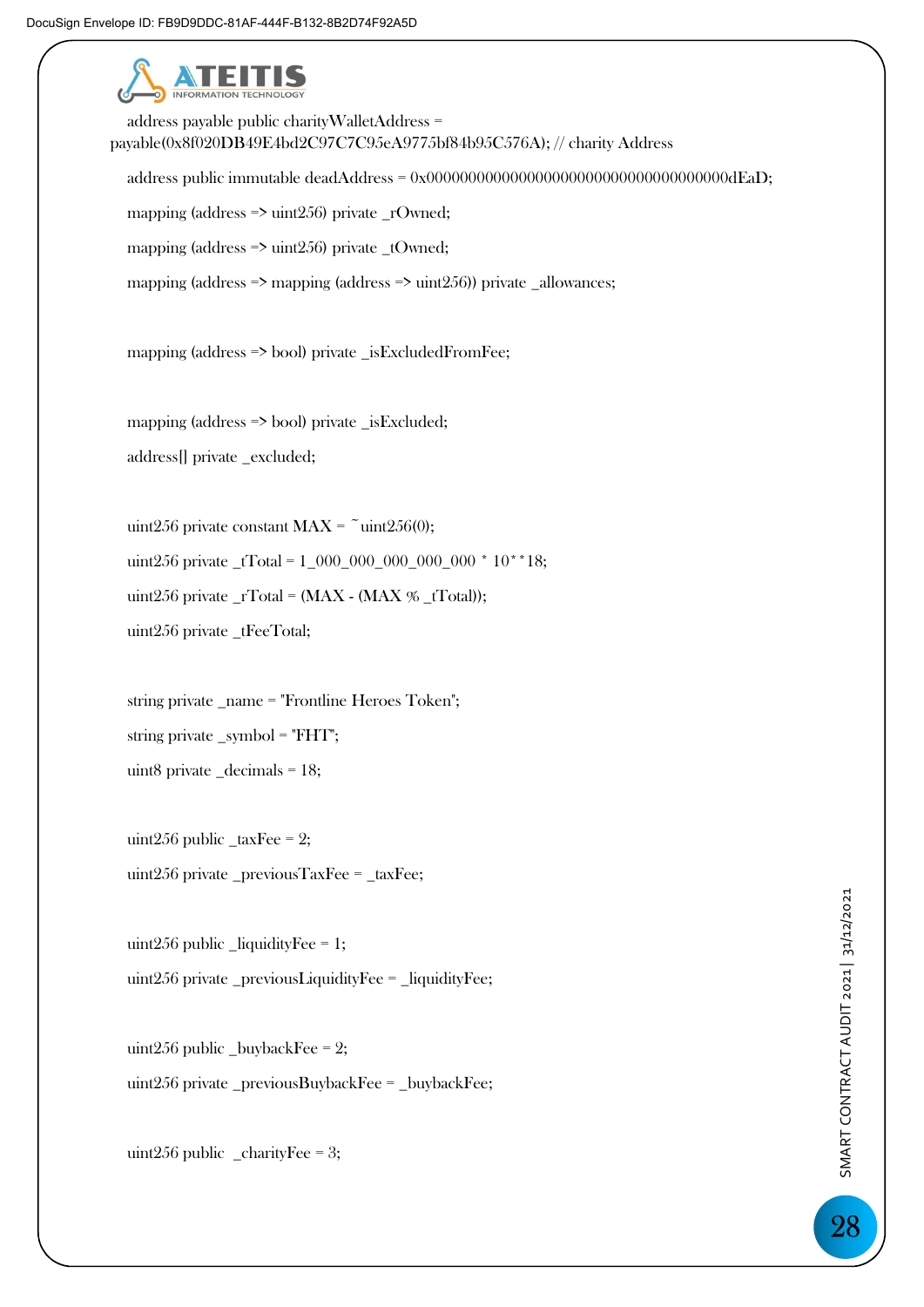

 address payable public charityWalletAddress = payable(0x8f020DB49E4bd2C97C7C95eA9775bf84b95C576A); // charity Address address public immutable deadAddress = 0x000000000000000000000000000000000000dEaD; mapping (address  $\Rightarrow$  uint256) private \_rOwned; mapping (address => uint256) private \_tOwned; mapping (address  $\Rightarrow$  mapping (address  $\Rightarrow$  uint 256)) private \_allowances;

mapping (address => bool) private \_isExcludedFromFee;

 mapping (address => bool) private \_isExcluded; address[] private \_excluded;

uint256 private constant MAX =  $\tilde{}}$  uint256(0); uint256 private  $\_tTotal = 1_000_000_000_000_000^*10^{**}18;$ uint256 private  $_TTotal = (MAX - (MAX \% _tTotal));$ uint256 private \_tFeeTotal;

 string private \_name = "Frontline Heroes Token"; string private \_symbol = "FHT"; uint8 private \_decimals = 18;

uint256 public  $\text{\_taxFee} = 2$ ; uint $256$  private \_previousTaxFee = \_taxFee;

uint256 public  $\text{liquidityFe} = 1$ ; uint256 private \_previousLiquidityFee = \_liquidityFee;

uint256 public \_buybackFee =  $2$ ; uint256 private \_previousBuybackFee = \_buybackFee;

uint256 public  $_{\text{charity}}$ Fee = 3;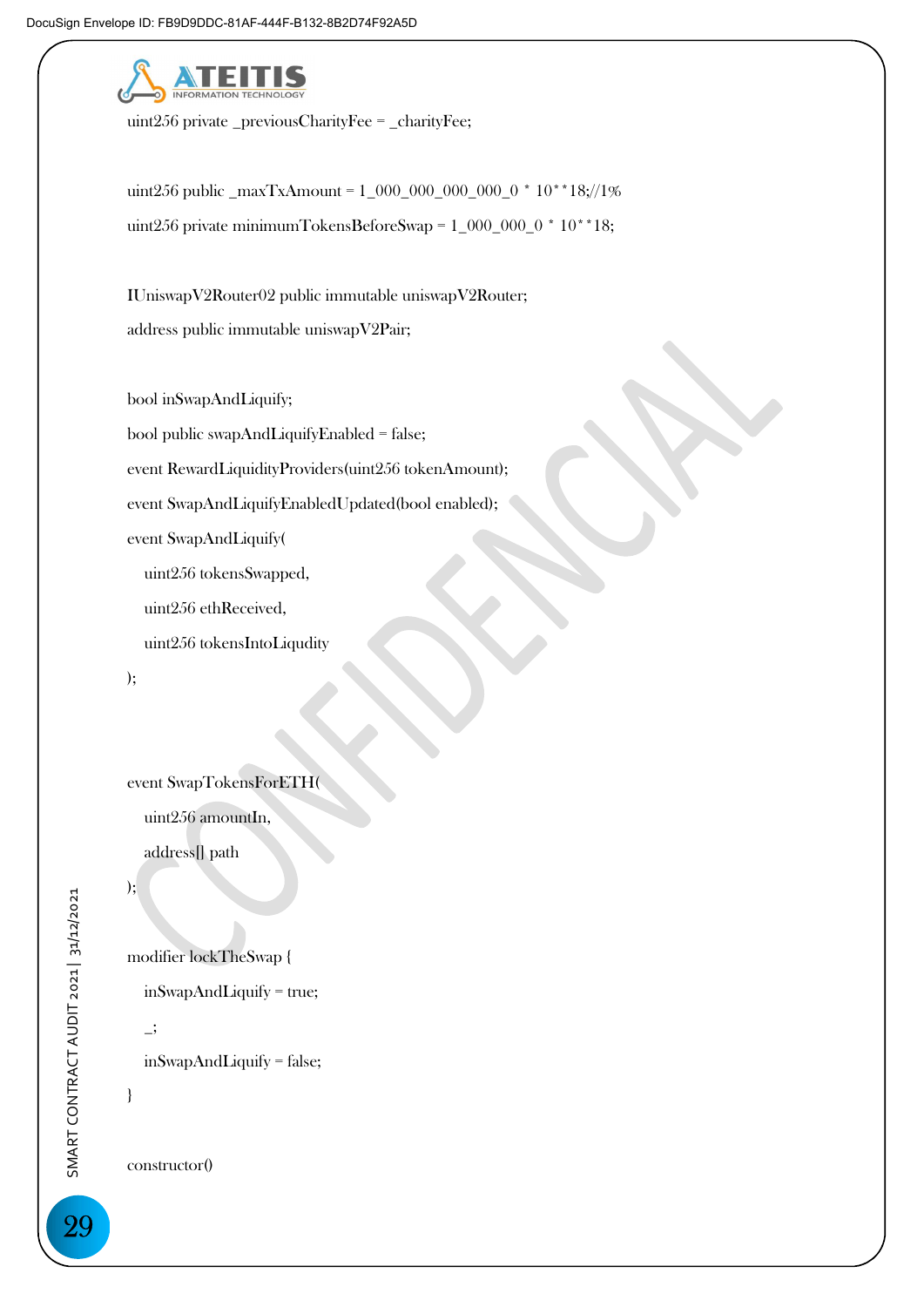

uint256 private \_previousCharityFee = \_charityFee;

 uint256 public \_maxTxAmount = 1\_000\_000\_000\_000\_0 \* 10\*\*18;//1% uint256 private minimumTokensBeforeSwap = 1\_000\_000\_0 \* 10\*\*18;

 IUniswapV2Router02 public immutable uniswapV2Router; address public immutable uniswapV2Pair;

bool inSwapAndLiquify;

bool public swapAndLiquifyEnabled = false;

event RewardLiquidityProviders(uint256 tokenAmount);

event SwapAndLiquifyEnabledUpdated(bool enabled);

event SwapAndLiquify(

uint256 tokensSwapped,

uint256 ethReceived,

uint256 tokensIntoLiqudity

);

event SwapTokensForETH(

uint256 amountIn,

address[] path

### );

modifier lockTheSwap {

inSwapAndLiquify = true;

\_;

inSwapAndLiquify = false;

}

constructor()

29 SMART CONTRACT AUDIT 2021 | 31/12/2021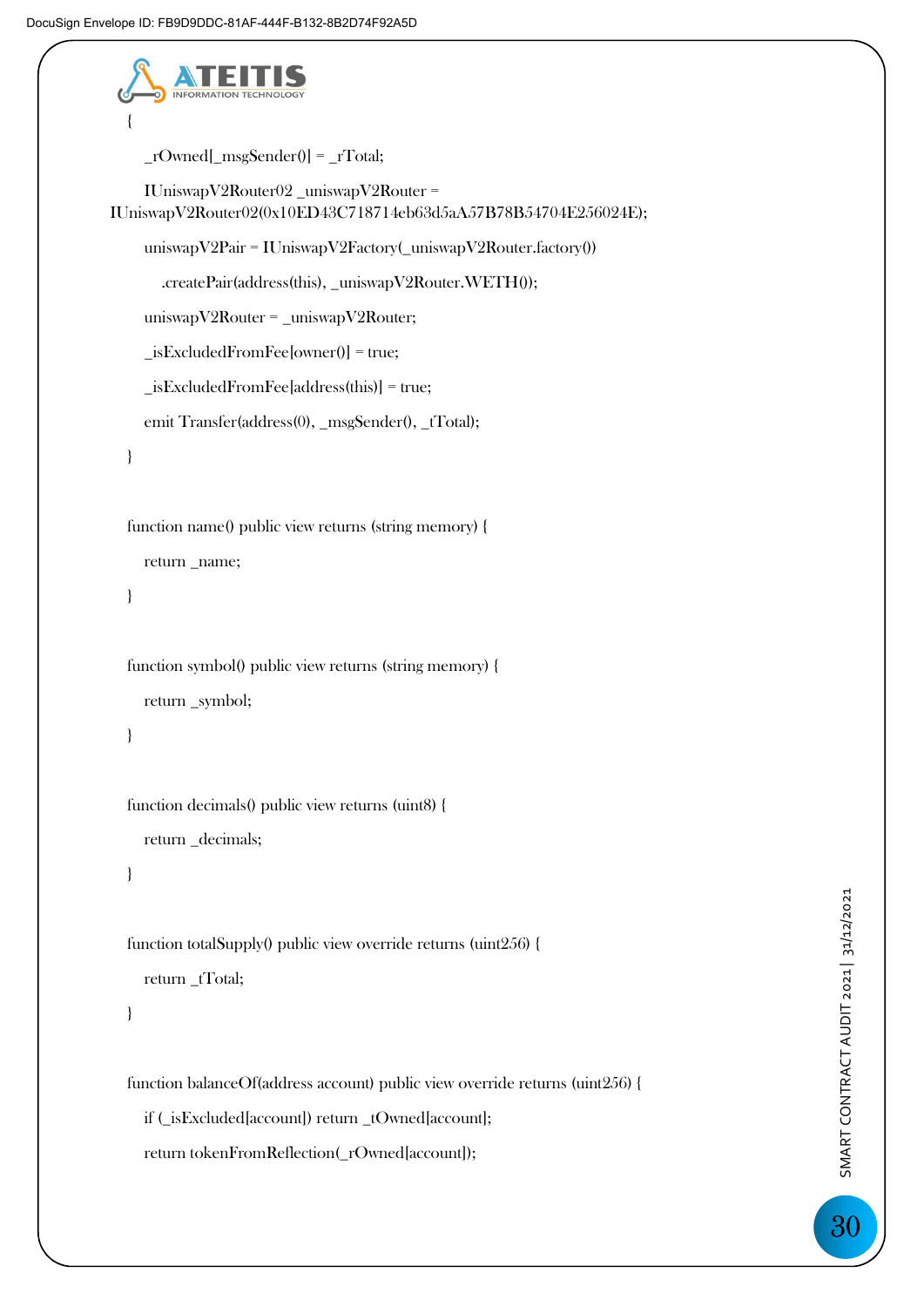

```
_{r}Owned[_{msg\text{Sender}}()] = _{r}Total;
```

```
 IUniswapV2Router02 _uniswapV2Router = 
IUniswapV2Router02(0x10ED43C718714eb63d5aA57B78B54704E256024E); 
      uniswapV2Pair = IUniswapV2Factory(_uniswapV2Router.factory()) 
        .createPair(address(this), _uniswapV2Router.WETH()); 
      uniswapV2Router = _uniswapV2Router; 
      _isExcludedFromFee[owner()] = true; 
      _isExcludedFromFee[address(this)] = true; 
    emit Transfer(address(0), _msgSender(), _tTotal);
   } 
   function name() public view returns (string memory) { 
      return _name; 
   } 
   function symbol() public view returns (string memory) { 
      return _symbol; 
   } 
   function decimals() public view returns (uint8) { 
      return _decimals; 
   }
```
function totalSupply() public view override returns (uint256) {

```
return _tTotal;
```

```
 }
```
function balanceOf(address account) public view override returns (uint256) {

if (\_isExcluded[account]) return \_tOwned[account];

return tokenFromReflection(\_rOwned[account]);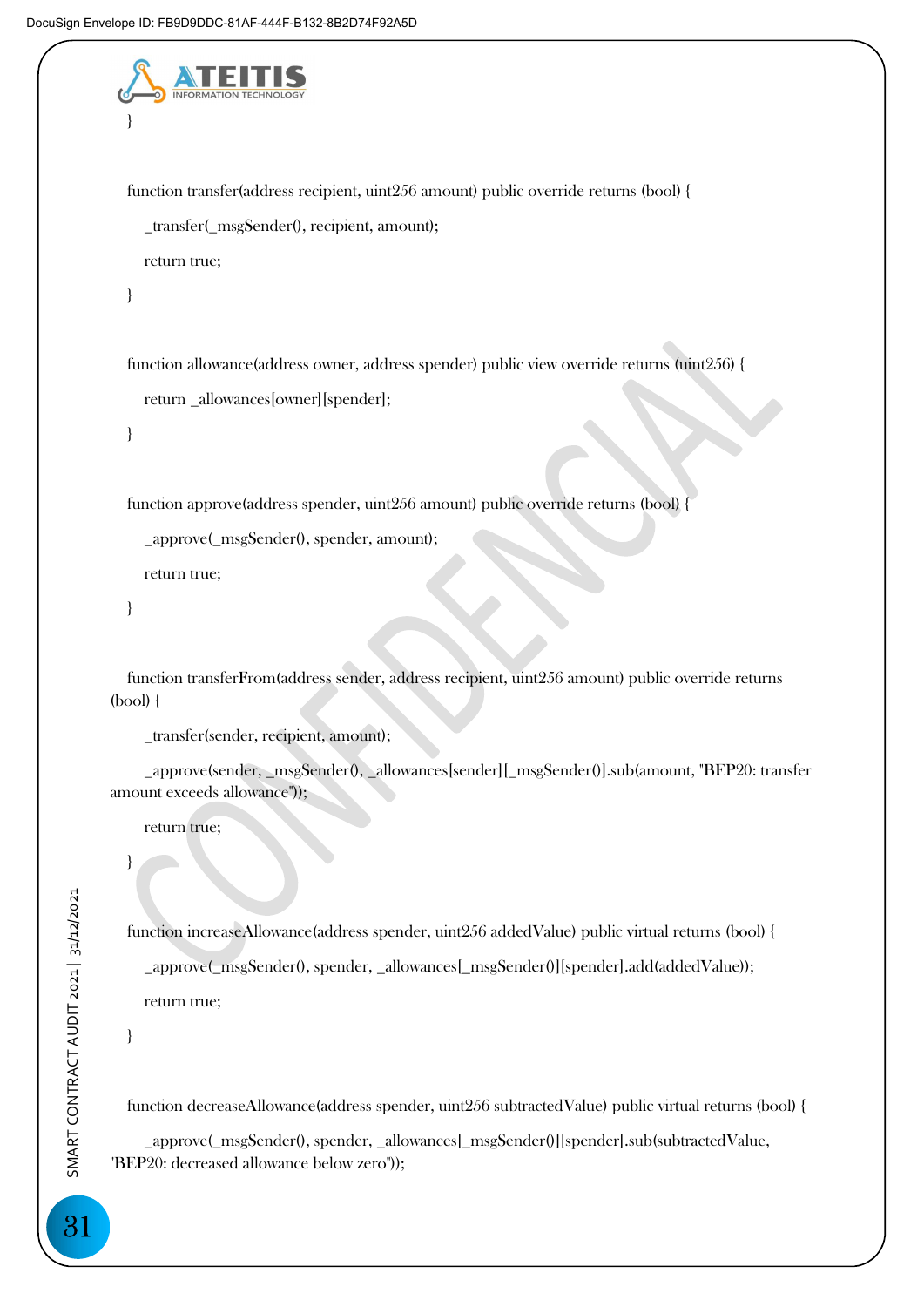```
 } 
   function transfer(address recipient, uint256 amount) public override returns (bool) { 
      _transfer(_msgSender(), recipient, amount); 
      return true; 
   } 
   function allowance(address owner, address spender) public view override returns (uint256) { 
      return _allowances[owner][spender]; 
   } 
   function approve(address spender, uint256 amount) public override returns (bool) { 
      _approve(_msgSender(), spender, amount); 
      return true; 
   } 
   function transferFrom(address sender, address recipient, uint256 amount) public override returns 
(bool) { 
      _transfer(sender, recipient, amount); 
      _approve(sender, _msgSender(), _allowances[sender][_msgSender()].sub(amount, "BEP20: transfer 
amount exceeds allowance")); 
     return true;
   } 
   function increaseAllowance(address spender, uint256 addedValue) public virtual returns (bool) {
```
\_approve(\_msgSender(), spender, \_allowances[\_msgSender()][spender].add(addedValue));

return true;

}

function decreaseAllowance(address spender, uint256 subtractedValue) public virtual returns (bool) {

 \_approve(\_msgSender(), spender, \_allowances[\_msgSender()][spender].sub(subtractedValue, "BEP20: decreased allowance below zero"));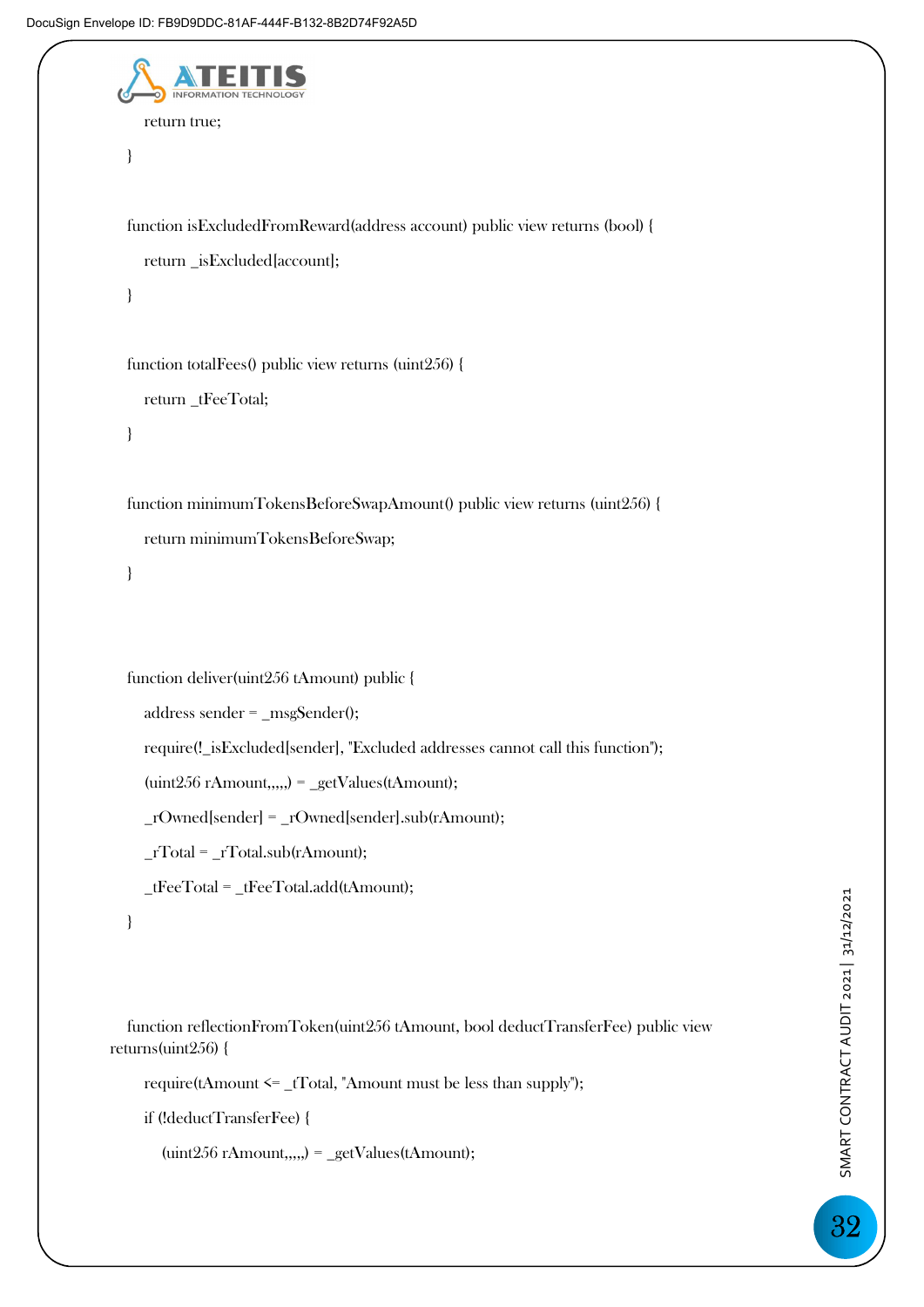```
 return true; 
 } 
 function isExcludedFromReward(address account) public view returns (bool) { 
   return _isExcluded[account]; 
 } 
 function totalFees() public view returns (uint256) { 
   return _tFeeTotal; 
 } 
 function minimumTokensBeforeSwapAmount() public view returns (uint256) { 
   return minimumTokensBeforeSwap; 
 } 
 function deliver(uint256 tAmount) public { 
   address sender = _msgSender(); 
   require(!_isExcluded[sender], "Excluded addresses cannot call this function"); 
   (uint256 rAmount,,,,,) = _getValues(tAmount); 
   _rOwned[sender] = _rOwned[sender].sub(rAmount); 
  rTotal = rTotal.sub(rAmount); _tFeeTotal = _tFeeTotal.add(tAmount); 
 } 
 function reflectionFromToken(uint256 tAmount, bool deductTransferFee) public view
```
returns(uint256) {

require(tAmount <= \_tTotal, "Amount must be less than supply");

if (!deductTransferFee) {

 $(i$ uint $256$  rAmount,,,,, $) = \text{getValues}(t)$ Amount);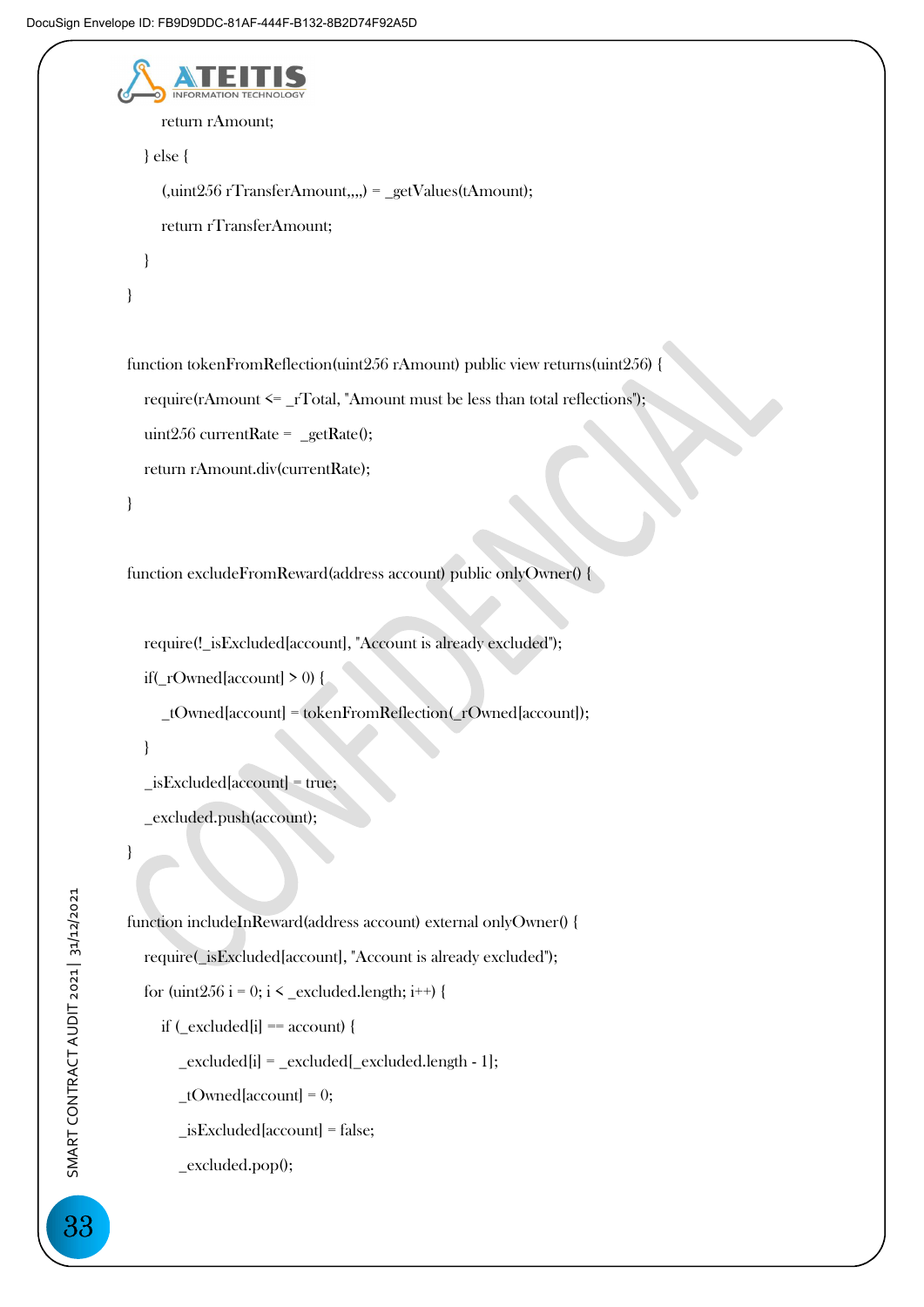```
 return rAmount; 
   } else { 
      (,uint256 rTransferAmount,,,,) = _getValues(tAmount); 
      return rTransferAmount; 
   } 
 } 
 function tokenFromReflection(uint256 rAmount) public view returns(uint256) { 
   require(rAmount <= _rTotal, "Amount must be less than total reflections"); 
   uint256 currentRate = _getRate(); 
   return rAmount.div(currentRate); 
 }
```
function excludeFromReward(address account) public onlyOwner() {

require(! isExcluded[account], "Account is already excluded"); if( $\Gamma$ Owned[account] > 0) {

\_tOwned[account] = tokenFromReflection(\_rOwned[account]);

}

```
 _isExcluded[account] = true;
```
\_excluded.push(account);

```
 function includeInReward(address account) external onlyOwner() { 
   require(_isExcluded[account], "Account is already excluded"); 
  for (uint256 i = 0; i < _excluded.length; i++) {
     if (\text{excluded}[i] == \text{account}) {
         _excluded[i] = _excluded[_excluded.length - 1]; 
        tOwned[account] = 0; _isExcluded[account] = false; 
         _excluded.pop();
```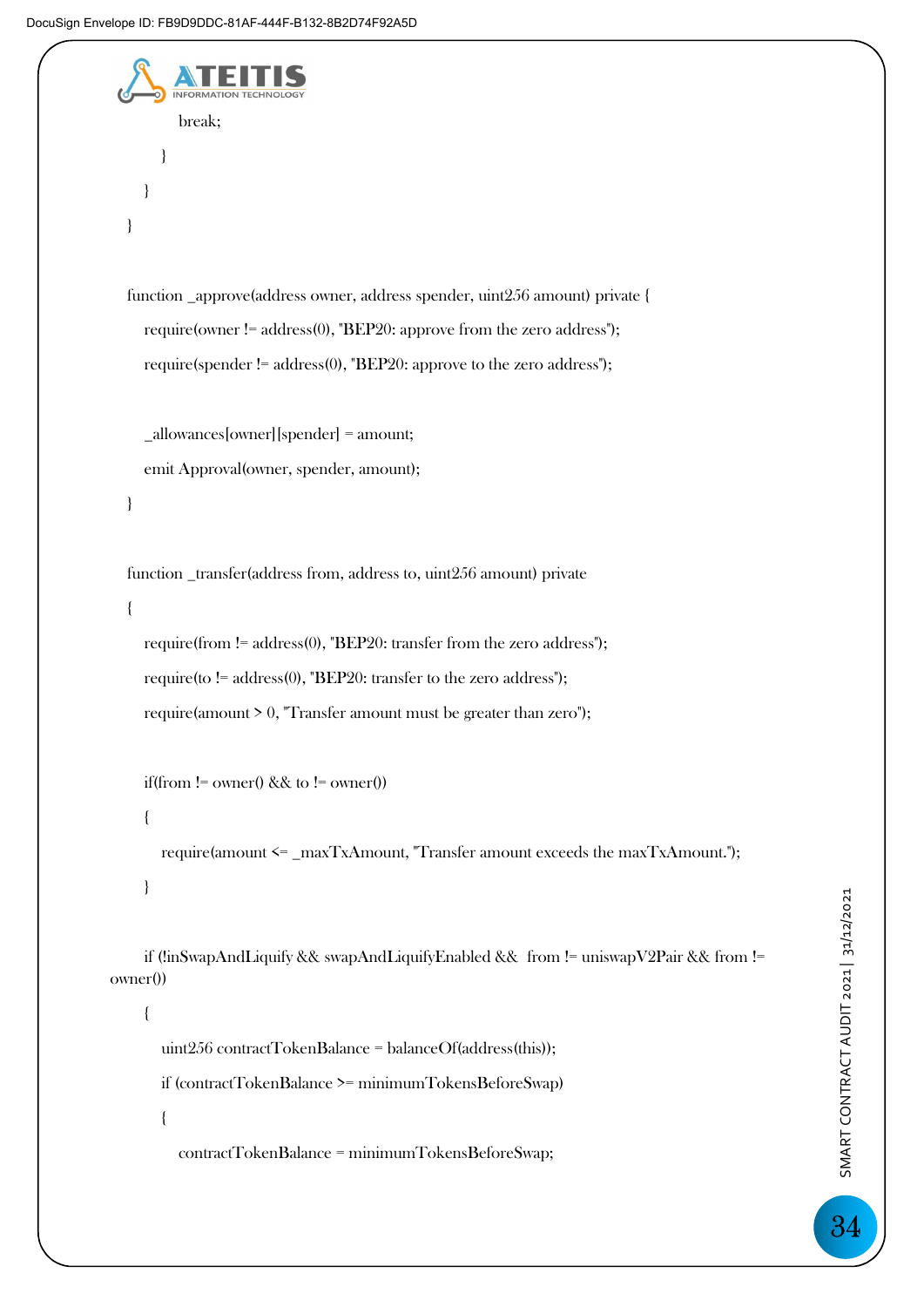```
 break; 
 } 
 } 
   } 
   function _approve(address owner, address spender, uint256 amount) private { 
      require(owner != address(0), "BEP20: approve from the zero address"); 
     require(spender != address(0), "BEP20: approve to the zero address"); 
      _allowances[owner][spender] = amount; 
     emit Approval(owner, spender, amount); 
   } 
   function _transfer(address from, address to, uint256 amount) private 
   { 
     require(from != address(0), "BEP20: transfer from the zero address"); 
      require(to != address(0), "BEP20: transfer to the zero address"); 
     require(amount > 0, "Transfer amount must be greater than zero");
    if(from != owner() && to != owner())
     { 
        require(amount <= _maxTxAmount, "Transfer amount exceeds the maxTxAmount."); 
     } 
     if (!inSwapAndLiquify && swapAndLiquifyEnabled && from != uniswapV2Pair && from != 
owner()) 
      { 
        uint256 contractTokenBalance = balanceOf(address(this)); 
        if (contractTokenBalance >= minimumTokensBeforeSwap) 
        { 
           contractTokenBalance = minimumTokensBeforeSwap;
```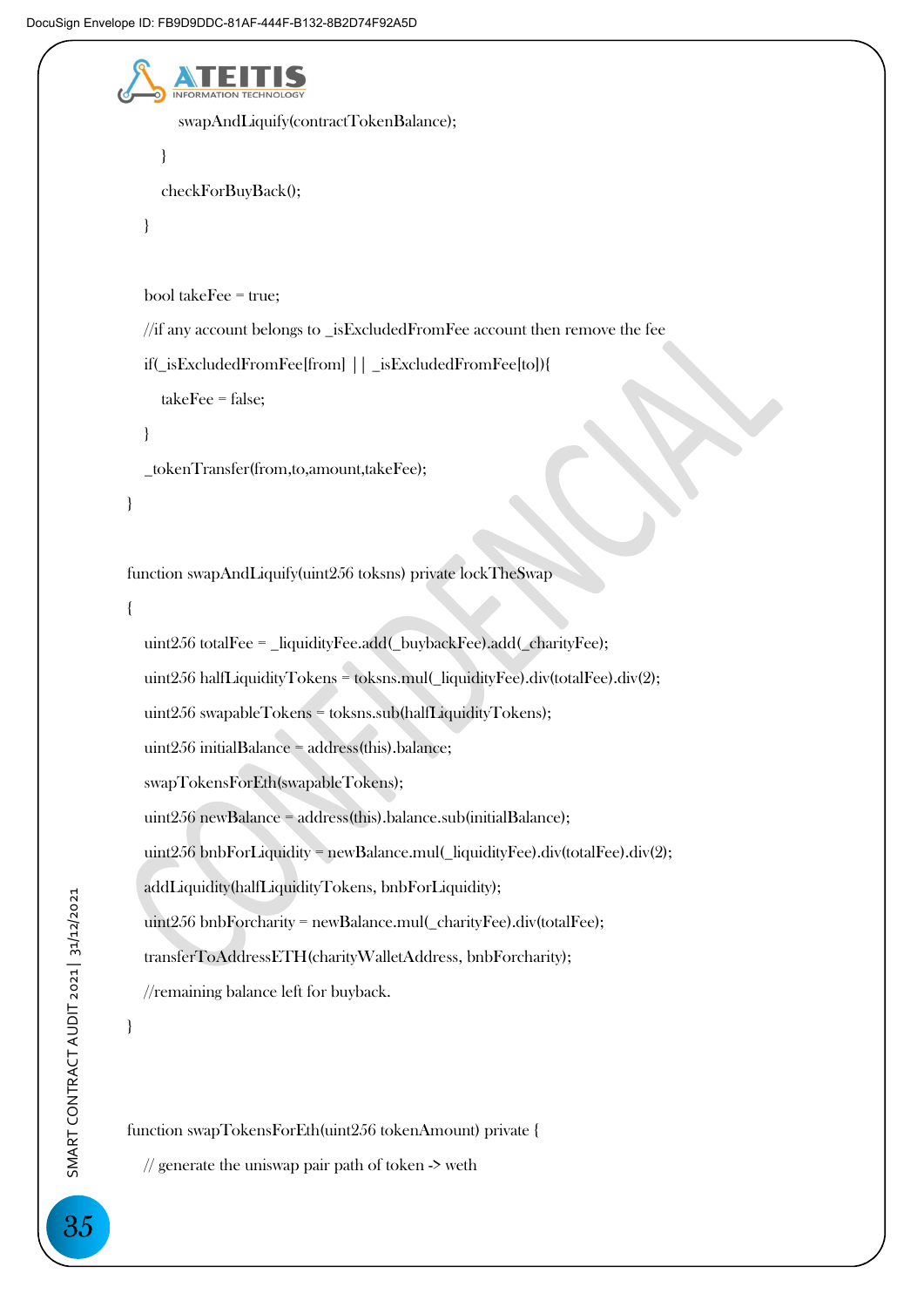```
 swapAndLiquify(contractTokenBalance); 
      } 
      checkForBuyBack(); 
   } 
   bool takeFee = true; 
   //if any account belongs to _isExcludedFromFee account then remove the fee 
   if(_isExcludedFromFee[from] || _isExcludedFromFee[to]){ 
      takeFee = false; 
   } 
   _tokenTransfer(from,to,amount,takeFee); 
 } 
 function swapAndLiquify(uint256 toksns) private lockTheSwap 
 { 
  uint256 totalFee = liquidityFee.add(buvbackFee).add(charityFe);
  uint256 halfLiquidityTokens = toksns.mul( liquidityFee).div(totalFee).div(2);
   uint256 swapableTokens = toksns.sub(halfLiquidityTokens); 
   uint256 initialBalance = address(this).balance; 
   swapTokensForEth(swapableTokens); 
   uint256 newBalance = address(this).balance.sub(initialBalance); 
   uint256 bnbForLiquidity = newBalance.mul(_liquidityFee).div(totalFee).div(2); 
   addLiquidity(halfLiquidityTokens, bnbForLiquidity); 
   uint256 bnbForcharity = newBalance.mul(_charityFee).div(totalFee); 
   transferToAddressETH(charityWalletAddress, bnbForcharity); 
   //remaining balance left for buyback. 
 } 
 function swapTokensForEth(uint256 tokenAmount) private {
```
 $\frac{1}{2}$  generate the uniswap pair path of token  $\rightarrow$  weth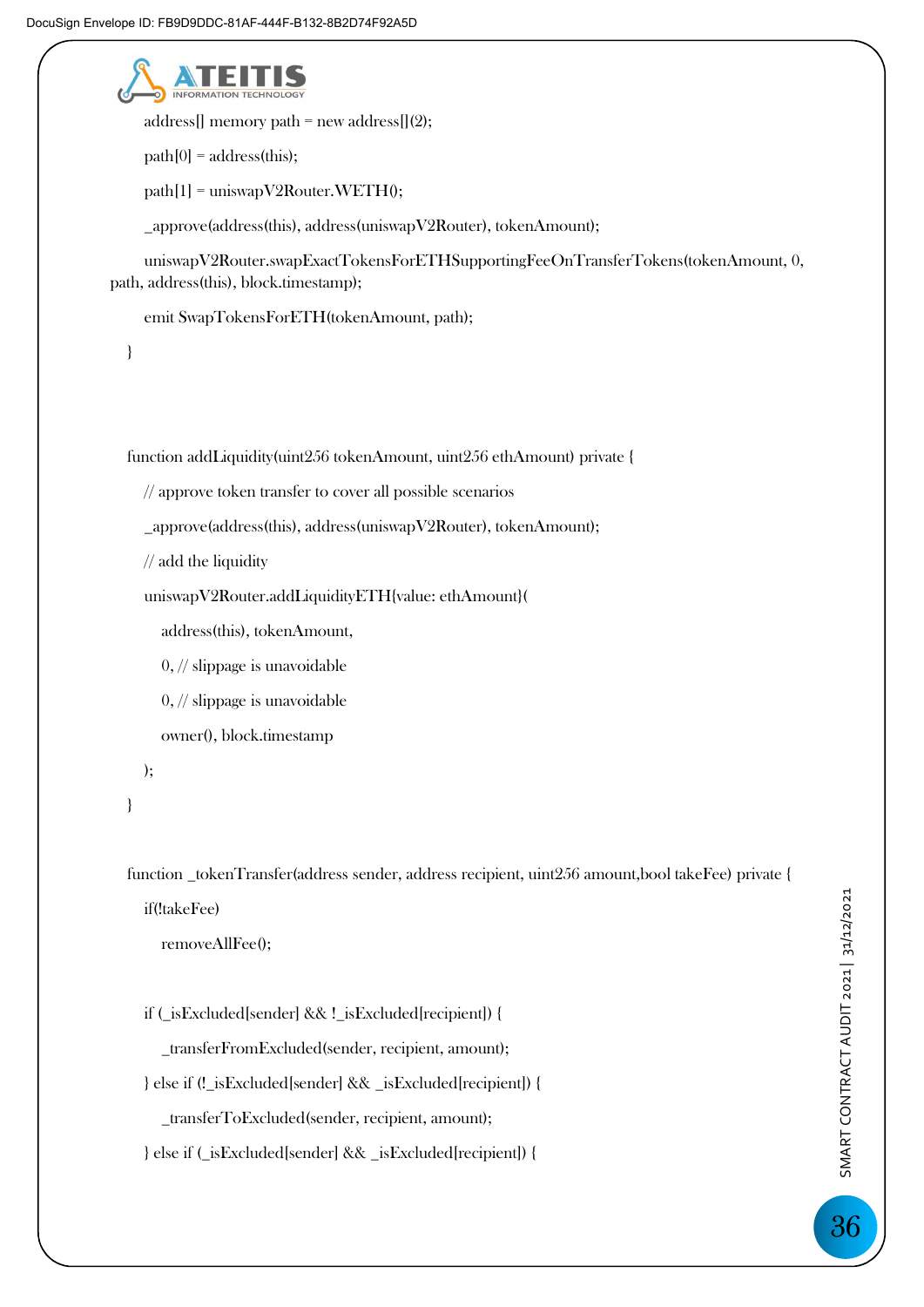

address[] memory path = new address[ $(2)$ ;

 $path[0] = address(this);$ 

 $path[1] =$  uniswapV2Router.WETH $()$ ;

\_approve(address(this), address(uniswapV2Router), tokenAmount);

 uniswapV2Router.swapExactTokensForETHSupportingFeeOnTransferTokens(tokenAmount, 0, path, address(this), block.timestamp);

emit SwapTokensForETH(tokenAmount, path);

}

function addLiquidity(uint256 tokenAmount, uint256 ethAmount) private {

```
 // approve token transfer to cover all possible scenarios
```
\_approve(address(this), address(uniswapV2Router), tokenAmount);

// add the liquidity

uniswapV2Router.addLiquidityETH{value: ethAmount}(

address(this), tokenAmount,

0, // slippage is unavoidable

0, // slippage is unavoidable

owner(), block.timestamp

);

```
 }
```
 function \_tokenTransfer(address sender, address recipient, uint256 amount,bool takeFee) private { if(!takeFee)

removeAllFee();

if (\_isExcluded[sender] && !\_isExcluded[recipient]) {

\_transferFromExcluded(sender, recipient, amount);

} else if (!\_isExcluded[sender] && \_isExcluded[recipient]) {

\_transferToExcluded(sender, recipient, amount);

} else if (\_isExcluded[sender] && \_isExcluded[recipient]) {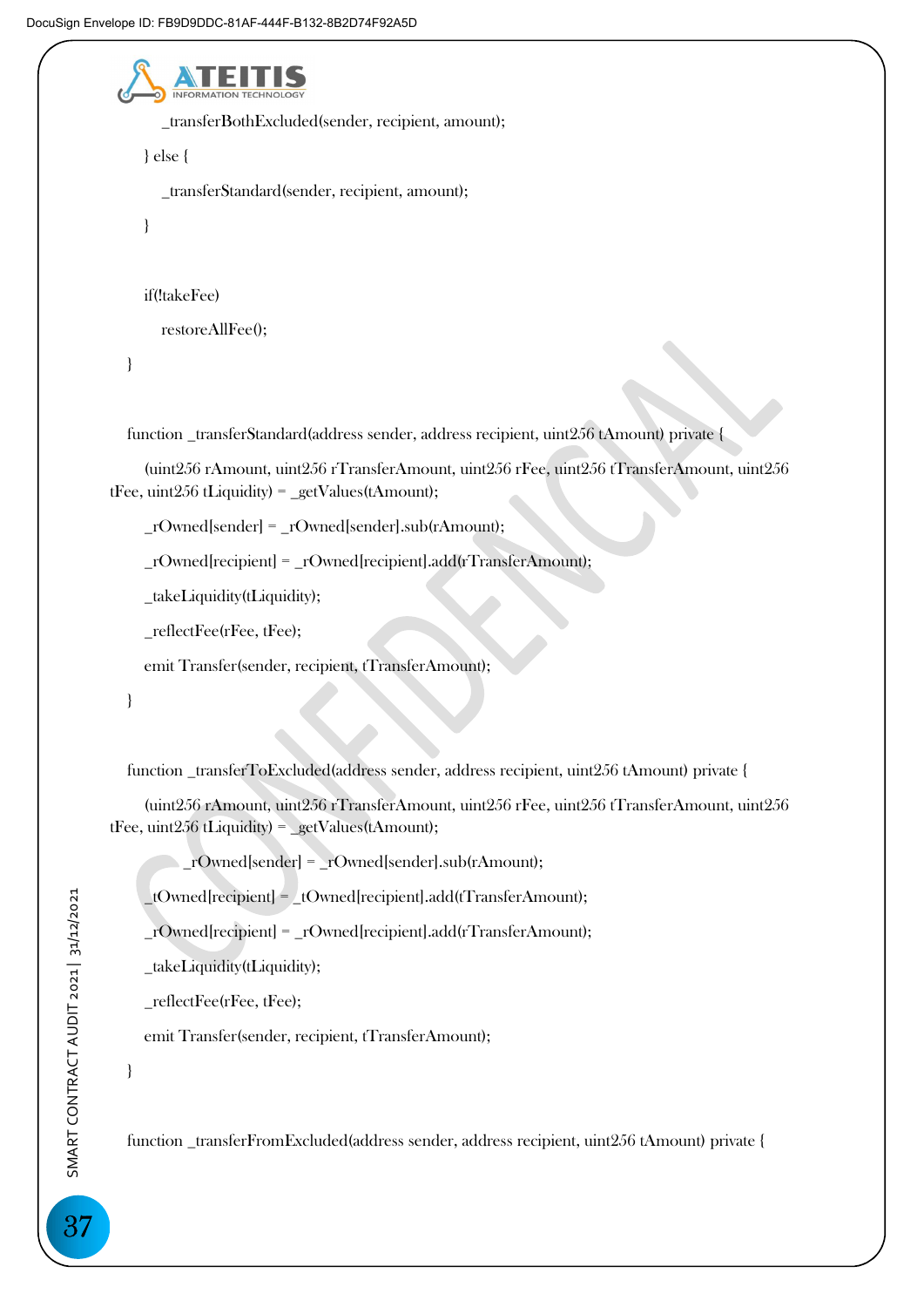

\_transferBothExcluded(sender, recipient, amount);

} else {

\_transferStandard(sender, recipient, amount);

}

if(!takeFee)

restoreAllFee();

}

function \_transferStandard(address sender, address recipient, uint256 tAmount) private {

 (uint256 rAmount, uint256 rTransferAmount, uint256 rFee, uint256 tTransferAmount, uint256 tFee, uint256 tLiquidity) = \_getValues(tAmount);

\_rOwned[sender] = \_rOwned[sender].sub(rAmount);

\_rOwned[recipient] = \_rOwned[recipient].add(rTransferAmount);

\_takeLiquidity(tLiquidity);

\_reflectFee(rFee, tFee);

emit Transfer(sender, recipient, tTransferAmount);

}

function \_transferToExcluded(address sender, address recipient, uint256 tAmount) private {

 (uint256 rAmount, uint256 rTransferAmount, uint256 rFee, uint256 tTransferAmount, uint256 tFee, uint256 tLiquidity) = \_getValues(tAmount);

\_rOwned[sender] = \_rOwned[sender].sub(rAmount);

\_tOwned[recipient] = \_tOwned[recipient].add(tTransferAmount);

\_rOwned[recipient] = \_rOwned[recipient].add(rTransferAmount);

\_takeLiquidity(tLiquidity);

\_reflectFee(rFee, tFee);

emit Transfer(sender, recipient, tTransferAmount);

}

function \_transferFromExcluded(address sender, address recipient, uint256 tAmount) private {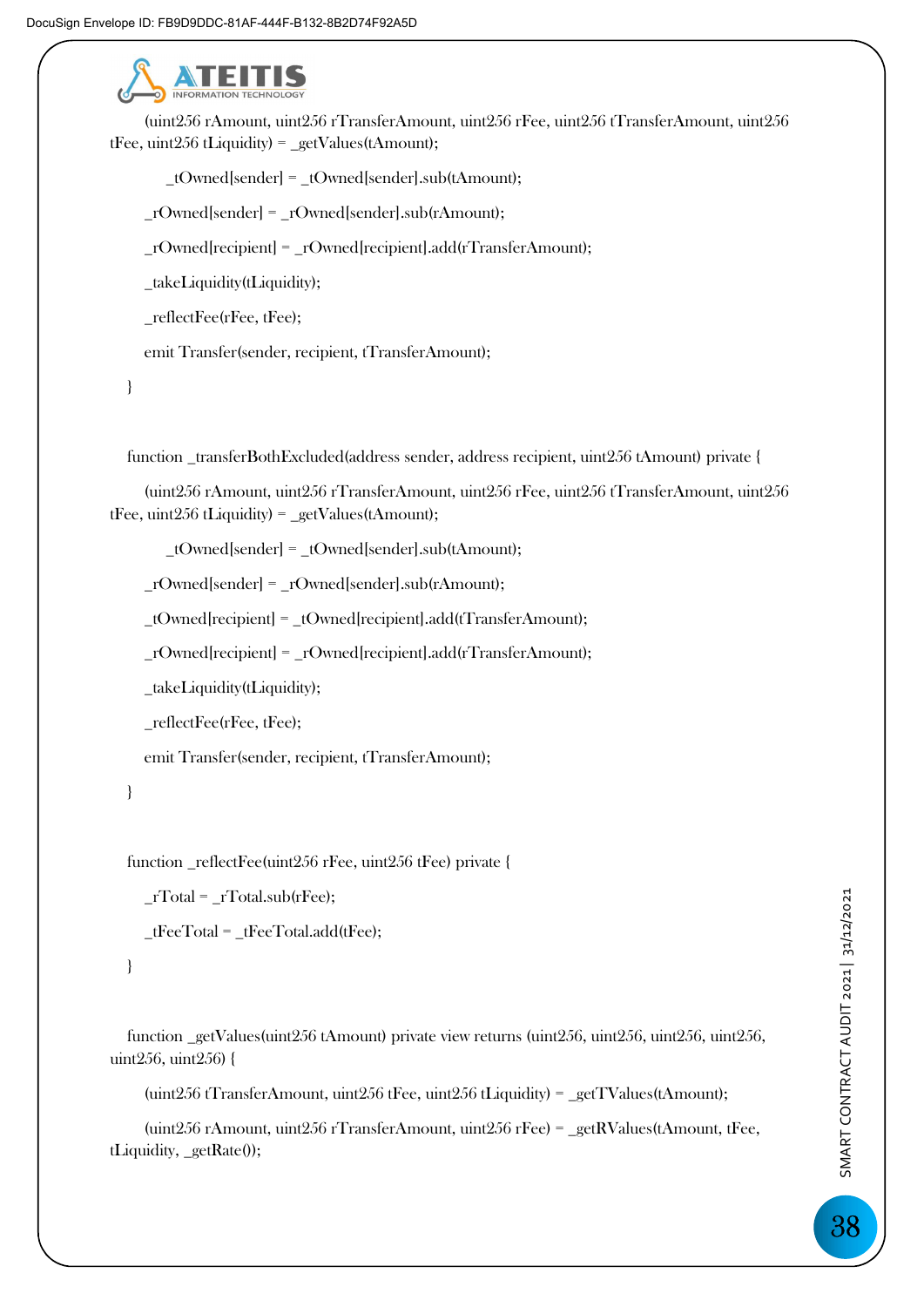

 (uint256 rAmount, uint256 rTransferAmount, uint256 rFee, uint256 tTransferAmount, uint256 tFee, uint256 tLiquidity) = \_getValues(tAmount);

\_tOwned[sender] = \_tOwned[sender].sub(tAmount);

 $rQwned[sender] = rQwned[sender].sub(rAmount);$ 

\_rOwned[recipient] = \_rOwned[recipient].add(rTransferAmount);

\_takeLiquidity(tLiquidity);

\_reflectFee(rFee, tFee);

emit Transfer(sender, recipient, tTransferAmount);

}

function \_transferBothExcluded(address sender, address recipient, uint256 tAmount) private {

 (uint256 rAmount, uint256 rTransferAmount, uint256 rFee, uint256 tTransferAmount, uint256 tFee, uint256 tLiquidity) =  $getValues(tAmount);$ 

\_tOwned[sender] = \_tOwned[sender].sub(tAmount);

\_rOwned[sender] = \_rOwned[sender].sub(rAmount);

\_tOwned[recipient] = \_tOwned[recipient].add(tTransferAmount);

\_rOwned[recipient] = \_rOwned[recipient].add(rTransferAmount);

\_takeLiquidity(tLiquidity);

\_reflectFee(rFee, tFee);

emit Transfer(sender, recipient, tTransferAmount);

}

function \_reflectFee(uint256 rFee, uint256 tFee) private {

 $_TTotal = TTotal.sub(rFee);$ 

 $tFeeTotal = tFeeTotal.add(tFee);$ 

}

 function \_getValues(uint256 tAmount) private view returns (uint256, uint256, uint256, uint256, uint256, uint256) {

(uint256 tTransferAmount, uint256 tFee, uint256 tLiquidity) = \_getTValues(tAmount);

 (uint256 rAmount, uint256 rTransferAmount, uint256 rFee) = \_getRValues(tAmount, tFee, tLiquidity, \_getRate());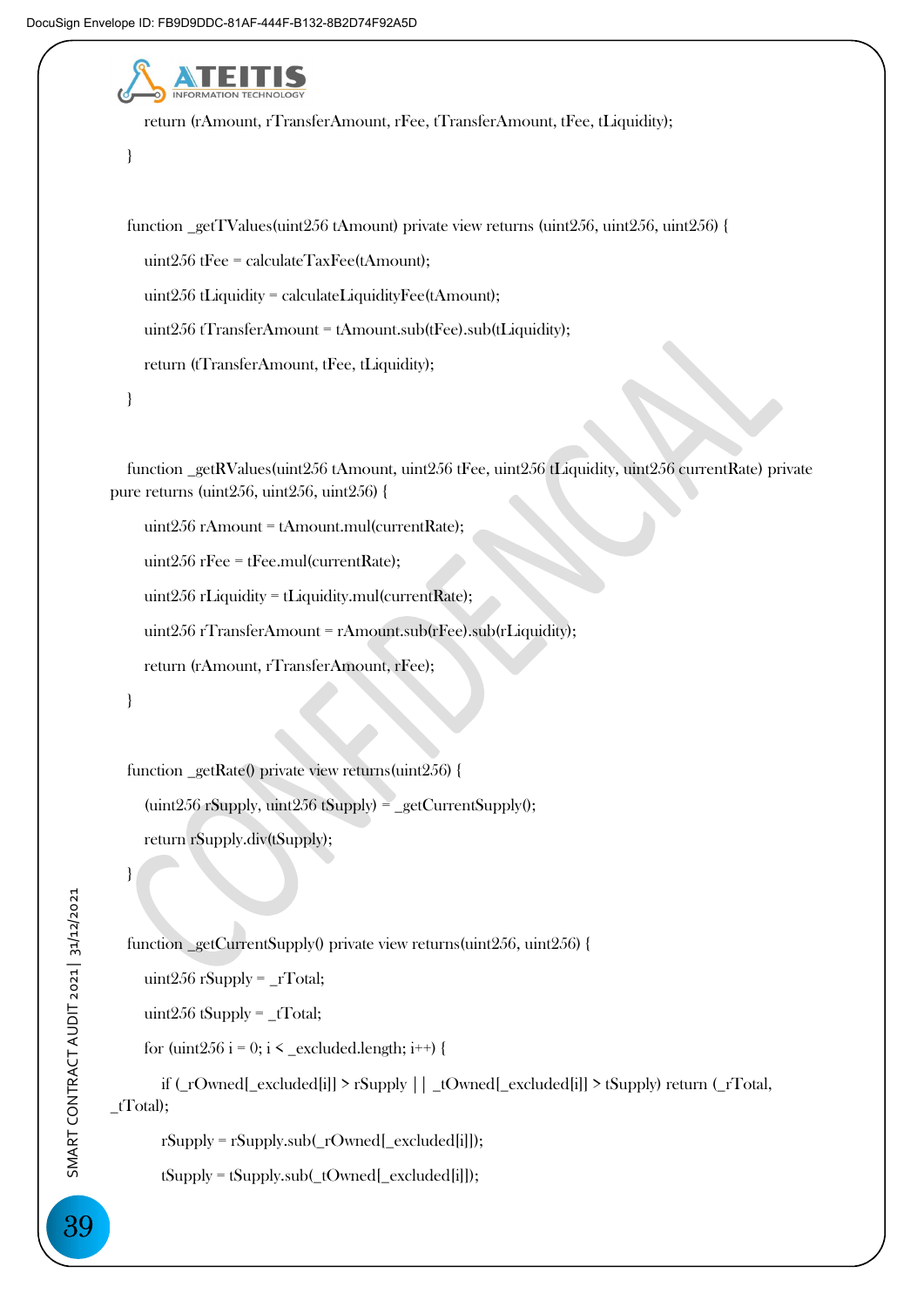

return (rAmount, rTransferAmount, rFee);

```
 }
```
 function \_getRate() private view returns(uint256) {  $(\text{uint256} \text{ rSupply}, \text{uint256} \text{ tSupply}) = \text{getCurrentSupply}();$ return rSupply.div(tSupply);

 $\Box$ 

function \_getCurrentSupply() private view returns(uint256, uint256) {

uint256 rSupply = \_rTotal;

uint $256$  tSupply =  $_TTotal;$ 

for (uint256 i = 0; i < \_excluded.length; i++) {

 if (\_rOwned[\_excluded[i]] > rSupply || \_tOwned[\_excluded[i]] > tSupply) return (\_rTotal,  $_tTotal);$ 

rSupply = rSupply.sub(\_rOwned[\_excluded[i]]);

tSupply = tSupply.sub(\_tOwned[\_excluded[i]]);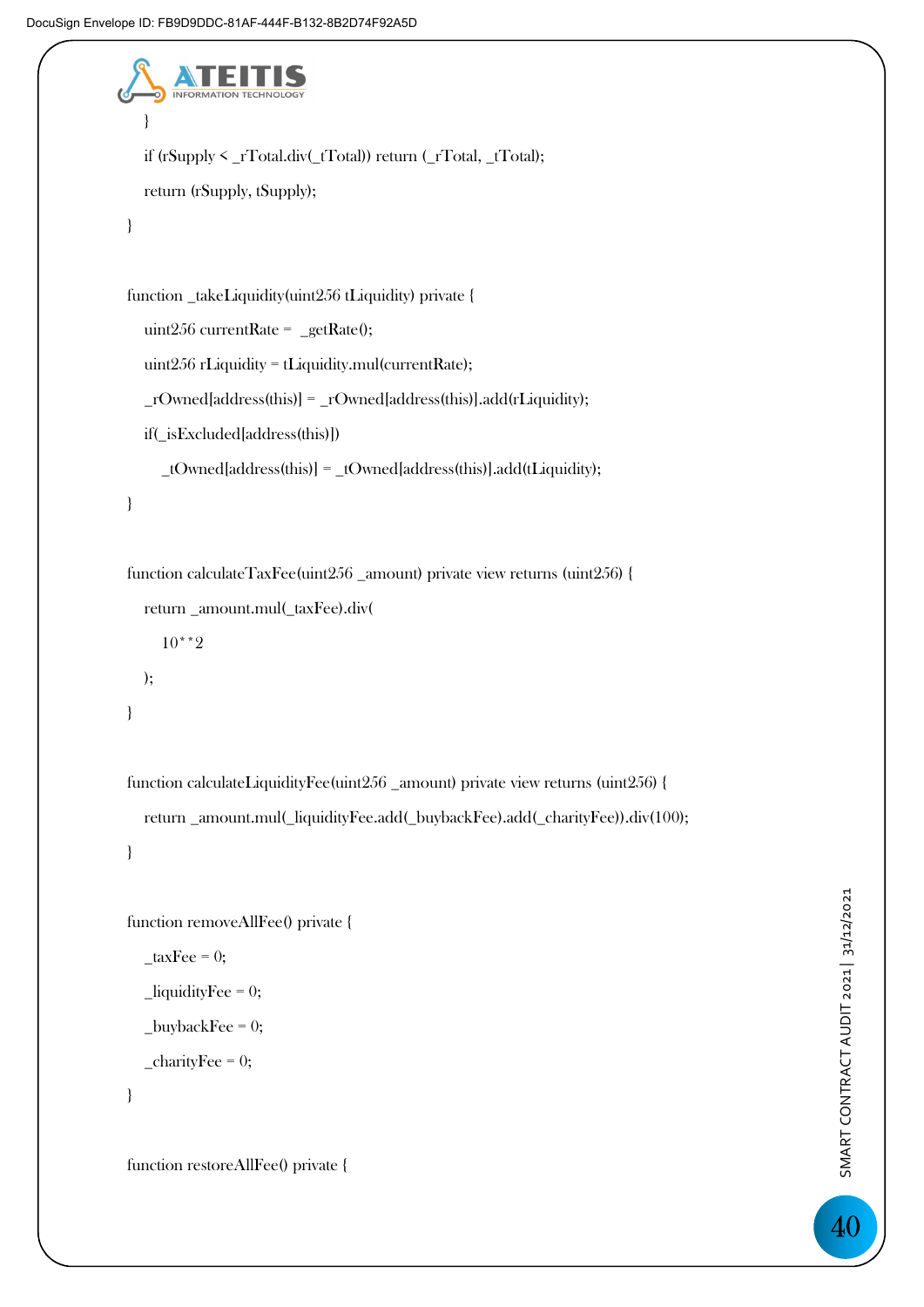```
 } 
      if (rSupply < _rTotal.div(_tTotal)) return (_rTotal, _tTotal); 
      return (rSupply, tSupply); 
   } 
   function _takeLiquidity(uint256 tLiquidity) private { 
     uint256 currentRate = getRate();
      uint256 rLiquidity = tLiquidity.mul(currentRate); 
     _{\text{r}Owned[address(this)] = _{\text{r}}Owned[address(this)].add(rLiquidity);
      if(_isExcluded[address(this)]) 
        _tOwned[address(this)] = _tOwned[address(this)].add(tLiquidity); 
   } 
   function calculateTaxFee(uint256 _amount) private view returns (uint256) {
```

```
 return _amount.mul(_taxFee).div( 
      10**2 
   ); 
 }
```

```
 function calculateLiquidityFee(uint256 _amount) private view returns (uint256) { 
   return _amount.mul(_liquidityFee.add(_buybackFee).add(_charityFee)).div(100); 
 }
```

```
 function removeAllFee() private { 
  \text{\_taxFee} = 0;\_liquidityFee = 0;
  _buybackFee = 0;
   _{\rm \_}charityFee = 0;
```

```
 }
```
function restoreAllFee() private {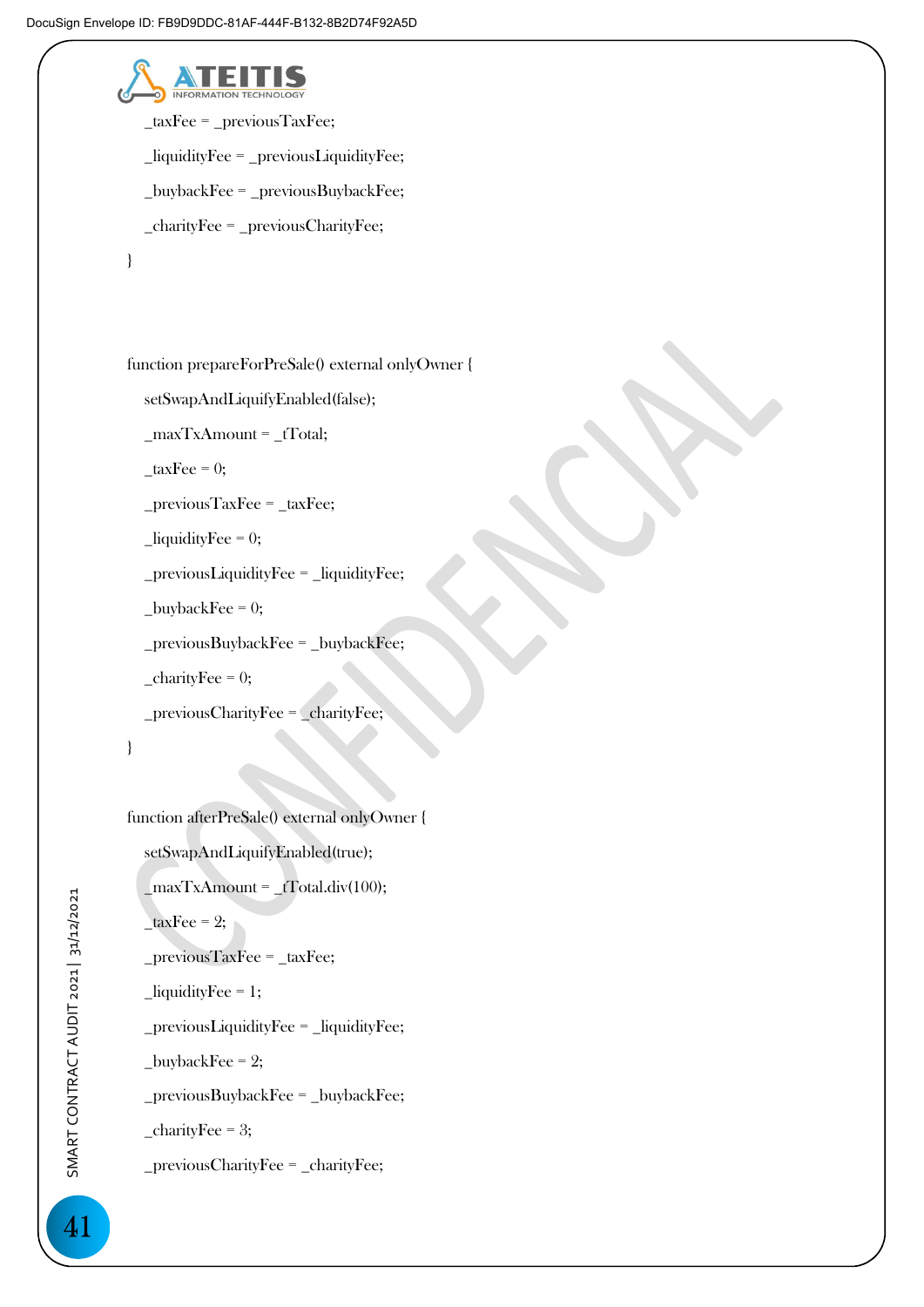

 \_taxFee = \_previousTaxFee; \_liquidityFee = \_previousLiquidityFee; \_buybackFee = \_previousBuybackFee; \_charityFee = \_previousCharityFee;

```
 }
```
function prepareForPreSale() external onlyOwner {

```
 setSwapAndLiquifyEnabled(false);
```
 $maxTxAmount = tTotal;$ 

```
\text{\_taxFee} = 0;
```
\_previousTaxFee = \_taxFee;

```
\_liquidityFee = 0;
```

```
 _previousLiquidityFee = _liquidityFee;
```

```
_buybackFee = 0;
```

```
 _previousBuybackFee = _buybackFee;
```

```
charityFee = 0;
```

```
 _previousCharityFee = _charityFee;
```

```
 }
```
function afterPreSale() external onlyOwner {

```
 setSwapAndLiquifyEnabled(true);
```

```
maxTxAmount = _tTotal-div(100);
```
 $\angle$ taxFee = 2;

\_previousTaxFee = \_taxFee;

```
 _liquidityFee = 1;
```
\_previousLiquidityFee = \_liquidityFee;

 $\_$ buybackFee = 2;

 $previouslybackFee = \text{buybackFee};$ 

```
_{\rm{}\_charityFee = 3;}
```
\_previousCharityFee = \_charityFee;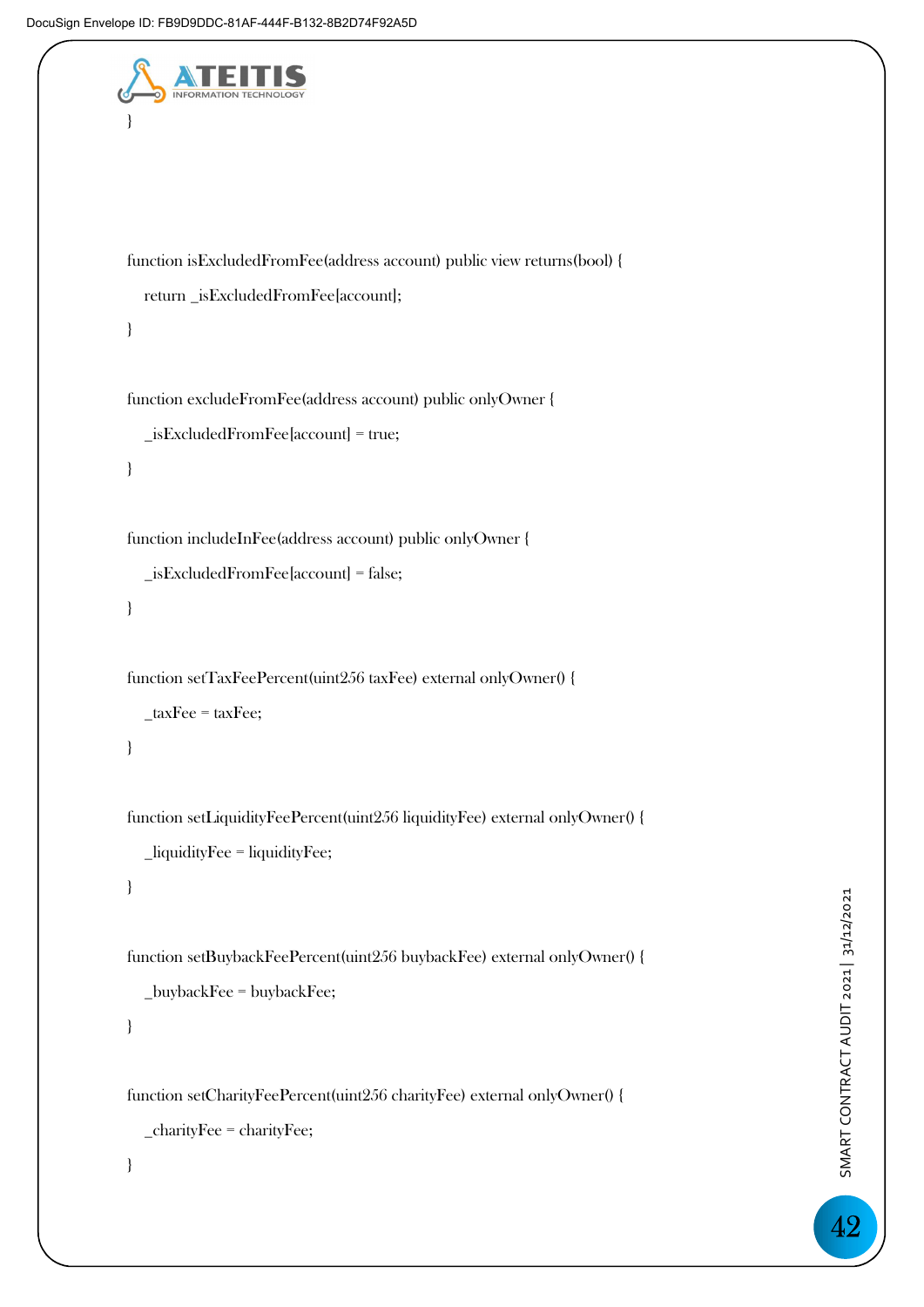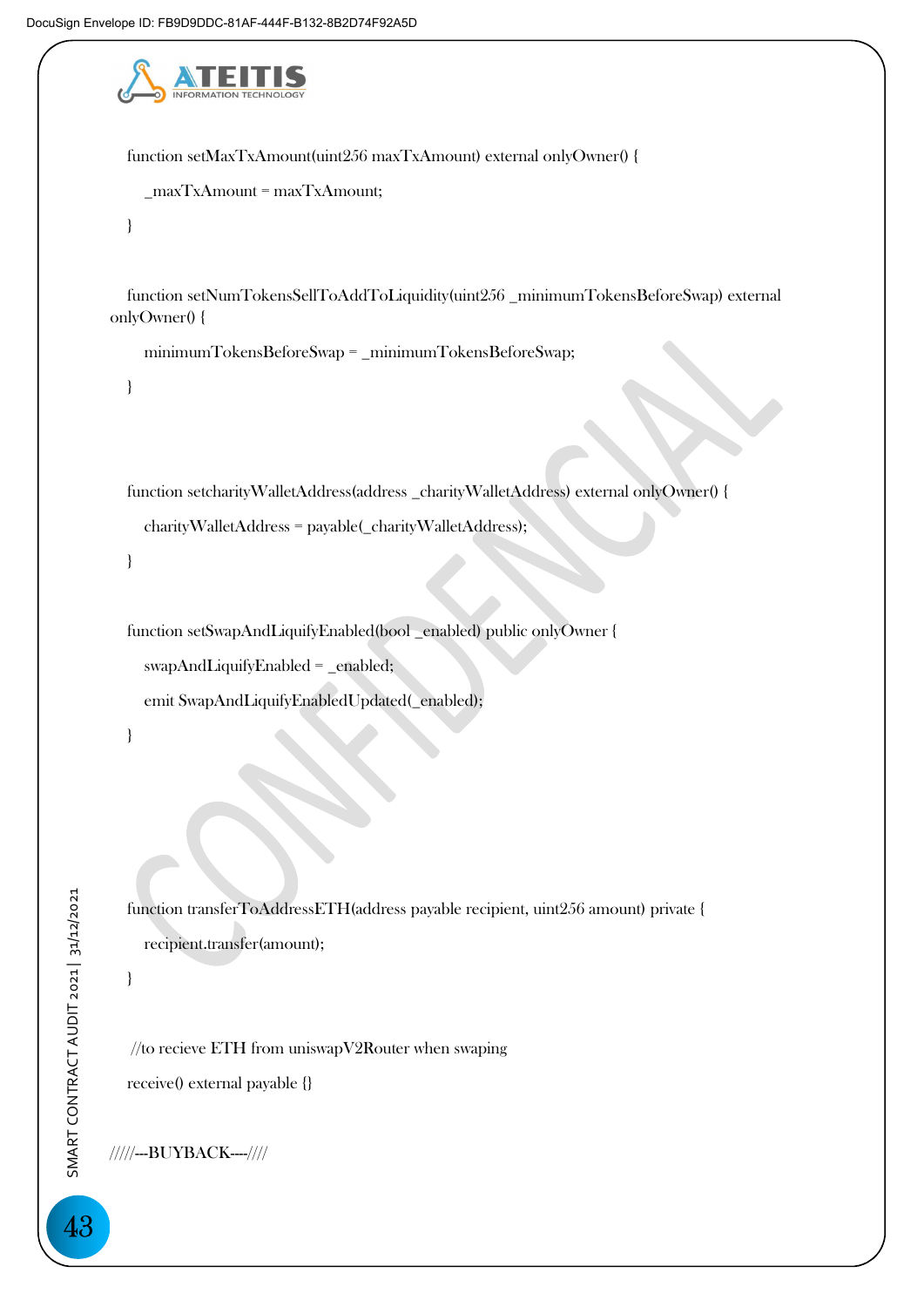

 function setMaxTxAmount(uint256 maxTxAmount) external onlyOwner() { \_maxTxAmount = maxTxAmount; }

 function setNumTokensSellToAddToLiquidity(uint256 \_minimumTokensBeforeSwap) external onlyOwner() {

minimumTokensBeforeSwap = \_minimumTokensBeforeSwap;

}

function setcharityWalletAddress(address \_charityWalletAddress) external onlyOwner() {

```
 charityWalletAddress = payable(_charityWalletAddress);
```
}

function setSwapAndLiquifyEnabled(bool \_enabled) public onlyOwner {

swapAndLiquifyEnabled = \_enabled;

emit SwapAndLiquifyEnabledUpdated(\_enabled);

}

 function transferToAddressETH(address payable recipient, uint256 amount) private { recipient.transfer(amount);

}

//to recieve ETH from uniswapV2Router when swaping receive() external payable {}

/////---BUYBACK----////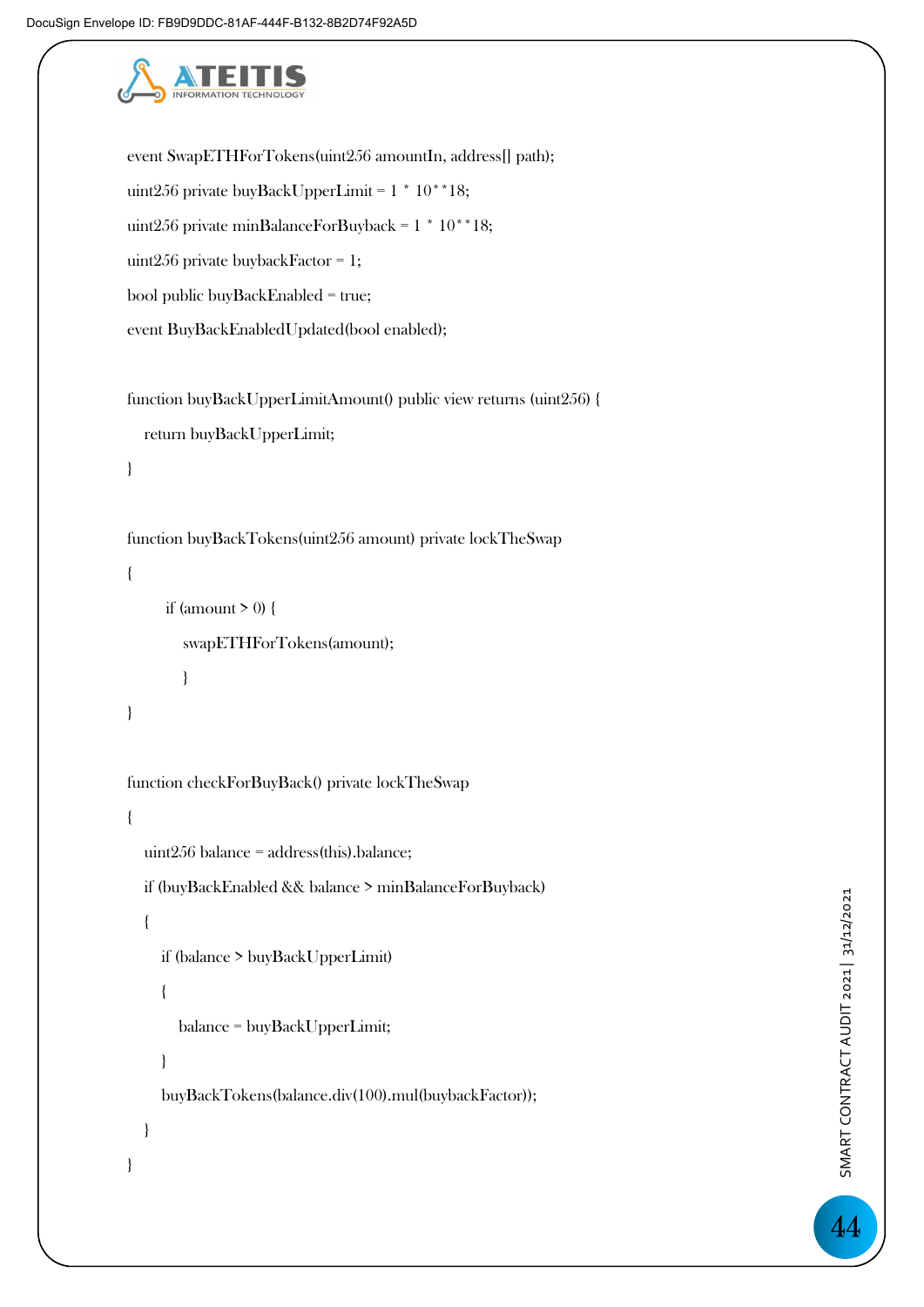

```
 event SwapETHForTokens(uint256 amountIn, address[] path); 
   uint256 private buyBackUpperLimit = 1 * 10**18; 
  uint256 private minBalanceForBuyback = 1 * 10 * 18;
   uint256 private buybackFactor = 1; 
   bool public buyBackEnabled = true; 
   event BuyBackEnabledUpdated(bool enabled); 
   function buyBackUpperLimitAmount() public view returns (uint256) { 
     return buyBackUpperLimit; 
   } 
   function buyBackTokens(uint256 amount) private lockTheSwap 
   { 
       if (amount > 0) {
          swapETHForTokens(amount); 
 } 
   } 
   function checkForBuyBack() private lockTheSwap 
   { 
     uint256 balance = address(this).balance; 
     if (buyBackEnabled && balance > minBalanceForBuyback)
```

```
 {
```
}

if (balance > buyBackUpperLimit)

```
 {
```
balance = buyBackUpperLimit;

buyBackTokens(balance.div(100).mul(buybackFactor));

```
 }
```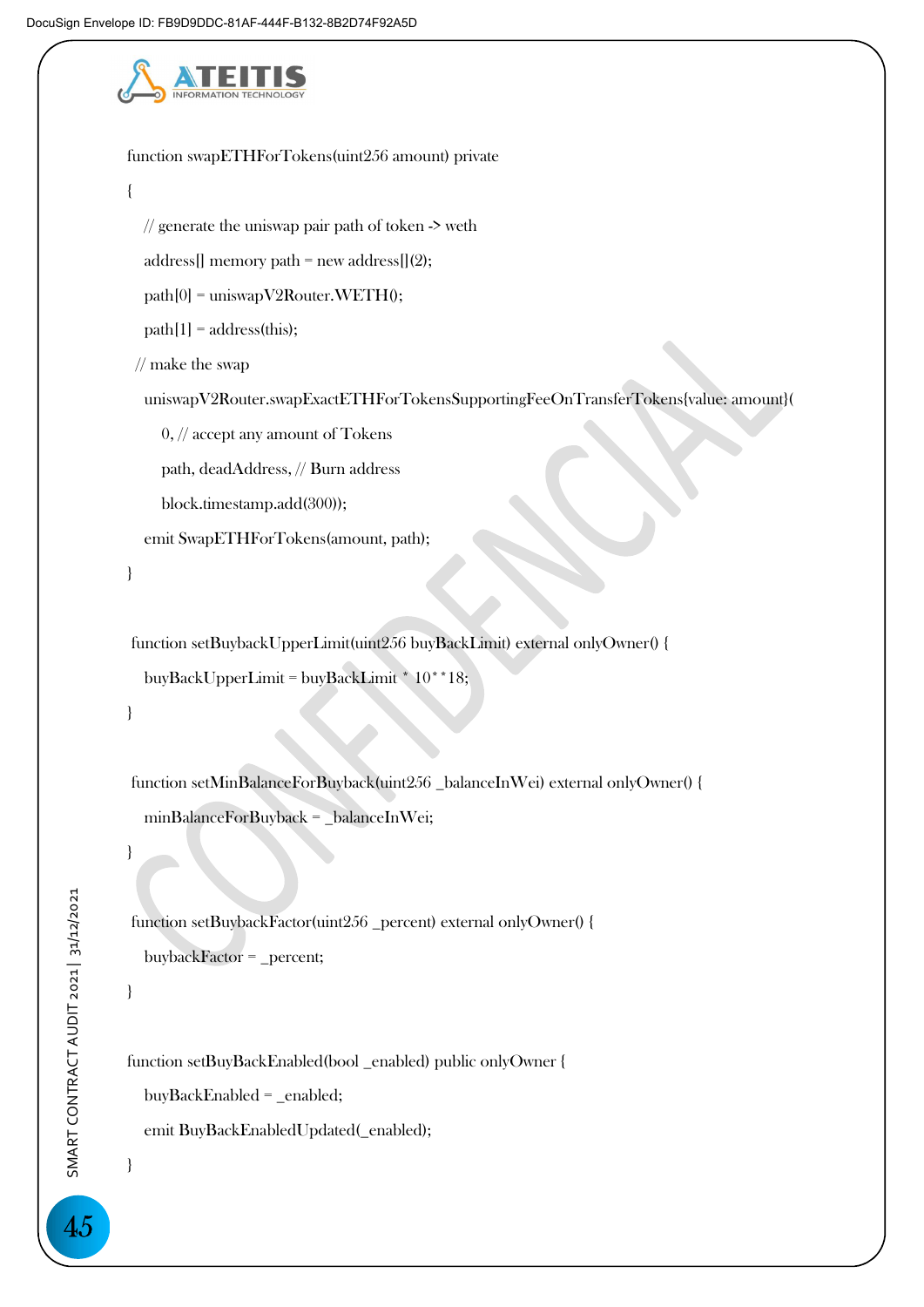

```
 function swapETHForTokens(uint256 amount) private 
 { 
  \frac{1}{2} generate the uniswap pair path of token \rightarrow weth
  address[] memory path = new address[](2);
  path[0] = uniswapV2Router.WETH(0);
  path[1] = address(this); // make the swap 
   uniswapV2Router.swapExactETHForTokensSupportingFeeOnTransferTokens{value: amount}( 
     0, // accept any amount of Tokens 
     path, deadAddress, // Burn address 
     block.timestamp.add(300)); 
   emit SwapETHForTokens(amount, path); 
 } 
 function setBuybackUpperLimit(uint256 buyBackLimit) external onlyOwner() { 
  buyBackUpperLimit = buyBackLimit *10**18;
 } 
 function setMinBalanceForBuyback(uint256 _balanceInWei) external onlyOwner() { 
   minBalanceForBuyback = _balanceInWei; 
 } 
function setBuybackFactor(uint256 _percent) external onlyOwner() {
   buybackFactor = _percent;
```
function setBuyBackEnabled(bool \_enabled) public onlyOwner {

 $buyBackEnabeled = enabled;$ 

emit BuyBackEnabledUpdated(\_enabled);

}